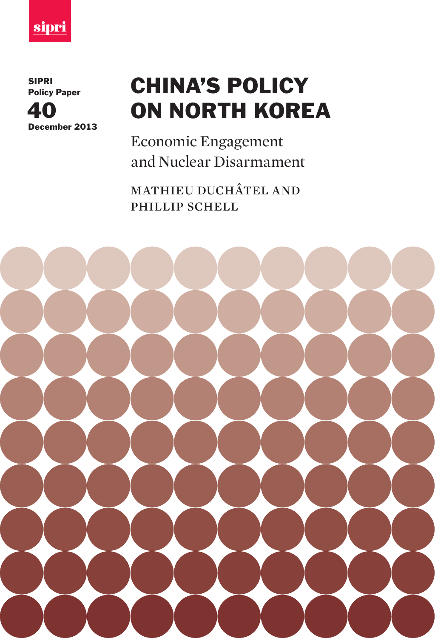

SIPRI Policy Paper



## CHINA'S POLICY ON NORTH KOREA

Economic Engagement and Nuclear Disarmament

mathieu duchâtel and phillip schell

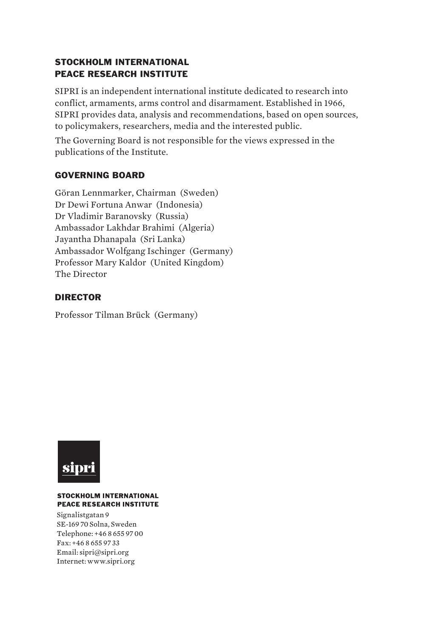#### STOCKHOLM INTERNATIONAL PEACE RESEARCH INSTITUTE

SIPRI is an independent international institute dedicated to research into conflict, armaments, arms control and disarmament. Established in 1966, SIPRI provides data, analysis and recommendations, based on open sources, to policymakers, researchers, media and the interested public.

The Governing Board is not responsible for the views expressed in the publications of the Institute.

#### GOVERNING BOARD

Göran Lennmarker, Chairman (Sweden) Dr Dewi Fortuna Anwar (Indonesia) Dr Vladimir Baranovsky (Russia) Ambassador Lakhdar Brahimi (Algeria) Jayantha Dhanapala (Sri Lanka) Ambassador Wolfgang Ischinger (Germany) Professor Mary Kaldor (United Kingdom) The Director

#### DIRECTOR

Professor Tilman Brück (Germany)



#### **STOCKHOLM INTERNATIONAL PEACE RESEARCH INSTITUTE**

 Internet: www.sipri.orgSignalistgatan 9 SE-169 70 Solna, Sweden Telephone: +46 8 655 97 00 Fax: +46 8 655 97 33 Email: sipri@sipri.org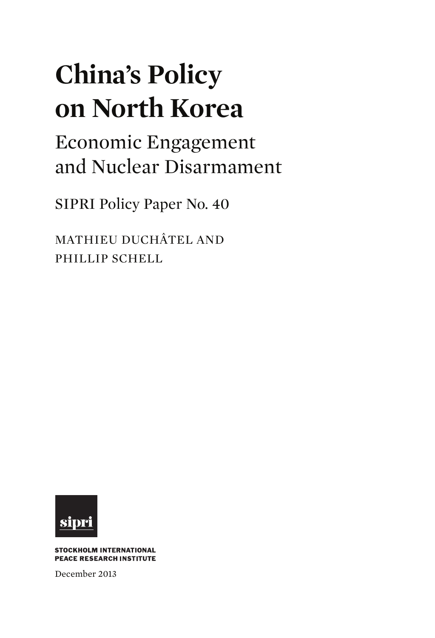# **China's Policy on North Korea**

Economic Engagement and Nuclear Disarmament

SIPRI Policy Paper No. 40

MATHIEU DUCHÂTEL AND PHILLIP SCHELL



**STOCKHOLM INTERNATIONAL PEACE RESEARCH INSTITUTE** 

December 2013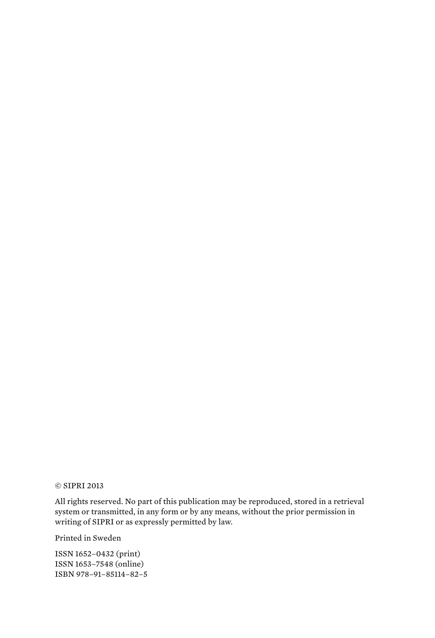#### © SIPRI 2013

All rights reserved. No part of this publication may be reproduced, stored in a retrieval system or transmitted, in any form or by any means, without the prior permission in writing of SIPRI or as expressly permitted by law.

Printed in Sweden

ISSN 1652–0432 (print) ISSN 1653–7548 (online) ISBN 978–91–85114–82–5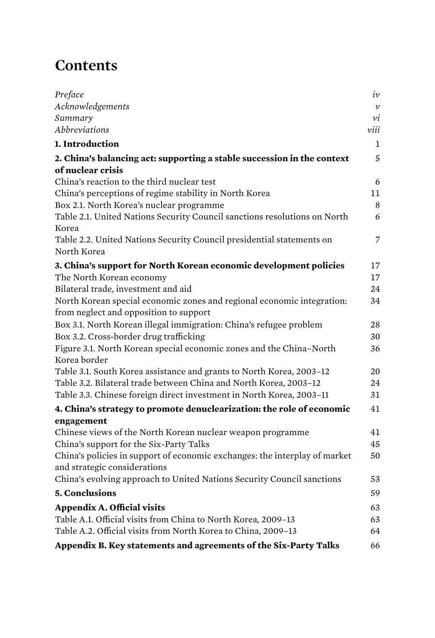### **Contents**

| Preface                                                                                                    | iv            |
|------------------------------------------------------------------------------------------------------------|---------------|
| Acknowledgements                                                                                           | $\mathcal{V}$ |
| Summary                                                                                                    | νi            |
| Abbreviations                                                                                              | viii          |
| 1. Introduction                                                                                            | $\mathbf{1}$  |
| 2. China's balancing act: supporting a stable succession in the context                                    | 5             |
| of nuclear crisis                                                                                          |               |
| China's reaction to the third nuclear test                                                                 | 6             |
| China's perceptions of regime stability in North Korea                                                     | $11\,$        |
| Box 2.1. North Korea's nuclear programme                                                                   | $\,8\,$       |
| Table 2.1. United Nations Security Council sanctions resolutions on North<br>Korea                         | 6             |
| Table 2.2. United Nations Security Council presidential statements on<br>North Korea                       | 7             |
| 3. China's support for North Korean economic development policies                                          | 17            |
| The North Korean economy                                                                                   | 17            |
| Bilateral trade, investment and aid                                                                        | 24            |
| North Korean special economic zones and regional economic integration:                                     | 34            |
| from neglect and opposition to support                                                                     |               |
| Box 3.1. North Korean illegal immigration: China's refugee problem                                         | 28            |
| Box 3.2. Cross-border drug trafficking                                                                     | 30            |
| Figure 3.1. North Korean special economic zones and the China-North<br>Korea border                        | 36            |
| Table 3.1. South Korea assistance and grants to North Korea, 2003-12                                       | 20            |
| Table 3.2. Bilateral trade between China and North Korea, 2003-12                                          | 24            |
| Table 3.3. Chinese foreign direct investment in North Korea, 2003-11                                       | 31            |
| 4. China's strategy to promote denuclearization: the role of economic                                      | 41            |
| engagement                                                                                                 |               |
| Chinese views of the North Korean nuclear weapon programme                                                 | 41            |
| China's support for the Six-Party Talks                                                                    | 45            |
| China's policies in support of economic exchanges: the interplay of market<br>and strategic considerations | 50            |
| China's evolving approach to United Nations Security Council sanctions                                     | 53            |
| <b>5. Conclusions</b>                                                                                      | 59            |
| <b>Appendix A. Official visits</b>                                                                         | 63            |
| Table A.1. Official visits from China to North Korea, 2009-13                                              | 63            |
| Table A.2. Official visits from North Korea to China, 2009-13                                              | 64            |
| Appendix B. Key statements and agreements of the Six-Party Talks                                           | 66            |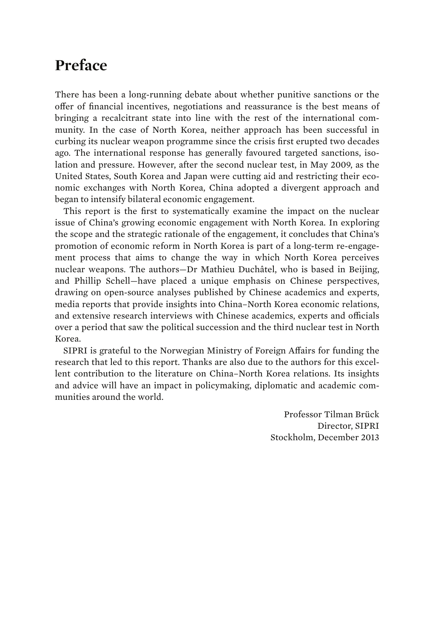### **Preface**

There has been a long-running debate about whether punitive sanctions or the offer of financial incentives, negotiations and reassurance is the best means of bringing a recalcitrant state into line with the rest of the international community. In the case of North Korea, neither approach has been successful in curbing its nuclear weapon programme since the crisis first erupted two decades ago. The international response has generally favoured targeted sanctions, isolation and pressure. However, after the second nuclear test, in May 2009, as the United States, South Korea and Japan were cutting aid and restricting their economic exchanges with North Korea, China adopted a divergent approach and began to intensify bilateral economic engagement.

This report is the first to systematically examine the impact on the nuclear issue of China's growing economic engagement with North Korea. In exploring the scope and the strategic rationale of the engagement, it concludes that China's promotion of economic reform in North Korea is part of a long-term re-engagement process that aims to change the way in which North Korea perceives nuclear weapons. The authors—Dr Mathieu Duchâtel, who is based in Beijing, and Phillip Schell—have placed a unique emphasis on Chinese perspectives, drawing on open-source analyses published by Chinese academics and experts, media reports that provide insights into China–North Korea economic relations, and extensive research interviews with Chinese academics, experts and officials over a period that saw the political succession and the third nuclear test in North Korea.

SIPRI is grateful to the Norwegian Ministry of Foreign Affairs for funding the research that led to this report. Thanks are also due to the authors for this excellent contribution to the literature on China–North Korea relations. Its insights and advice will have an impact in policymaking, diplomatic and academic communities around the world.

> Professor Tilman Brück Director, SIPRI Stockholm, December 2013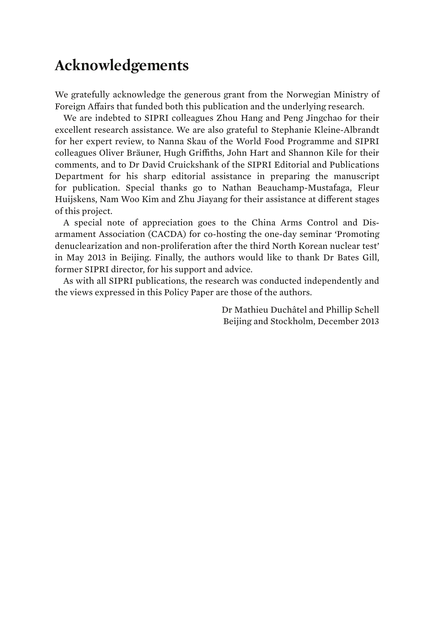### **Acknowledgements**

We gratefully acknowledge the generous grant from the Norwegian Ministry of Foreign Affairs that funded both this publication and the underlying research.

We are indebted to SIPRI colleagues Zhou Hang and Peng Jingchao for their excellent research assistance. We are also grateful to Stephanie Kleine-Albrandt for her expert review, to Nanna Skau of the World Food Programme and SIPRI colleagues Oliver Bräuner, Hugh Griffiths, John Hart and Shannon Kile for their comments, and to Dr David Cruickshank of the SIPRI Editorial and Publications Department for his sharp editorial assistance in preparing the manuscript for publication. Special thanks go to Nathan Beauchamp-Mustafaga, Fleur Huijskens, Nam Woo Kim and Zhu Jiayang for their assistance at different stages of this project.

A special note of appreciation goes to the China Arms Control and Disarmament Association (CACDA) for co-hosting the one-day seminar 'Promoting denuclearization and non-proliferation after the third North Korean nuclear test' in May 2013 in Beijing. Finally, the authors would like to thank Dr Bates Gill, former SIPRI director, for his support and advice.

As with all SIPRI publications, the research was conducted independently and the views expressed in this Policy Paper are those of the authors.

> Dr Mathieu Duchâtel and Phillip Schell Beijing and Stockholm, December 2013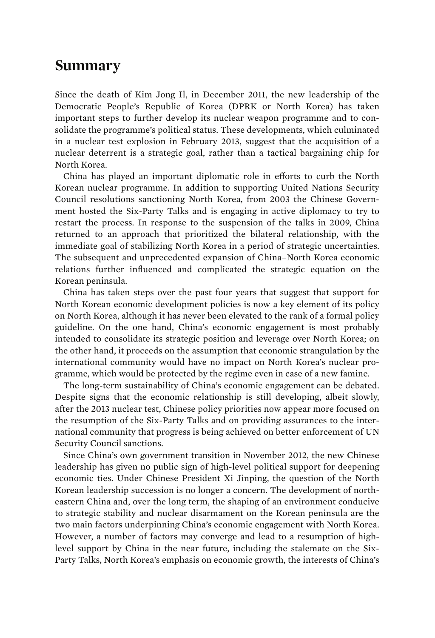### **Summary**

Since the death of Kim Jong Il, in December 2011, the new leadership of the Democratic People's Republic of Korea (DPRK or North Korea) has taken important steps to further develop its nuclear weapon programme and to consolidate the programme's political status. These developments, which culminated in a nuclear test explosion in February 2013, suggest that the acquisition of a nuclear deterrent is a strategic goal, rather than a tactical bargaining chip for North Korea.

China has played an important diplomatic role in efforts to curb the North Korean nuclear programme. In addition to supporting United Nations Security Council resolutions sanctioning North Korea, from 2003 the Chinese Government hosted the Six-Party Talks and is engaging in active diplomacy to try to restart the process. In response to the suspension of the talks in 2009, China returned to an approach that prioritized the bilateral relationship, with the immediate goal of stabilizing North Korea in a period of strategic uncertainties. The subsequent and unprecedented expansion of China–North Korea economic relations further influenced and complicated the strategic equation on the Korean peninsula.

China has taken steps over the past four years that suggest that support for North Korean economic development policies is now a key element of its policy on North Korea, although it has never been elevated to the rank of a formal policy guideline. On the one hand, China's economic engagement is most probably intended to consolidate its strategic position and leverage over North Korea; on the other hand, it proceeds on the assumption that economic strangulation by the international community would have no impact on North Korea's nuclear programme, which would be protected by the regime even in case of a new famine.

The long-term sustainability of China's economic engagement can be debated. Despite signs that the economic relationship is still developing, albeit slowly, after the 2013 nuclear test, Chinese policy priorities now appear more focused on the resumption of the Six-Party Talks and on providing assurances to the international community that progress is being achieved on better enforcement of UN Security Council sanctions.

Since China's own government transition in November 2012, the new Chinese leadership has given no public sign of high-level political support for deepening economic ties. Under Chinese President Xi Jinping, the question of the North Korean leadership succession is no longer a concern. The development of northeastern China and, over the long term, the shaping of an environment conducive to strategic stability and nuclear disarmament on the Korean peninsula are the two main factors underpinning China's economic engagement with North Korea. However, a number of factors may converge and lead to a resumption of highlevel support by China in the near future, including the stalemate on the Six-Party Talks, North Korea's emphasis on economic growth, the interests of China's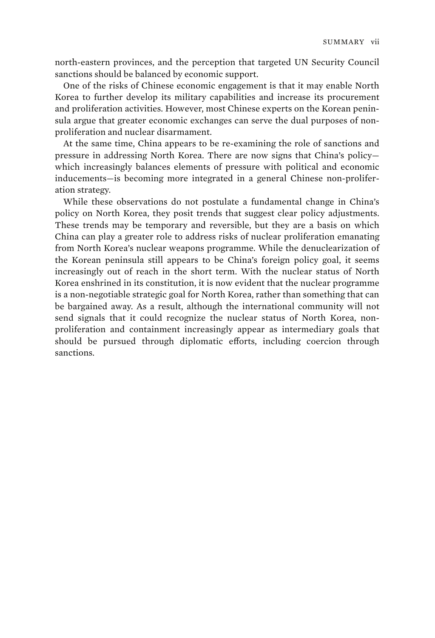north-eastern provinces, and the perception that targeted UN Security Council sanctions should be balanced by economic support.

One of the risks of Chinese economic engagement is that it may enable North Korea to further develop its military capabilities and increase its procurement and proliferation activities. However, most Chinese experts on the Korean peninsula argue that greater economic exchanges can serve the dual purposes of nonproliferation and nuclear disarmament.

At the same time, China appears to be re-examining the role of sanctions and pressure in addressing North Korea. There are now signs that China's policy which increasingly balances elements of pressure with political and economic inducements—is becoming more integrated in a general Chinese non-proliferation strategy.

While these observations do not postulate a fundamental change in China's policy on North Korea, they posit trends that suggest clear policy adjustments. These trends may be temporary and reversible, but they are a basis on which China can play a greater role to address risks of nuclear proliferation emanating from North Korea's nuclear weapons programme. While the denuclearization of the Korean peninsula still appears to be China's foreign policy goal, it seems increasingly out of reach in the short term. With the nuclear status of North Korea enshrined in its constitution, it is now evident that the nuclear programme is a non-negotiable strategic goal for North Korea, rather than something that can be bargained away. As a result, although the international community will not send signals that it could recognize the nuclear status of North Korea, nonproliferation and containment increasingly appear as intermediary goals that should be pursued through diplomatic efforts, including coercion through sanctions.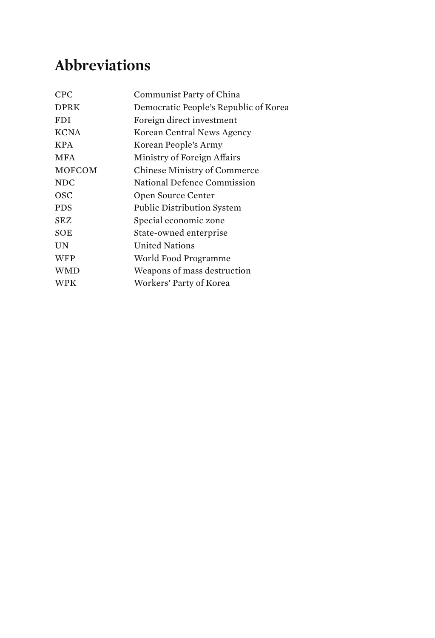### **Abbreviations**

| Communist Party of China              |
|---------------------------------------|
| Democratic People's Republic of Korea |
| Foreign direct investment             |
| Korean Central News Agency            |
| Korean People's Army                  |
| Ministry of Foreign Affairs           |
| Chinese Ministry of Commerce          |
| National Defence Commission           |
| Open Source Center                    |
| <b>Public Distribution System</b>     |
| Special economic zone                 |
| State-owned enterprise                |
| <b>United Nations</b>                 |
| World Food Programme                  |
| Weapons of mass destruction           |
| Workers' Party of Korea               |
|                                       |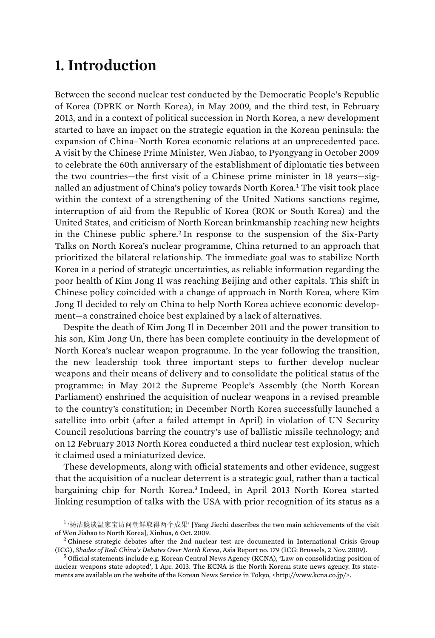### **1. Introduction**

Between the second nuclear test conducted by the Democratic People's Republic of Korea (DPRK or North Korea), in May 2009, and the third test, in February 2013, and in a context of political succession in North Korea, a new development started to have an impact on the strategic equation in the Korean peninsula: the expansion of China–North Korea economic relations at an unprecedented pace. A visit by the Chinese Prime Minister, Wen Jiabao, to Pyongyang in October 2009 to celebrate the 60th anniversary of the establishment of diplomatic ties between the two countries—the first visit of a Chinese prime minister in 18 years—signalled an adjustment of China's policy towards North Korea.<sup>1</sup> The visit took place within the context of a strengthening of the United Nations sanctions regime, interruption of aid from the Republic of Korea (ROK or South Korea) and the United States, and criticism of North Korean brinkmanship reaching new heights in the Chinese public sphere.<sup>2</sup> In response to the suspension of the Six-Party Talks on North Korea's nuclear programme, China returned to an approach that prioritized the bilateral relationship. The immediate goal was to stabilize North Korea in a period of strategic uncertainties, as reliable information regarding the poor health of Kim Jong Il was reaching Beijing and other capitals. This shift in Chinese policy coincided with a change of approach in North Korea, where Kim Jong Il decided to rely on China to help North Korea achieve economic development—a constrained choice best explained by a lack of alternatives.

Despite the death of Kim Jong Il in December 2011 and the power transition to his son, Kim Jong Un, there has been complete continuity in the development of North Korea's nuclear weapon programme. In the year following the transition, the new leadership took three important steps to further develop nuclear weapons and their means of delivery and to consolidate the political status of the programme: in May 2012 the Supreme People's Assembly (the North Korean Parliament) enshrined the acquisition of nuclear weapons in a revised preamble to the country's constitution; in December North Korea successfully launched a satellite into orbit (after a failed attempt in April) in violation of UN Security Council resolutions barring the country's use of ballistic missile technology; and on 12 February 2013 North Korea conducted a third nuclear test explosion, which it claimed used a miniaturized device.

These developments, along with official statements and other evidence, suggest that the acquisition of a nuclear deterrent is a strategic goal, rather than a tactical bargaining chip for North Korea.<sup>3</sup> Indeed, in April 2013 North Korea started linking resumption of talks with the USA with prior recognition of its status as a

<sup>&</sup>lt;sup>1</sup> '杨洁篪谈温家宝访问朝鲜取得两个成果' [Yang Jiechi describes the two main achievements of the visit of Wen Jiabao to North Korea], Xinhua, 6 Oct. 2009. <sup>2</sup>

 $2$  Chinese strategic debates after the 2nd nuclear test are documented in International Crisis Group (ICG), *Shades of Red: China's Debates Over North Korea*, Asia Report no. 179 (ICG: Brussels, 2 Nov. 2009). <sup>3</sup>

 $^3$  Official statements include e.g. Korean Central News Agency (KCNA), 'Law on consolidating position of nuclear weapons state adopted', 1 Apr. 2013. The KCNA is the North Korean state news agency. Its statements are available on the website of the Korean News Service in Tokyo, <http://www.kcna.co.jp/>.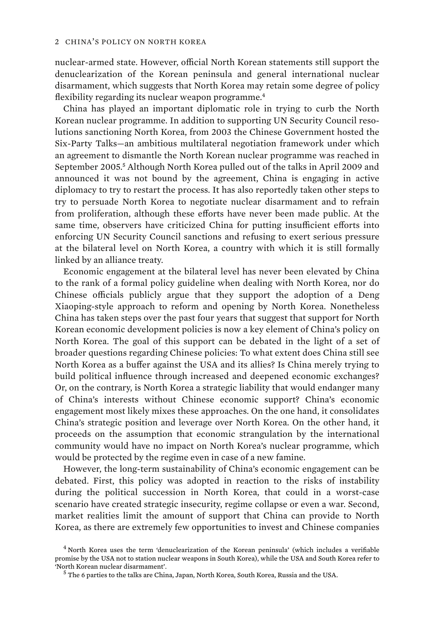nuclear-armed state. However, official North Korean statements still support the denuclearization of the Korean peninsula and general international nuclear disarmament, which suggests that North Korea may retain some degree of policy flexibility regarding its nuclear weapon programme.<sup>4</sup>

China has played an important diplomatic role in trying to curb the North Korean nuclear programme. In addition to supporting UN Security Council resolutions sanctioning North Korea, from 2003 the Chinese Government hosted the Six-Party Talks—an ambitious multilateral negotiation framework under which an agreement to dismantle the North Korean nuclear programme was reached in September 2005.<sup>5</sup> Although North Korea pulled out of the talks in April 2009 and announced it was not bound by the agreement, China is engaging in active diplomacy to try to restart the process. It has also reportedly taken other steps to try to persuade North Korea to negotiate nuclear disarmament and to refrain from proliferation, although these efforts have never been made public. At the same time, observers have criticized China for putting insufficient efforts into enforcing UN Security Council sanctions and refusing to exert serious pressure at the bilateral level on North Korea, a country with which it is still formally linked by an alliance treaty.

Economic engagement at the bilateral level has never been elevated by China to the rank of a formal policy guideline when dealing with North Korea, nor do Chinese officials publicly argue that they support the adoption of a Deng Xiaoping-style approach to reform and opening by North Korea. Nonetheless China has taken steps over the past four years that suggest that support for North Korean economic development policies is now a key element of China's policy on North Korea. The goal of this support can be debated in the light of a set of broader questions regarding Chinese policies: To what extent does China still see North Korea as a buffer against the USA and its allies? Is China merely trying to build political influence through increased and deepened economic exchanges? Or, on the contrary, is North Korea a strategic liability that would endanger many of China's interests without Chinese economic support? China's economic engagement most likely mixes these approaches. On the one hand, it consolidates China's strategic position and leverage over North Korea. On the other hand, it proceeds on the assumption that economic strangulation by the international community would have no impact on North Korea's nuclear programme, which would be protected by the regime even in case of a new famine.

However, the long-term sustainability of China's economic engagement can be debated. First, this policy was adopted in reaction to the risks of instability during the political succession in North Korea, that could in a worst-case scenario have created strategic insecurity, regime collapse or even a war. Second, market realities limit the amount of support that China can provide to North Korea, as there are extremely few opportunities to invest and Chinese companies

<sup>4</sup> North Korea uses the term 'denuclearization of the Korean peninsula' (which includes a verifiable promise by the USA not to station nuclear weapons in South Korea), while the USA and South Korea refer to 'North Korean nuclear disarmament'. <sup>5</sup>

The 6 parties to the talks are China, Japan, North Korea, South Korea, Russia and the USA.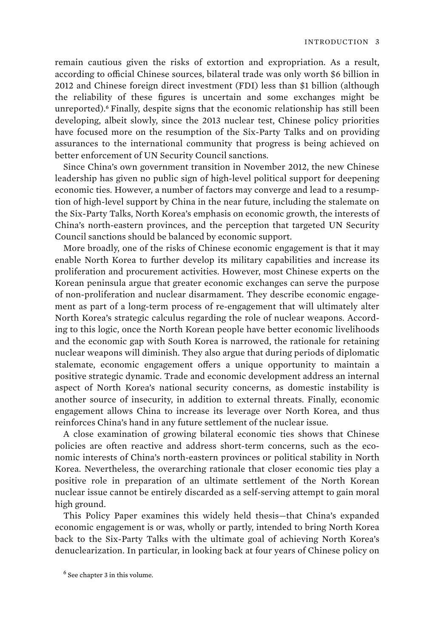remain cautious given the risks of extortion and expropriation. As a result, according to official Chinese sources, bilateral trade was only worth \$6 billion in 2012 and Chinese foreign direct investment (FDI) less than \$1 billion (although the reliability of these figures is uncertain and some exchanges might be unreported).<sup>6</sup> Finally, despite signs that the economic relationship has still been developing, albeit slowly, since the 2013 nuclear test, Chinese policy priorities have focused more on the resumption of the Six-Party Talks and on providing assurances to the international community that progress is being achieved on better enforcement of UN Security Council sanctions.

Since China's own government transition in November 2012, the new Chinese leadership has given no public sign of high-level political support for deepening economic ties. However, a number of factors may converge and lead to a resumption of high-level support by China in the near future, including the stalemate on the Six-Party Talks, North Korea's emphasis on economic growth, the interests of China's north-eastern provinces, and the perception that targeted UN Security Council sanctions should be balanced by economic support.

More broadly, one of the risks of Chinese economic engagement is that it may enable North Korea to further develop its military capabilities and increase its proliferation and procurement activities. However, most Chinese experts on the Korean peninsula argue that greater economic exchanges can serve the purpose of non-proliferation and nuclear disarmament. They describe economic engagement as part of a long-term process of re-engagement that will ultimately alter North Korea's strategic calculus regarding the role of nuclear weapons. According to this logic, once the North Korean people have better economic livelihoods and the economic gap with South Korea is narrowed, the rationale for retaining nuclear weapons will diminish. They also argue that during periods of diplomatic stalemate, economic engagement offers a unique opportunity to maintain a positive strategic dynamic. Trade and economic development address an internal aspect of North Korea's national security concerns, as domestic instability is another source of insecurity, in addition to external threats. Finally, economic engagement allows China to increase its leverage over North Korea, and thus reinforces China's hand in any future settlement of the nuclear issue.

A close examination of growing bilateral economic ties shows that Chinese policies are often reactive and address short-term concerns, such as the economic interests of China's north-eastern provinces or political stability in North Korea. Nevertheless, the overarching rationale that closer economic ties play a positive role in preparation of an ultimate settlement of the North Korean nuclear issue cannot be entirely discarded as a self-serving attempt to gain moral high ground.

This Policy Paper examines this widely held thesis—that China's expanded economic engagement is or was, wholly or partly, intended to bring North Korea back to the Six-Party Talks with the ultimate goal of achieving North Korea's denuclearization. In particular, in looking back at four years of Chinese policy on

<sup>6</sup> See chapter 3 in this volume.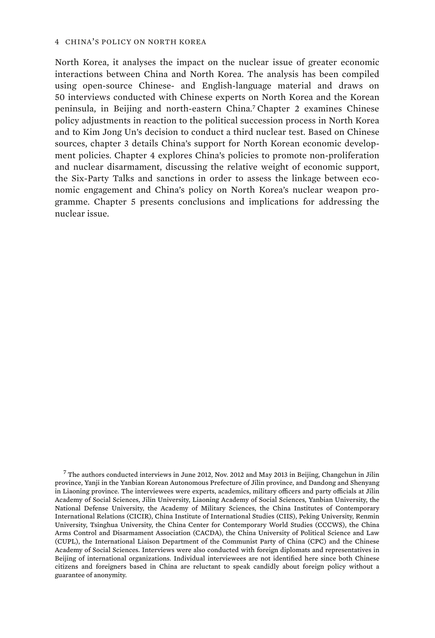North Korea, it analyses the impact on the nuclear issue of greater economic interactions between China and North Korea. The analysis has been compiled using open-source Chinese- and English-language material and draws on 50 interviews conducted with Chinese experts on North Korea and the Korean peninsula, in Beijing and north-eastern China.<sup>7</sup> Chapter 2 examines Chinese policy adjustments in reaction to the political succession process in North Korea and to Kim Jong Un's decision to conduct a third nuclear test. Based on Chinese sources, chapter 3 details China's support for North Korean economic development policies. Chapter 4 explores China's policies to promote non-proliferation and nuclear disarmament, discussing the relative weight of economic support, the Six-Party Talks and sanctions in order to assess the linkage between economic engagement and China's policy on North Korea's nuclear weapon programme. Chapter 5 presents conclusions and implications for addressing the nuclear issue.

 $^7$  The authors conducted interviews in June 2012, Nov. 2012 and May 2013 in Beijing, Changchun in Jilin province, Yanji in the Yanbian Korean Autonomous Prefecture of Jilin province, and Dandong and Shenyang in Liaoning province. The interviewees were experts, academics, military officers and party officials at Jilin Academy of Social Sciences, Jilin University, Liaoning Academy of Social Sciences, Yanbian University, the National Defense University, the Academy of Military Sciences, the China Institutes of Contemporary International Relations (CICIR), China Institute of International Studies (CIIS), Peking University, Renmin University, Tsinghua University, the China Center for Contemporary World Studies (CCCWS), the China Arms Control and Disarmament Association (CACDA), the China University of Political Science and Law (CUPL), the International Liaison Department of the Communist Party of China (CPC) and the Chinese Academy of Social Sciences. Interviews were also conducted with foreign diplomats and representatives in Beijing of international organizations. Individual interviewees are not identified here since both Chinese citizens and foreigners based in China are reluctant to speak candidly about foreign policy without a guarantee of anonymity.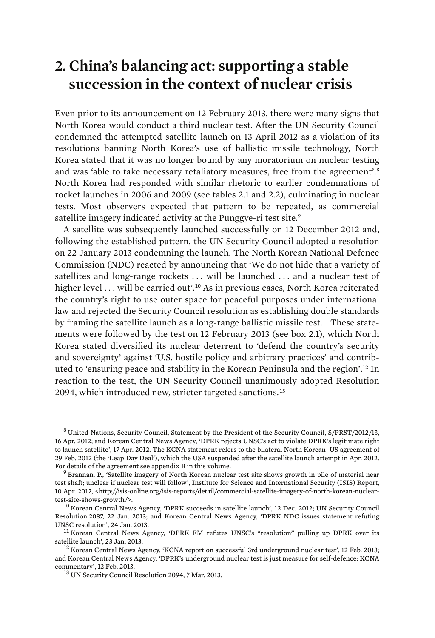### **2. China's balancing act: supporting a stable succession in the context of nuclear crisis**

Even prior to its announcement on 12 February 2013, there were many signs that North Korea would conduct a third nuclear test. After the UN Security Council condemned the attempted satellite launch on 13 April 2012 as a violation of its resolutions banning North Korea's use of ballistic missile technology, North Korea stated that it was no longer bound by any moratorium on nuclear testing and was 'able to take necessary retaliatory measures, free from the agreement'.<sup>8</sup> North Korea had responded with similar rhetoric to earlier condemnations of rocket launches in 2006 and 2009 (see tables 2.1 and 2.2), culminating in nuclear tests. Most observers expected that pattern to be repeated, as commercial satellite imagery indicated activity at the Punggye-ri test site.<sup>9</sup>

A satellite was subsequently launched successfully on 12 December 2012 and, following the established pattern, the UN Security Council adopted a resolution on 22 January 2013 condemning the launch. The North Korean National Defence Commission (NDC) reacted by announcing that 'We do not hide that a variety of satellites and long-range rockets . . . will be launched . . . and a nuclear test of higher level ... will be carried out'.<sup>10</sup> As in previous cases, North Korea reiterated the country's right to use outer space for peaceful purposes under international law and rejected the Security Council resolution as establishing double standards by framing the satellite launch as a long-range ballistic missile test.<sup>11</sup> These statements were followed by the test on 12 February 2013 (see box 2.1), which North Korea stated diversified its nuclear deterrent to 'defend the country's security and sovereignty' against 'U.S. hostile policy and arbitrary practices' and contributed to 'ensuring peace and stability in the Korean Peninsula and the region'.<sup>12</sup> In reaction to the test, the UN Security Council unanimously adopted Resolution 2094, which introduced new, stricter targeted sanctions.<sup>13</sup>

<sup>8</sup> United Nations, Security Council, Statement by the President of the Security Council, S/PRST/2012/13, 16 Apr. 2012; and Korean Central News Agency, 'DPRK rejects UNSC's act to violate DPRK's legitimate right to launch satellite', 17 Apr. 2012. The KCNA statement refers to the bilateral North Korean–US agreement of 29 Feb. 2012 (the 'Leap Day Deal'), which the USA suspended after the satellite launch attempt in Apr. 2012. For details of the agreement see appendix B in this volume.

<sup>9</sup> Brannan, P., 'Satellite imagery of North Korean nuclear test site shows growth in pile of material near test shaft; unclear if nuclear test will follow', Institute for Science and International Security (ISIS) Report, 10 Apr. 2012, <http://isis-online.org/isis-reports/detail/commercial-satellite-imagery-of-north-korean-nucleartest-site-shows-growth/>. 10 Korean Central News Agency, 'DPRK succeeds in satellite launch', 12 Dec. 2012; UN Security Council

Resolution 2087, 22 Jan. 2013; and Korean Central News Agency, 'DPRK NDC issues statement refuting

UNSC resolution', 24 Jan. 2013.<br><sup>11</sup> Korean Central News Agency, 'DPRK FM refutes UNSC's "resolution" pulling up DPRK over its<br>satellite launch', 23 Jan. 2013.

 $^{12}$  Korean Central News Agency, 'KCNA report on successful 3rd underground nuclear test', 12 Feb. 2013; and Korean Central News Agency, 'DPRK's underground nuclear test is just measure for self-defence: KCNA

<sup>13</sup> UN Security Council Resolution 2094, 7 Mar. 2013.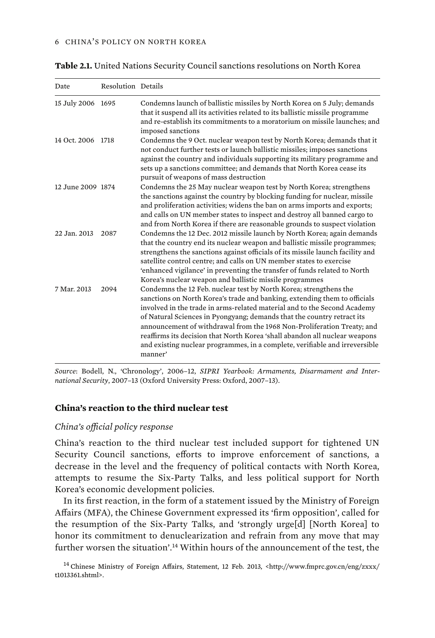| Date              | Resolution Details |                                                                                                                                                                                                                                                                                                                                                                                                                                                                                                                                                        |
|-------------------|--------------------|--------------------------------------------------------------------------------------------------------------------------------------------------------------------------------------------------------------------------------------------------------------------------------------------------------------------------------------------------------------------------------------------------------------------------------------------------------------------------------------------------------------------------------------------------------|
| 15 July 2006 1695 |                    | Condemns launch of ballistic missiles by North Korea on 5 July; demands<br>that it suspend all its activities related to its ballistic missile programme<br>and re-establish its commitments to a moratorium on missile launches; and<br>imposed sanctions                                                                                                                                                                                                                                                                                             |
| 14 Oct. 2006 1718 |                    | Condemns the 9 Oct. nuclear weapon test by North Korea; demands that it<br>not conduct further tests or launch ballistic missiles; imposes sanctions<br>against the country and individuals supporting its military programme and<br>sets up a sanctions committee; and demands that North Korea cease its<br>pursuit of weapons of mass destruction                                                                                                                                                                                                   |
| 12 June 2009 1874 |                    | Condemns the 25 May nuclear weapon test by North Korea; strengthens<br>the sanctions against the country by blocking funding for nuclear, missile<br>and proliferation activities; widens the ban on arms imports and exports;<br>and calls on UN member states to inspect and destroy all banned cargo to<br>and from North Korea if there are reasonable grounds to suspect violation                                                                                                                                                                |
| 22 Jan. 2013      | 2087               | Condemns the 12 Dec. 2012 missile launch by North Korea; again demands<br>that the country end its nuclear weapon and ballistic missile programmes;<br>strengthens the sanctions against officials of its missile launch facility and<br>satellite control centre; and calls on UN member states to exercise<br>'enhanced vigilance' in preventing the transfer of funds related to North<br>Korea's nuclear weapon and ballistic missile programmes                                                                                                   |
| 7 Mar. 2013       | 2094               | Condemns the 12 Feb. nuclear test by North Korea; strengthens the<br>sanctions on North Korea's trade and banking, extending them to officials<br>involved in the trade in arms-related material and to the Second Academy<br>of Natural Sciences in Pyongyang; demands that the country retract its<br>announcement of withdrawal from the 1968 Non-Proliferation Treaty; and<br>reaffirms its decision that North Korea 'shall abandon all nuclear weapons<br>and existing nuclear programmes, in a complete, verifiable and irreversible<br>manner' |

**Table 2.1.** United Nations Security Council sanctions resolutions on North Korea

*Source*: Bodell, N., 'Chronology', 2006–12, *SIPRI Yearbook: Armaments, Disarmament and International Security*, 2007–13 (Oxford University Press: Oxford, 2007–13).

#### **China's reaction to the third nuclear test**

#### *China's official policy response*

China's reaction to the third nuclear test included support for tightened UN Security Council sanctions, efforts to improve enforcement of sanctions, a decrease in the level and the frequency of political contacts with North Korea, attempts to resume the Six-Party Talks, and less political support for North Korea's economic development policies.

In its first reaction, in the form of a statement issued by the Ministry of Foreign Affairs (MFA), the Chinese Government expressed its 'firm opposition', called for the resumption of the Six-Party Talks, and 'strongly urge[d] [North Korea] to honor its commitment to denuclearization and refrain from any move that may further worsen the situation'.<sup>14</sup> Within hours of the announcement of the test, the

<sup>14</sup> Chinese Ministry of Foreign Affairs, Statement, 12 Feb. 2013, <http://www.fmprc.gov.cn/eng/zxxx/ t1013361.shtml>.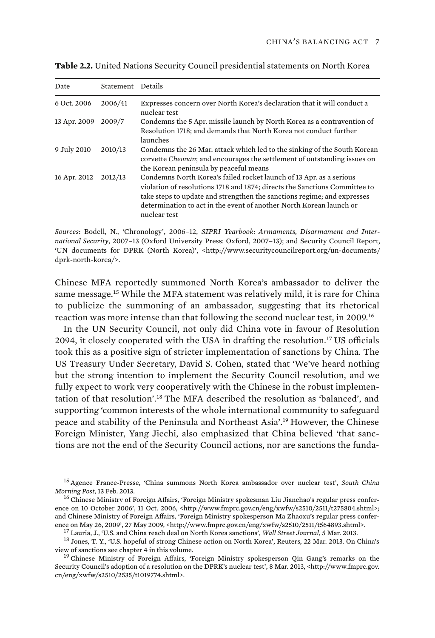| Date         | Statement Details |                                                                                                                                                                                                                                                                                                                     |
|--------------|-------------------|---------------------------------------------------------------------------------------------------------------------------------------------------------------------------------------------------------------------------------------------------------------------------------------------------------------------|
| 6 Oct. 2006  | 2006/41           | Expresses concern over North Korea's declaration that it will conduct a<br>nuclear test                                                                                                                                                                                                                             |
| 13 Apr. 2009 | 2009/7            | Condemns the 5 Apr. missile launch by North Korea as a contravention of<br>Resolution 1718; and demands that North Korea not conduct further<br>launches                                                                                                                                                            |
| 9 July 2010  | 2010/13           | Condemns the 26 Mar. attack which led to the sinking of the South Korean<br>corvette Cheonan; and encourages the settlement of outstanding issues on<br>the Korean peninsula by peaceful means                                                                                                                      |
| 16 Apr. 2012 | 2012/13           | Condemns North Korea's failed rocket launch of 13 Apr. as a serious<br>violation of resolutions 1718 and 1874; directs the Sanctions Committee to<br>take steps to update and strengthen the sanctions regime; and expresses<br>determination to act in the event of another North Korean launch or<br>nuclear test |

**Table 2.2.** United Nations Security Council presidential statements on North Korea

*Sources*: Bodell, N., 'Chronology', 2006–12, *SIPRI Yearbook: Armaments, Disarmament and International Security*, 2007–13 (Oxford University Press: Oxford, 2007–13); and Security Council Report, 'UN documents for DPRK (North Korea)', <http://www.securitycouncilreport.org/un-documents/ dprk-north-korea/>.

Chinese MFA reportedly summoned North Korea's ambassador to deliver the same message.<sup>15</sup> While the MFA statement was relatively mild, it is rare for China to publicize the summoning of an ambassador, suggesting that its rhetorical reaction was more intense than that following the second nuclear test, in 2009.<sup>16</sup>

In the UN Security Council, not only did China vote in favour of Resolution 2094, it closely cooperated with the USA in drafting the resolution.<sup>17</sup> US officials took this as a positive sign of stricter implementation of sanctions by China. The US Treasury Under Secretary, David S. Cohen, stated that 'We've heard nothing but the strong intention to implement the Security Council resolution, and we fully expect to work very cooperatively with the Chinese in the robust implementation of that resolution'.<sup>18</sup> The MFA described the resolution as 'balanced', and supporting 'common interests of the whole international community to safeguard peace and stability of the Peninsula and Northeast Asia'.<sup>19</sup> However, the Chinese Foreign Minister, Yang Jiechi, also emphasized that China believed 'that sanctions are not the end of the Security Council actions, nor are sanctions the funda-

<sup>15</sup> Agence France-Presse, 'China summons North Korea ambassador over nuclear test', *South China* 

ence on May 26, 2009', 27 May 2009, <http://www.fmprc.gov.cn/eng/xwfw/s2510/2511/t564893.shtml>.<br><sup>17</sup> Lauria, J., 'U.S. and China reach deal on North Korea sanctions', *Wall Street Journal*, 5 Mar. 2013.<br><sup>18</sup> Jones, T. Y.

 $^{19}$  Chinese Ministry of Foreign Affairs, 'Foreign Ministry spokesperson Qin Gang's remarks on the Security Council's adoption of a resolution on the DPRK's nuclear test', 8 Mar. 2013, <http://www.fmprc.gov. cn/eng/xwfw/s2510/2535/t1019774.shtml>.

<sup>&</sup>lt;sup>16</sup> Chinese Ministry of Foreign Affairs, 'Foreign Ministry spokesman Liu Jianchao's regular press conference on 10 October 2006', 11 Oct. 2006, <http://www.fmprc.gov.cn/eng/xwfw/s2510/2511/t275804.shtml>; and Chinese Ministry of Foreign Affairs, 'Foreign Ministry spokesperson Ma Zhaoxu's regular press confer-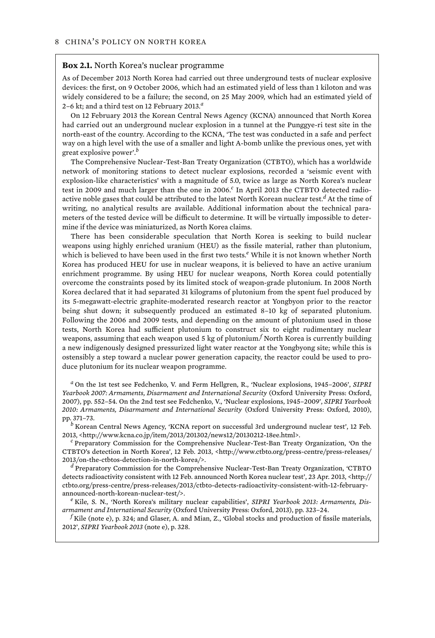#### **Box 2.1.** North Korea's nuclear programme

As of December 2013 North Korea had carried out three underground tests of nuclear explosive devices: the first, on 9 October 2006, which had an estimated yield of less than 1 kiloton and was widely considered to be a failure; the second, on 25 May 2009, which had an estimated yield of 2–6 kt; and a third test on 12 February 2013.*<sup>a</sup>*

On 12 February 2013 the Korean Central News Agency (KCNA) announced that North Korea had carried out an underground nuclear explosion in a tunnel at the Punggye-ri test site in the north-east of the country. According to the KCNA, 'The test was conducted in a safe and perfect way on a high level with the use of a smaller and light A-bomb unlike the previous ones, yet with great explosive power'.*<sup>b</sup>*

The Comprehensive Nuclear-Test-Ban Treaty Organization (CTBTO), which has a worldwide network of monitoring stations to detect nuclear explosions, recorded a 'seismic event with explosion-like characteristics' with a magnitude of 5.0, twice as large as North Korea's nuclear test in 2009 and much larger than the one in 2006.*<sup>c</sup>* In April 2013 the CTBTO detected radioactive noble gases that could be attributed to the latest North Korean nuclear test.*<sup>d</sup>* At the time of writing, no analytical results are available. Additional information about the technical parameters of the tested device will be difficult to determine. It will be virtually impossible to determine if the device was miniaturized, as North Korea claims.

There has been considerable speculation that North Korea is seeking to build nuclear weapons using highly enriched uranium (HEU) as the fissile material, rather than plutonium, which is believed to have been used in the first two tests.*<sup>e</sup>* While it is not known whether North Korea has produced HEU for use in nuclear weapons, it is believed to have an active uranium enrichment programme. By using HEU for nuclear weapons, North Korea could potentially overcome the constraints posed by its limited stock of weapon-grade plutonium. In 2008 North Korea declared that it had separated 31 kilograms of plutonium from the spent fuel produced by its 5-megawatt-electric graphite-moderated research reactor at Yongbyon prior to the reactor being shut down; it subsequently produced an estimated 8–10 kg of separated plutonium. Following the 2006 and 2009 tests, and depending on the amount of plutonium used in those tests, North Korea had sufficient plutonium to construct six to eight rudimentary nuclear weapons, assuming that each weapon used 5 kg of plutonium. $^f$  North Korea is currently building a new indigenously designed pressurized light water reactor at the Yongbyong site; while this is ostensibly a step toward a nuclear power generation capacity, the reactor could be used to produce plutonium for its nuclear weapon programme.

*a* On the 1st test see Fedchenko, V. and Ferm Hellgren, R., 'Nuclear explosions, 1945–2006', *SIPRI Yearbook 2007: Armaments, Disarmament and International Security* (Oxford University Press: Oxford, 2007), pp. 552–54. On the 2nd test see Fedchenko, V., 'Nuclear explosions, 1945–2009', *SIPRI Yearbook 2010: Armaments, Disarmament and International Security* (Oxford University Press: Oxford, 2010), pp. 371–73. *<sup>b</sup>*

 $<sup>b</sup>$  Korean Central News Agency, 'KCNA report on successful 3rd underground nuclear test', 12 Feb.</sup> 2013, <http://www.kcna.co.jp/item/2013/201302/news12/20130212-18ee.html>. *<sup>c</sup>*

 $c$  Preparatory Commission for the Comprehensive Nuclear-Test-Ban Treaty Organization, 'On the CTBTO's detection in North Korea', 12 Feb. 2013, <http://www.ctbto.org/press-centre/press-releases/ 2013/on-the-ctbtos-detection-in-north-korea/>. *<sup>d</sup>*

 $<sup>d</sup>$  Preparatory Commission for the Comprehensive Nuclear-Test-Ban Treaty Organization, 'CTBTO</sup> detects radioactivity consistent with 12 Feb. announced North Korea nuclear test', 23 Apr. 2013, <http:// ctbto.org/press-centre/press-releases/2013/ctbto-detects-radioactivity-consistent-with-12-februaryannounced-north-korean-nuclear-test/>. *<sup>e</sup>*

<sup>e</sup> Kile, S. N., 'North Korea's military nuclear capabilities', *SIPRI Yearbook 2013: Armaments, Disarmament and International Security* (Oxford University Press: Oxford, 2013), pp. 323–24. *<sup>f</sup>*

<sup>f</sup> Kile (note e), p. 324; and Glaser, A. and Mian, Z., 'Global stocks and production of fissile materials, 2012', *SIPRI Yearbook 2013* (note e), p. 328.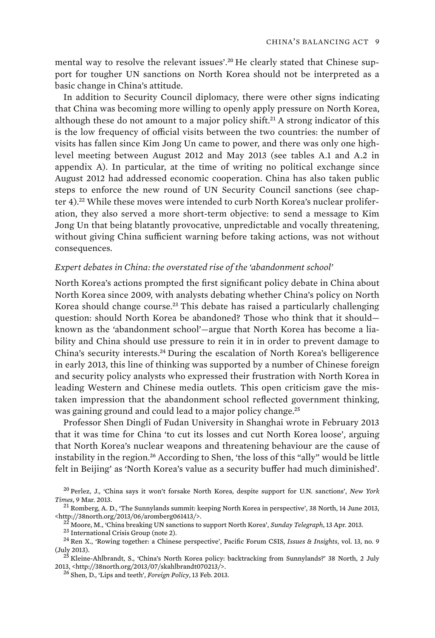mental way to resolve the relevant issues'.20 He clearly stated that Chinese support for tougher UN sanctions on North Korea should not be interpreted as a basic change in China's attitude.

In addition to Security Council diplomacy, there were other signs indicating that China was becoming more willing to openly apply pressure on North Korea, although these do not amount to a major policy shift.<sup>21</sup> A strong indicator of this is the low frequency of official visits between the two countries: the number of visits has fallen since Kim Jong Un came to power, and there was only one highlevel meeting between August 2012 and May 2013 (see tables A.1 and A.2 in appendix A). In particular, at the time of writing no political exchange since August 2012 had addressed economic cooperation. China has also taken public steps to enforce the new round of UN Security Council sanctions (see chapter 4).<sup>22</sup> While these moves were intended to curb North Korea's nuclear proliferation, they also served a more short-term objective: to send a message to Kim Jong Un that being blatantly provocative, unpredictable and vocally threatening, without giving China sufficient warning before taking actions, was not without consequences.

#### *Expert debates in China: the overstated rise of the 'abandonment school'*

North Korea's actions prompted the first significant policy debate in China about North Korea since 2009, with analysts debating whether China's policy on North Korea should change course.<sup>23</sup> This debate has raised a particularly challenging question: should North Korea be abandoned? Those who think that it should known as the 'abandonment school'—argue that North Korea has become a liability and China should use pressure to rein it in in order to prevent damage to China's security interests.<sup>24</sup> During the escalation of North Korea's belligerence in early 2013, this line of thinking was supported by a number of Chinese foreign and security policy analysts who expressed their frustration with North Korea in leading Western and Chinese media outlets. This open criticism gave the mistaken impression that the abandonment school reflected government thinking, was gaining ground and could lead to a major policy change.<sup>25</sup>

Professor Shen Dingli of Fudan University in Shanghai wrote in February 2013 that it was time for China 'to cut its losses and cut North Korea loose', arguing that North Korea's nuclear weapons and threatening behaviour are the cause of instability in the region.<sup>26</sup> According to Shen, 'the loss of this "ally" would be little felt in Beijing' as 'North Korea's value as a security buffer had much diminished'.

<sup>20</sup> Perlez, J., 'China says it won't forsake North Korea, despite support for U.N. sanctions', *New York Times*, 9 Mar. 2013. 21 Romberg, A. D., 'The Sunnylands summit: keeping North Korea in perspective', 38 North, 14 June 2013,

<sup>%&</sup>lt;http://38north.org/2013/06/aromberg061413/>.<br>
<sup>22</sup> Moore, M., 'China breaking UN sanctions to support North Korea', *Sunday Telegraph*, 13 Apr. 2013.<br>
<sup>23</sup> International Crisis Group (note 2).<br>
<sup>24</sup> Ren X., 'Rowing toge

<sup>(</sup>July 2013). 2013). 25 Kleine-Ahlbrandt, S., 'China's North Korea policy: backtracking from Sunnylands?' 38 North, 2 July<br>2013, <http://38north.org/2013/07/skahlbrandt070213/>.

<sup>&</sup>lt;sup>26</sup> Shen, D., 'Lips and teeth', *Foreign Policy*, 13 Feb. 2013.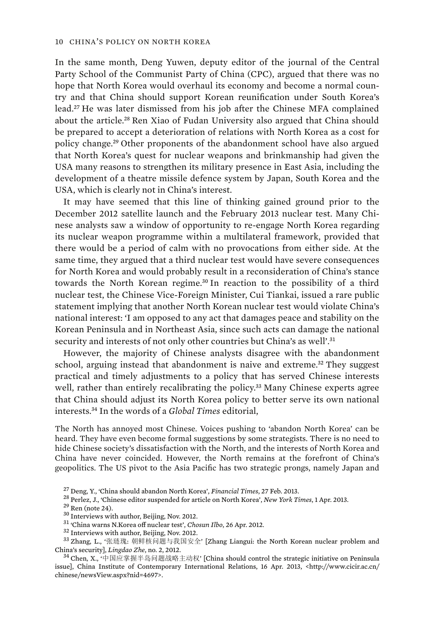In the same month, Deng Yuwen, deputy editor of the journal of the Central Party School of the Communist Party of China (CPC), argued that there was no hope that North Korea would overhaul its economy and become a normal country and that China should support Korean reunification under South Korea's lead.<sup>27</sup> He was later dismissed from his job after the Chinese MFA complained about the article.<sup>28</sup> Ren Xiao of Fudan University also argued that China should be prepared to accept a deterioration of relations with North Korea as a cost for policy change.<sup>29</sup> Other proponents of the abandonment school have also argued that North Korea's quest for nuclear weapons and brinkmanship had given the USA many reasons to strengthen its military presence in East Asia, including the development of a theatre missile defence system by Japan, South Korea and the USA, which is clearly not in China's interest.

It may have seemed that this line of thinking gained ground prior to the December 2012 satellite launch and the February 2013 nuclear test. Many Chinese analysts saw a window of opportunity to re-engage North Korea regarding its nuclear weapon programme within a multilateral framework, provided that there would be a period of calm with no provocations from either side. At the same time, they argued that a third nuclear test would have severe consequences for North Korea and would probably result in a reconsideration of China's stance towards the North Korean regime.<sup>30</sup> In reaction to the possibility of a third nuclear test, the Chinese Vice-Foreign Minister, Cui Tiankai, issued a rare public statement implying that another North Korean nuclear test would violate China's national interest: 'I am opposed to any act that damages peace and stability on the Korean Peninsula and in Northeast Asia, since such acts can damage the national security and interests of not only other countries but China's as well'.<sup>31</sup>

However, the majority of Chinese analysts disagree with the abandonment school, arguing instead that abandonment is naive and extreme.<sup>32</sup> They suggest practical and timely adjustments to a policy that has served Chinese interests well, rather than entirely recalibrating the policy.<sup>33</sup> Many Chinese experts agree that China should adjust its North Korea policy to better serve its own national interests.<sup>34</sup> In the words of a *Global Times* editorial,

The North has annoyed most Chinese. Voices pushing to 'abandon North Korea' can be heard. They have even become formal suggestions by some strategists. There is no need to hide Chinese society's dissatisfaction with the North, and the interests of North Korea and China have never coincided. However, the North remains at the forefront of China's geopolitics. The US pivot to the Asia Pacific has two strategic prongs, namely Japan and

<sup>27</sup> Deng, Y., 'China should abandon North Korea', *Financial Times*, 27 Feb. 2013.<br><sup>28</sup> Perlez, J., 'Chinese editor suspended for article on North Korea', *New York Times*, 1 Apr. 2013.<br><sup>29</sup> Ren (note 24).<br><sup>30</sup> Interview China's security], *Lingdao Zhe*, no. 2, 2012.<br><sup>34</sup> Chen, X., '中国应掌握半岛问题战略主动权' [China should control the strategic initiative on Peninsula

issue], China Institute of Contemporary International Relations, 16 Apr. 2013, <http://www.cicir.ac.cn/ chinese/newsView.aspx?nid=4697>.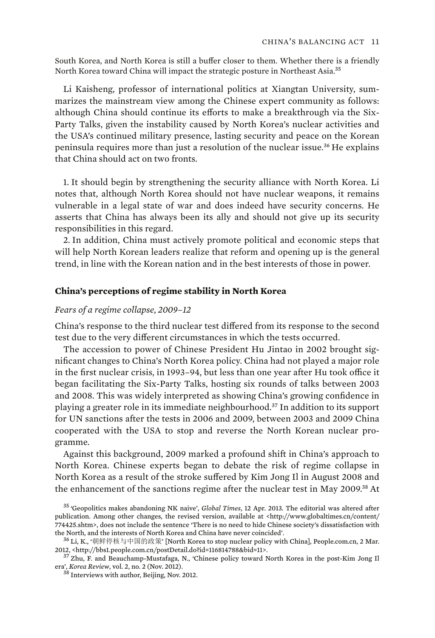South Korea, and North Korea is still a buffer closer to them. Whether there is a friendly North Korea toward China will impact the strategic posture in Northeast Asia.<sup>35</sup>

Li Kaisheng, professor of international politics at Xiangtan University, summarizes the mainstream view among the Chinese expert community as follows: although China should continue its efforts to make a breakthrough via the Six-Party Talks, given the instability caused by North Korea's nuclear activities and the USA's continued military presence, lasting security and peace on the Korean peninsula requires more than just a resolution of the nuclear issue.<sup>36</sup> He explains that China should act on two fronts.

1. It should begin by strengthening the security alliance with North Korea. Li notes that, although North Korea should not have nuclear weapons, it remains vulnerable in a legal state of war and does indeed have security concerns. He asserts that China has always been its ally and should not give up its security responsibilities in this regard.

2. In addition, China must actively promote political and economic steps that will help North Korean leaders realize that reform and opening up is the general trend, in line with the Korean nation and in the best interests of those in power.

#### **China's perceptions of regime stability in North Korea**

#### *Fears of a regime collapse, 2009–12*

China's response to the third nuclear test differed from its response to the second test due to the very different circumstances in which the tests occurred.

The accession to power of Chinese President Hu Jintao in 2002 brought significant changes to China's North Korea policy. China had not played a major role in the first nuclear crisis, in 1993–94, but less than one year after Hu took office it began facilitating the Six-Party Talks, hosting six rounds of talks between 2003 and 2008. This was widely interpreted as showing China's growing confidence in playing a greater role in its immediate neighbourhood.<sup>37</sup> In addition to its support for UN sanctions after the tests in 2006 and 2009, between 2003 and 2009 China cooperated with the USA to stop and reverse the North Korean nuclear programme.

Against this background, 2009 marked a profound shift in China's approach to North Korea. Chinese experts began to debate the risk of regime collapse in North Korea as a result of the stroke suffered by Kim Jong Il in August 2008 and the enhancement of the sanctions regime after the nuclear test in May 2009.<sup>38</sup> At

<sup>35</sup> 'Geopolitics makes abandoning NK naive', *Global Times*, 12 Apr. 2013. The editorial was altered after publication. Among other changes, the revised version, available at <http://www.globaltimes.cn/content/ 774425.shtm>, does not include the sentence 'There is no need to hide Chinese society's dissatisfaction with

the North, and the interests of North Korea and China have never coincided'.<br><sup>36</sup> Li, K., '朝鲜停核与中国的政策' [North Korea to stop nuclear policy with China], People.com.cn, 2 Mar.

<sup>2012, &</sup>lt;http://bbs1.people.com.cn/postDetail.do?id=116814788&bid=11>.<br><sup>37</sup> Zhu, F. and Beauchamp-Mustafaga, N., 'Chinese policy toward North Korea in the post-Kim Jong Il<br>era', *Korea Review*, vol. 2, no. 2 (Nov. 2012).

<sup>&</sup>lt;sup>38</sup> Interviews with author, Beijing, Nov. 2012.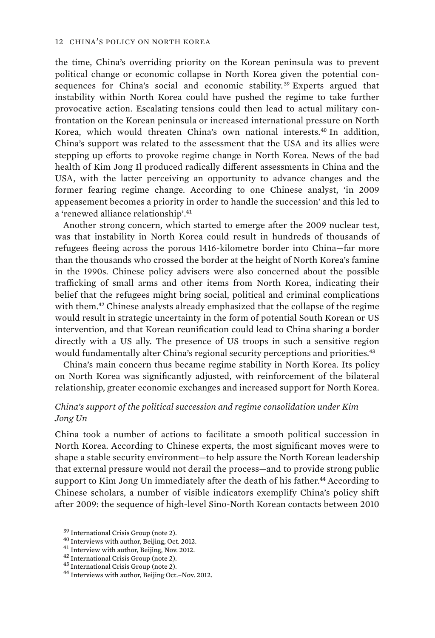the time, China's overriding priority on the Korean peninsula was to prevent political change or economic collapse in North Korea given the potential consequences for China's social and economic stability.<sup>39</sup> Experts argued that instability within North Korea could have pushed the regime to take further provocative action. Escalating tensions could then lead to actual military confrontation on the Korean peninsula or increased international pressure on North Korea, which would threaten China's own national interests.<sup>40</sup> In addition, China's support was related to the assessment that the USA and its allies were stepping up efforts to provoke regime change in North Korea. News of the bad health of Kim Jong Il produced radically different assessments in China and the USA, with the latter perceiving an opportunity to advance changes and the former fearing regime change. According to one Chinese analyst, 'in 2009 appeasement becomes a priority in order to handle the succession' and this led to a 'renewed alliance relationship'.<sup>41</sup>

Another strong concern, which started to emerge after the 2009 nuclear test, was that instability in North Korea could result in hundreds of thousands of refugees fleeing across the porous 1416-kilometre border into China—far more than the thousands who crossed the border at the height of North Korea's famine in the 1990s. Chinese policy advisers were also concerned about the possible trafficking of small arms and other items from North Korea, indicating their belief that the refugees might bring social, political and criminal complications with them.<sup>42</sup> Chinese analysts already emphasized that the collapse of the regime would result in strategic uncertainty in the form of potential South Korean or US intervention, and that Korean reunification could lead to China sharing a border directly with a US ally. The presence of US troops in such a sensitive region would fundamentally alter China's regional security perceptions and priorities.<sup>43</sup>

China's main concern thus became regime stability in North Korea. Its policy on North Korea was significantly adjusted, with reinforcement of the bilateral relationship, greater economic exchanges and increased support for North Korea.

#### *China's support of the political succession and regime consolidation under Kim Jong Un*

China took a number of actions to facilitate a smooth political succession in North Korea. According to Chinese experts, the most significant moves were to shape a stable security environment—to help assure the North Korean leadership that external pressure would not derail the process—and to provide strong public support to Kim Jong Un immediately after the death of his father.<sup>44</sup> According to Chinese scholars, a number of visible indicators exemplify China's policy shift after 2009: the sequence of high-level Sino-North Korean contacts between 2010

<sup>&</sup>lt;sup>39</sup> International Crisis Group (note 2).<br><sup>40</sup> Interviews with author, Beijing, Oct. 2012.<br><sup>41</sup> Interview with author, Beijing, Nov. 2012.<br><sup>42</sup> International Crisis Group (note 2).<br><sup>43</sup> International Crisis Group (note 2)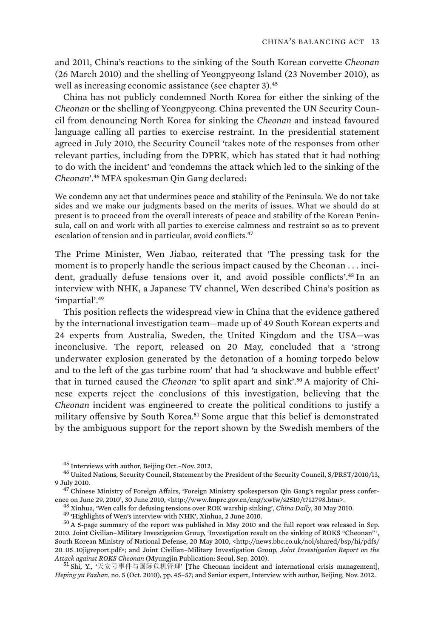and 2011, China's reactions to the sinking of the South Korean corvette *Cheonan* (26 March 2010) and the shelling of Yeongpyeong Island (23 November 2010), as well as increasing economic assistance (see chapter 3).<sup>45</sup>

China has not publicly condemned North Korea for either the sinking of the *Cheonan* or the shelling of Yeongpyeong. China prevented the UN Security Council from denouncing North Korea for sinking the *Cheonan* and instead favoured language calling all parties to exercise restraint. In the presidential statement agreed in July 2010, the Security Council 'takes note of the responses from other relevant parties, including from the DPRK, which has stated that it had nothing to do with the incident' and 'condemns the attack which led to the sinking of the *Cheonan*'.<sup>46</sup> MFA spokesman Qin Gang declared:

We condemn any act that undermines peace and stability of the Peninsula. We do not take sides and we make our judgments based on the merits of issues. What we should do at present is to proceed from the overall interests of peace and stability of the Korean Peninsula, call on and work with all parties to exercise calmness and restraint so as to prevent escalation of tension and in particular, avoid conflicts.<sup>47</sup>

The Prime Minister, Wen Jiabao, reiterated that 'The pressing task for the moment is to properly handle the serious impact caused by the Cheonan . . . incident, gradually defuse tensions over it, and avoid possible conflicts'.<sup>48</sup> In an interview with NHK, a Japanese TV channel, Wen described China's position as 'impartial'.<sup>49</sup>

This position reflects the widespread view in China that the evidence gathered by the international investigation team—made up of 49 South Korean experts and 24 experts from Australia, Sweden, the United Kingdom and the USA—was inconclusive. The report, released on 20 May, concluded that a 'strong underwater explosion generated by the detonation of a homing torpedo below and to the left of the gas turbine room' that had 'a shockwave and bubble effect' that in turned caused the *Cheonan* 'to split apart and sink'.50 A majority of Chinese experts reject the conclusions of this investigation, believing that the *Cheonan* incident was engineered to create the political conditions to justify a military offensive by South Korea.<sup>51</sup> Some argue that this belief is demonstrated by the ambiguous support for the report shown by the Swedish members of the

 $^{45}$  Interviews with author, Beijing Oct.–Nov. 2012.<br> $^{46}$  United Nations, Security Council, Statement by the President of the Security Council, S/PRST/2010/13,

<sup>9</sup> July 2010.<br><sup>47</sup> Chinese Ministry of Foreign Affairs, 'Foreign Ministry spokesperson Qin Gang's regular press confer-<br>ence on June 29, 2010', 30 June 2010, <http://www.fmprc.gov.cn/eng/xwfw/s2510/t712798.htm>.

<sup>&</sup>lt;sup>48</sup> Xinhua, 'Wen calls for defusing tensions over ROK warship sinking', *China Daily*, 30 May 2010.<br><sup>49</sup> 'Highlights of Wen's interview with NHK', Xinhua, 2 June 2010.<br><sup>50</sup> A 5-page summary of the report was published in 2010. Joint Civilian–Military Investigation Group, 'Investigation result on the sinking of ROKS "Cheonan" ', South Korean Ministry of National Defense, 20 May 2010, <http://news.bbc.co.uk/nol/shared/bsp/hi/pdfs/ 20\_05\_10jigreport.pdf>; and Joint Civilian–Military Investigation Group, *Joint Investigation Report on the*  A*ttack against ROKS Cheonan* (Myungjin Publication: Seoul, Sep. 2010).<br>51 Shi, Y., '天安号事件与国际危机管理' [The Cheonan incident and international crisis management],

*Heping yu Fazhan*, no. 5 (Oct. 2010), pp. 45–57; and Senior expert, Interview with author, Beijing, Nov. 2012.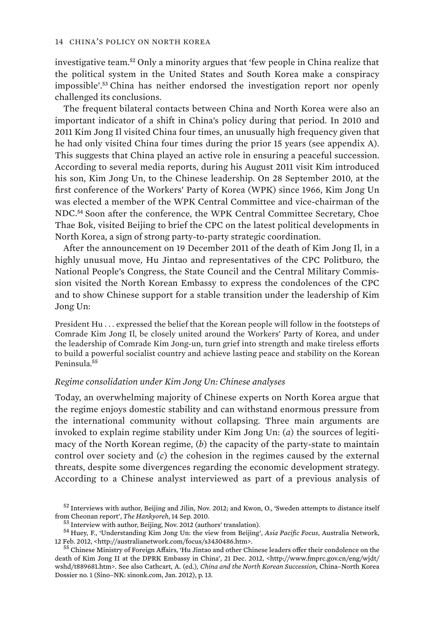investigative team.<sup>52</sup> Only a minority argues that 'few people in China realize that the political system in the United States and South Korea make a conspiracy impossible'.<sup>53</sup> China has neither endorsed the investigation report nor openly challenged its conclusions.

The frequent bilateral contacts between China and North Korea were also an important indicator of a shift in China's policy during that period. In 2010 and 2011 Kim Jong Il visited China four times, an unusually high frequency given that he had only visited China four times during the prior 15 years (see appendix A). This suggests that China played an active role in ensuring a peaceful succession. According to several media reports, during his August 2011 visit Kim introduced his son, Kim Jong Un, to the Chinese leadership. On 28 September 2010, at the first conference of the Workers' Party of Korea (WPK) since 1966, Kim Jong Un was elected a member of the WPK Central Committee and vice-chairman of the NDC.<sup>54</sup> Soon after the conference, the WPK Central Committee Secretary, Choe Thae Bok, visited Beijing to brief the CPC on the latest political developments in North Korea, a sign of strong party-to-party strategic coordination.

After the announcement on 19 December 2011 of the death of Kim Jong Il, in a highly unusual move, Hu Jintao and representatives of the CPC Politburo, the National People's Congress, the State Council and the Central Military Commission visited the North Korean Embassy to express the condolences of the CPC and to show Chinese support for a stable transition under the leadership of Kim Jong Un:

President Hu . . . expressed the belief that the Korean people will follow in the footsteps of Comrade Kim Jong Il, be closely united around the Workers' Party of Korea, and under the leadership of Comrade Kim Jong-un, turn grief into strength and make tireless efforts to build a powerful socialist country and achieve lasting peace and stability on the Korean Peninsula.<sup>55</sup>

#### *Regime consolidation under Kim Jong Un: Chinese analyses*

Today, an overwhelming majority of Chinese experts on North Korea argue that the regime enjoys domestic stability and can withstand enormous pressure from the international community without collapsing. Three main arguments are invoked to explain regime stability under Kim Jong Un: (*a*) the sources of legitimacy of the North Korean regime, (*b*) the capacity of the party-state to maintain control over society and (*c*) the cohesion in the regimes caused by the external threats, despite some divergences regarding the economic development strategy. According to a Chinese analyst interviewed as part of a previous analysis of

 $52$  Interviews with author, Beijing and Jilin, Nov. 2012; and Kwon, O., 'Sweden attempts to distance itself from Cheonan report', *The Hankyoreh*, 14 Sep. 2010.

<sup>&</sup>lt;sup>53</sup> Interview with author, Beijing, Nov. 2012 (authors' translation).<br><sup>54</sup> Huey, F., 'Understanding Kim Jong Un: the view from Beijing', *Asia Pacific Focus*, Australia Network,<br>12 Feb. 2012, <http://australianetwork.com

<sup>&</sup>lt;sup>55</sup> Chinese Ministry of Foreign Affairs, 'Hu Jintao and other Chinese leaders offer their condolence on the death of Kim Jong II at the DPRK Embassy in China', 21 Dec. 2012, <http://www.fmprc.gov.cn/eng/wjdt/ wshd/t889681.htm>. See also Cathcart, A. (ed.), *China and the North Korean Succession*, China–North Korea Dossier no. 1 (Sino–NK: sinonk.com, Jan. 2012), p. 13.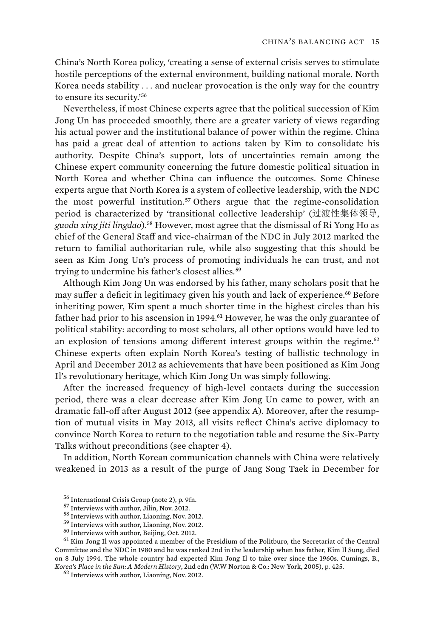China's North Korea policy, 'creating a sense of external crisis serves to stimulate hostile perceptions of the external environment, building national morale. North Korea needs stability . . . and nuclear provocation is the only way for the country to ensure its security.'<sup>56</sup>

Nevertheless, if most Chinese experts agree that the political succession of Kim Jong Un has proceeded smoothly, there are a greater variety of views regarding his actual power and the institutional balance of power within the regime. China has paid a great deal of attention to actions taken by Kim to consolidate his authority. Despite China's support, lots of uncertainties remain among the Chinese expert community concerning the future domestic political situation in North Korea and whether China can influence the outcomes. Some Chinese experts argue that North Korea is a system of collective leadership, with the NDC the most powerful institution.<sup>57</sup> Others argue that the regime-consolidation period is characterized by 'transitional collective leadership' (过渡性集体领导, *guodu xing jiti lingdao*).<sup>58</sup> However, most agree that the dismissal of Ri Yong Ho as chief of the General Staff and vice-chairman of the NDC in July 2012 marked the return to familial authoritarian rule, while also suggesting that this should be seen as Kim Jong Un's process of promoting individuals he can trust, and not trying to undermine his father's closest allies.<sup>59</sup>

Although Kim Jong Un was endorsed by his father, many scholars posit that he may suffer a deficit in legitimacy given his youth and lack of experience.<sup>60</sup> Before inheriting power, Kim spent a much shorter time in the highest circles than his father had prior to his ascension in 1994.<sup>61</sup> However, he was the only guarantee of political stability: according to most scholars, all other options would have led to an explosion of tensions among different interest groups within the regime. $62$ Chinese experts often explain North Korea's testing of ballistic technology in April and December 2012 as achievements that have been positioned as Kim Jong Il's revolutionary heritage, which Kim Jong Un was simply following.

After the increased frequency of high-level contacts during the succession period, there was a clear decrease after Kim Jong Un came to power, with an dramatic fall-off after August 2012 (see appendix A). Moreover, after the resumption of mutual visits in May 2013, all visits reflect China's active diplomacy to convince North Korea to return to the negotiation table and resume the Six-Party Talks without preconditions (see chapter 4).

In addition, North Korean communication channels with China were relatively weakened in 2013 as a result of the purge of Jang Song Taek in December for

<sup>56</sup> International Crisis Group (note 2), p. 9fn.<br><sup>57</sup> Interviews with author, Jilin, Nov. 2012.<br><sup>58</sup> Interviews with author, Liaoning, Nov. 2012.<br><sup>59</sup> Interviews with author, Liaoning, Nov. 2012.<br><sup>60</sup> Interviews with aut Committee and the NDC in 1980 and he was ranked 2nd in the leadership when has father, Kim Il Sung, died on 8 July 1994. The whole country had expected Kim Jong Il to take over since the 1960s. Cumings, B., *Korea's Place in the Sun: A Modern History*, 2nd edn (W.W Norton & Co.: New York, 2005), p. 425. 62 Interviews with author, Liaoning, Nov. 2012.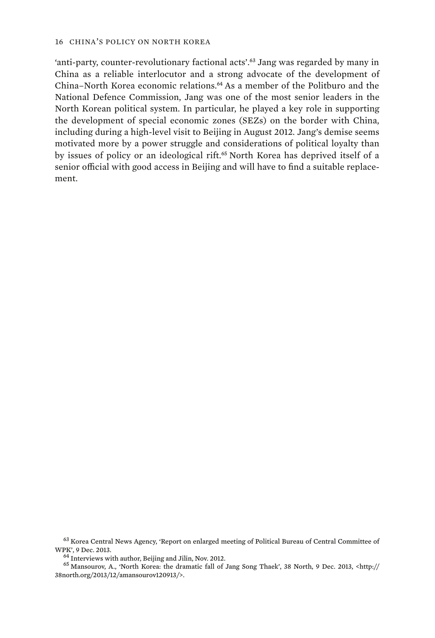'anti-party, counter-revolutionary factional acts'.<sup>63</sup> Jang was regarded by many in China as a reliable interlocutor and a strong advocate of the development of China–North Korea economic relations.<sup>64</sup> As a member of the Politburo and the National Defence Commission, Jang was one of the most senior leaders in the North Korean political system. In particular, he played a key role in supporting the development of special economic zones (SEZs) on the border with China, including during a high-level visit to Beijing in August 2012. Jang's demise seems motivated more by a power struggle and considerations of political loyalty than by issues of policy or an ideological rift.<sup>65</sup> North Korea has deprived itself of a senior official with good access in Beijing and will have to find a suitable replacement.

 $^{63}$  Korea Central News Agency, 'Report on enlarged meeting of Political Bureau of Central Committee of WPK', 9 Dec. 2013.

 $^{64}$  Interviews with author, Beijing and Jilin, Nov. 2012.<br> $^{65}$  Mansourov, A., 'North Korea: the dramatic fall of Jang Song Thaek', 38 North, 9 Dec. 2013, <http:// 38north.org/2013/12/amansourov120913/>.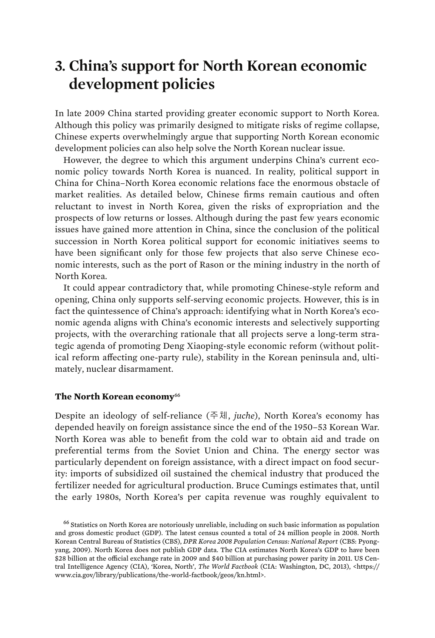### **3. China's support for North Korean economic development policies**

In late 2009 China started providing greater economic support to North Korea. Although this policy was primarily designed to mitigate risks of regime collapse, Chinese experts overwhelmingly argue that supporting North Korean economic development policies can also help solve the North Korean nuclear issue.

However, the degree to which this argument underpins China's current economic policy towards North Korea is nuanced. In reality, political support in China for China–North Korea economic relations face the enormous obstacle of market realities. As detailed below, Chinese firms remain cautious and often reluctant to invest in North Korea, given the risks of expropriation and the prospects of low returns or losses. Although during the past few years economic issues have gained more attention in China, since the conclusion of the political succession in North Korea political support for economic initiatives seems to have been significant only for those few projects that also serve Chinese economic interests, such as the port of Rason or the mining industry in the north of North Korea.

It could appear contradictory that, while promoting Chinese-style reform and opening, China only supports self-serving economic projects. However, this is in fact the quintessence of China's approach: identifying what in North Korea's economic agenda aligns with China's economic interests and selectively supporting projects, with the overarching rationale that all projects serve a long-term strategic agenda of promoting Deng Xiaoping-style economic reform (without political reform affecting one-party rule), stability in the Korean peninsula and, ultimately, nuclear disarmament.

#### **The North Korean economy**<sup>66</sup>

Despite an ideology of self-reliance (주체, *juche*), North Korea's economy has depended heavily on foreign assistance since the end of the 1950–53 Korean War. North Korea was able to benefit from the cold war to obtain aid and trade on preferential terms from the Soviet Union and China. The energy sector was particularly dependent on foreign assistance, with a direct impact on food security: imports of subsidized oil sustained the chemical industry that produced the fertilizer needed for agricultural production. Bruce Cumings estimates that, until the early 1980s, North Korea's per capita revenue was roughly equivalent to

<sup>66</sup> Statistics on North Korea are notoriously unreliable, including on such basic information as population and gross domestic product (GDP). The latest census counted a total of 24 million people in 2008. North Korean Central Bureau of Statistics (CBS), *DPR Korea 2008 Population Census: National Report* (CBS: Pyongyang, 2009). North Korea does not publish GDP data. The CIA estimates North Korea's GDP to have been \$28 billion at the official exchange rate in 2009 and \$40 billion at purchasing power parity in 2011. US Central Intelligence Agency (CIA), 'Korea, North', *The World Factbook* (CIA: Washington, DC, 2013), <https:// www.cia.gov/library/publications/the-world-factbook/geos/kn.html>.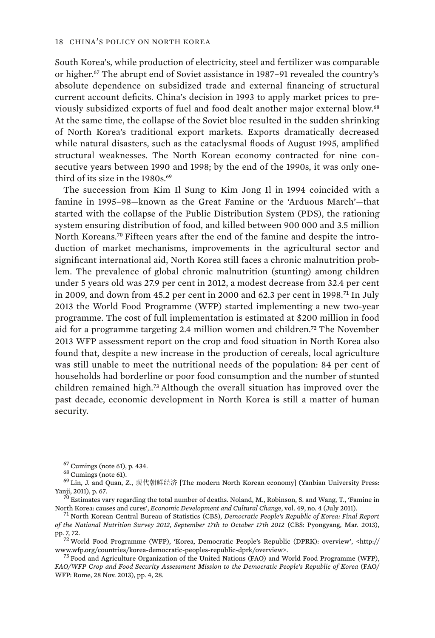South Korea's, while production of electricity, steel and fertilizer was comparable or higher.<sup>67</sup> The abrupt end of Soviet assistance in 1987–91 revealed the country's absolute dependence on subsidized trade and external financing of structural current account deficits. China's decision in 1993 to apply market prices to previously subsidized exports of fuel and food dealt another major external blow.<sup>68</sup> At the same time, the collapse of the Soviet bloc resulted in the sudden shrinking of North Korea's traditional export markets. Exports dramatically decreased while natural disasters, such as the cataclysmal floods of August 1995, amplified structural weaknesses. The North Korean economy contracted for nine consecutive years between 1990 and 1998; by the end of the 1990s, it was only onethird of its size in the 1980s.<sup>69</sup>

The succession from Kim Il Sung to Kim Jong Il in 1994 coincided with a famine in 1995–98—known as the Great Famine or the 'Arduous March'—that started with the collapse of the Public Distribution System (PDS), the rationing system ensuring distribution of food, and killed between 900 000 and 3.5 million North Koreans.<sup>70</sup> Fifteen years after the end of the famine and despite the introduction of market mechanisms, improvements in the agricultural sector and significant international aid, North Korea still faces a chronic malnutrition problem. The prevalence of global chronic malnutrition (stunting) among children under 5 years old was 27.9 per cent in 2012, a modest decrease from 32.4 per cent in 2009, and down from 45.2 per cent in 2000 and 62.3 per cent in 1998.<sup>71</sup> In July 2013 the World Food Programme (WFP) started implementing a new two-year programme. The cost of full implementation is estimated at \$200 million in food aid for a programme targeting 2.4 million women and children.<sup>72</sup> The November 2013 WFP assessment report on the crop and food situation in North Korea also found that, despite a new increase in the production of cereals, local agriculture was still unable to meet the nutritional needs of the population: 84 per cent of households had borderline or poor food consumption and the number of stunted children remained high.<sup>73</sup> Although the overall situation has improved over the past decade, economic development in North Korea is still a matter of human security.

<sup>67</sup> Cumings (note 61), p. 434.<br><sup>68</sup> Cumings (note 61).<br><sup>69</sup> Lin, J. and Quan, Z.,  $\mathbb{R}$ *f* Yanji, 2011), p. 67.  $^{69}$  Lin, J. and Ouan, Z., 现代朝鲜经济 [The modern North Korean economy] (Yanbian University Press:

 $^{70}$  Estimates vary regarding the total number of deaths. Noland, M., Robinson, S. and Wang, T., 'Famine in North Korea: causes and cures', *Economic Development and Cultural Change*, vol. 49, no. 4 (July 2011). 71 North Korean Central Bureau of Statistics (CBS), *Democratic People's Republic of Korea: Final Report* 

*of the National Nutrition Survey 2012, September 17th to October 17th 2012* (CBS: Pyongyang, Mar. 2013),

pp. 7, 72.<br><sup>72</sup> World Food Programme (WFP), 'Korea, Democratic People's Republic (DPRK): overview', <http://<br>www.wfp.org/countries/korea-democratic-peoples-republic-dprk/overview>.

 $^{73}$  Food and Agriculture Organization of the United Nations (FAO) and World Food Programme (WFP), *FAO/WFP Crop and Food Security Assessment Mission to the Democratic People's Republic of Korea* (FAO/ WFP: Rome, 28 Nov. 2013), pp. 4, 28.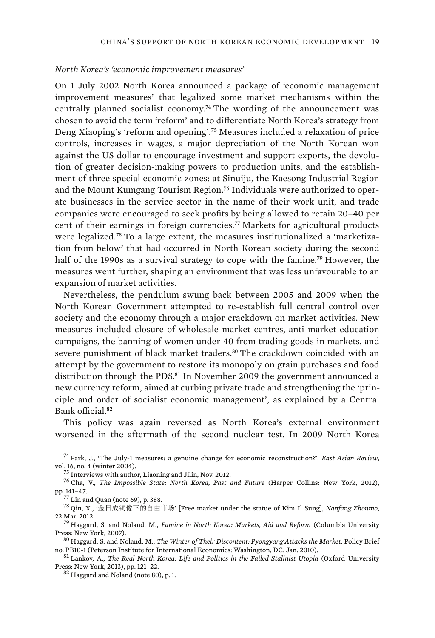#### *North Korea's 'economic improvement measures'*

On 1 July 2002 North Korea announced a package of 'economic management improvement measures' that legalized some market mechanisms within the centrally planned socialist economy.<sup>74</sup> The wording of the announcement was chosen to avoid the term 'reform' and to differentiate North Korea's strategy from Deng Xiaoping's 'reform and opening'.<sup>75</sup> Measures included a relaxation of price controls, increases in wages, a major depreciation of the North Korean won against the US dollar to encourage investment and support exports, the devolution of greater decision-making powers to production units, and the establishment of three special economic zones: at Sinuiju, the Kaesong Industrial Region and the Mount Kumgang Tourism Region.<sup>76</sup> Individuals were authorized to operate businesses in the service sector in the name of their work unit, and trade companies were encouraged to seek profits by being allowed to retain 20–40 per cent of their earnings in foreign currencies.<sup>77</sup> Markets for agricultural products were legalized.78 To a large extent, the measures institutionalized a 'marketization from below' that had occurred in North Korean society during the second half of the 1990s as a survival strategy to cope with the famine.<sup>79</sup> However, the measures went further, shaping an environment that was less unfavourable to an expansion of market activities.

Nevertheless, the pendulum swung back between 2005 and 2009 when the North Korean Government attempted to re-establish full central control over society and the economy through a major crackdown on market activities. New measures included closure of wholesale market centres, anti-market education campaigns, the banning of women under 40 from trading goods in markets, and severe punishment of black market traders.<sup>80</sup> The crackdown coincided with an attempt by the government to restore its monopoly on grain purchases and food distribution through the PDS.<sup>81</sup> In November 2009 the government announced a new currency reform, aimed at curbing private trade and strengthening the 'principle and order of socialist economic management', as explained by a Central Bank official.<sup>82</sup>

This policy was again reversed as North Korea's external environment worsened in the aftermath of the second nuclear test. In 2009 North Korea

<sup>74</sup> Park, J., 'The July-1 measures: a genuine change for economic reconstruction?', *East Asian Review*,

<sup>75</sup> Interviews with author, Liaoning and Jilin, Nov. 2012.<br><sup>76</sup> Cha, V., *The Impossible State: North Korea, Past and Future* (Harper Collins: New York, 2012), pp. 141–47. pp. 141–47.<br><sup>77</sup> Lin and Quan (note 69), p. 388.<br><sup>78</sup> Qin, X., '金日成铜像下的自由市场' [Free market under the statue of Kim Il Sung], *Nanfang Zhoumo*,

22 Mar. 2012. 79 Haggard, S. and Noland, M., *Famine in North Korea: Markets, Aid and Reform* (Columbia University

Press: New York, 2007). 80 Haggard, S. and Noland, M., *The Winter of Their Discontent: Pyongyang Attacks the Market*, Policy Brief

no. PB10-1 (Peterson Institute for International Economics: Washington, DC, Jan. 2010). <sup>81</sup> Lankov, A., *The Real North Korea: Life and Politics in the Failed Stalinist Utopia* (Oxford University Press: New York, 2013), p

 $82$  Haggard and Noland (note 80), p. 1.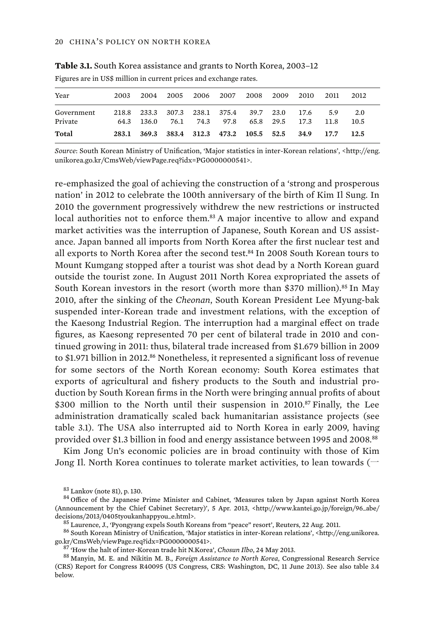| Year                  | 2003 | 2004                      |  | 2005 2006 2007 2008 2009 2010            |           |              | 2011               | 2012        |  |
|-----------------------|------|---------------------------|--|------------------------------------------|-----------|--------------|--------------------|-------------|--|
| Government<br>Private |      | 64.3 136.0 76.1 74.3 97.8 |  | 218.8 233.3 307.3 238.1 375.4 39.7 23.0  | 65.8 29.5 | 17.6<br>17.3 | 5 Q<br><b>11.8</b> | 2.0<br>10.5 |  |
| Total                 |      |                           |  | 283.1 369.3 383.4 312.3 473.2 105.5 52.5 |           | 34.9         | 17.7               | 12.5        |  |

**Table 3.1.** South Korea assistance and grants to North Korea, 2003–12

Figures are in US\$ million in current prices and exchange rates.

*Source*: South Korean Ministry of Unification, 'Major statistics in inter-Korean relations', <http://eng. unikorea.go.kr/CmsWeb/viewPage.req?idx=PG0000000541>.

re-emphasized the goal of achieving the construction of a 'strong and prosperous nation' in 2012 to celebrate the 100th anniversary of the birth of Kim Il Sung. In 2010 the government progressively withdrew the new restrictions or instructed local authorities not to enforce them.<sup>83</sup> A major incentive to allow and expand market activities was the interruption of Japanese, South Korean and US assistance. Japan banned all imports from North Korea after the first nuclear test and all exports to North Korea after the second test. $84$  In 2008 South Korean tours to Mount Kumgang stopped after a tourist was shot dead by a North Korean guard outside the tourist zone. In August 2011 North Korea expropriated the assets of South Korean investors in the resort (worth more than \$370 million).<sup>85</sup> In May 2010, after the sinking of the *Cheonan*, South Korean President Lee Myung-bak suspended inter-Korean trade and investment relations, with the exception of the Kaesong Industrial Region. The interruption had a marginal effect on trade figures, as Kaesong represented 70 per cent of bilateral trade in 2010 and continued growing in 2011: thus, bilateral trade increased from \$1.679 billion in 2009 to \$1.971 billion in 2012.<sup>86</sup> Nonetheless, it represented a significant loss of revenue for some sectors of the North Korean economy: South Korea estimates that exports of agricultural and fishery products to the South and industrial production by South Korean firms in the North were bringing annual profits of about \$300 million to the North until their suspension in 2010.<sup>87</sup> Finally, the Lee administration dramatically scaled back humanitarian assistance projects (see table 3.1). The USA also interrupted aid to North Korea in early 2009, having provided over \$1.3 billion in food and energy assistance between 1995 and 2008.<sup>88</sup>

Kim Jong Un's economic policies are in broad continuity with those of Kim Jong Il. North Korea continues to tolerate market activities, to lean towards ( $\overline{\phantom{a}}$ 

 $83$  Lankov (note 81), p. 130.<br> $84$  Office of the Japanese Prime Minister and Cabinet, 'Measures taken by Japan against North Korea (Announcement by the Chief Cabinet Secretary)', 5 Apr. 2013, <http://www.kantei.go.jp/foreign/96\_abe/

decisions/2013/0405tyoukanhappyou\_e.html>.<br><sup>85</sup> Laurence, J., 'Pyongyang expels South Koreans from "peace" resort', Reuters, 22 Aug. 2011.<br><sup>86</sup> South Korean Ministry of Unification, 'Major statistics in inter-Korean relati

 $^{87}$  'How the halt of inter-Korean trade hit N.Korea', Chosun Ilbo, 24 May 2013.<br> $^{88}$  Manyin, M. E. and Nikitin M. B., *Foreign Assistance to North Korea*, Congressional Research Service (CRS) Report for Congress R40095 (US Congress, CRS: Washington, DC, 11 June 2013). See also table 3.4 below.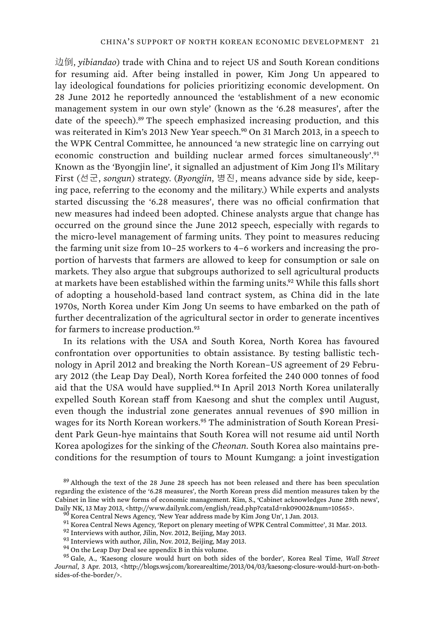边倒, *yibiandao*) trade with China and to reject US and South Korean conditions for resuming aid. After being installed in power, Kim Jong Un appeared to lay ideological foundations for policies prioritizing economic development. On 28 June 2012 he reportedly announced the 'establishment of a new economic management system in our own style' (known as the '6.28 measures', after the date of the speech).<sup>89</sup> The speech emphasized increasing production, and this was reiterated in Kim's 2013 New Year speech.<sup>90</sup> On 31 March 2013, in a speech to the WPK Central Committee, he announced 'a new strategic line on carrying out economic construction and building nuclear armed forces simultaneously'.<sup>91</sup> Known as the 'Byongjin line', it signalled an adjustment of Kim Jong Il's Military First (선군, songun) strategy. (Byongjin, 병진, means advance side by side, keeping pace, referring to the economy and the military.) While experts and analysts started discussing the '6.28 measures', there was no official confirmation that new measures had indeed been adopted. Chinese analysts argue that change has occurred on the ground since the June 2012 speech, especially with regards to the micro-level management of farming units. They point to measures reducing the farming unit size from 10–25 workers to 4–6 workers and increasing the proportion of harvests that farmers are allowed to keep for consumption or sale on markets. They also argue that subgroups authorized to sell agricultural products at markets have been established within the farming units.<sup>92</sup> While this falls short of adopting a household-based land contract system, as China did in the late 1970s, North Korea under Kim Jong Un seems to have embarked on the path of further decentralization of the agricultural sector in order to generate incentives for farmers to increase production.<sup>93</sup>

In its relations with the USA and South Korea, North Korea has favoured confrontation over opportunities to obtain assistance. By testing ballistic technology in April 2012 and breaking the North Korean–US agreement of 29 February 2012 (the Leap Day Deal), North Korea forfeited the 240 000 tonnes of food aid that the USA would have supplied.<sup>94</sup> In April 2013 North Korea unilaterally expelled South Korean staff from Kaesong and shut the complex until August, even though the industrial zone generates annual revenues of \$90 million in wages for its North Korean workers.95 The administration of South Korean President Park Geun-hye maintains that South Korea will not resume aid until North Korea apologizes for the sinking of the *Cheonan*. South Korea also maintains preconditions for the resumption of tours to Mount Kumgang: a joint investigation

- 
- 

*Journal*, 3 Apr. 2013, <http://blogs.wsj.com/korearealtime/2013/04/03/kaesong-closure-would-hurt-on-bothsides-of-the-border/>.

<sup>&</sup>lt;sup>89</sup> Although the text of the 28 June 28 speech has not been released and there has been speculation regarding the existence of the '6.28 measures', the North Korean press did mention measures taken by the Cabinet in line with new forms of economic management. Kim, S., 'Cabinet acknowledges June 28th news', Daily NK, 13 May 2013, <http://www.dailynk.com/english/read.php?cataId=nk09002&num=10565>.<br><sup>90</sup> Korea Central News Agency, 'New Year address made by Kim Jong Un', 1 Jan. 2013.<br><sup>91</sup> Korea Central News Agency, 'Report on pl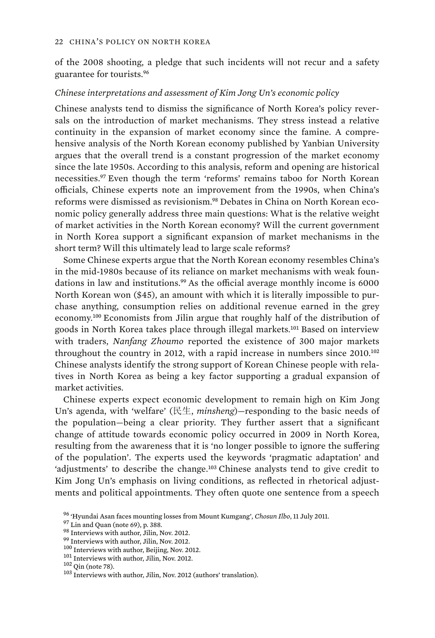of the 2008 shooting, a pledge that such incidents will not recur and a safety guarantee for tourists.<sup>96</sup>

#### *Chinese interpretations and assessment of Kim Jong Un's economic policy*

Chinese analysts tend to dismiss the significance of North Korea's policy reversals on the introduction of market mechanisms. They stress instead a relative continuity in the expansion of market economy since the famine. A comprehensive analysis of the North Korean economy published by Yanbian University argues that the overall trend is a constant progression of the market economy since the late 1950s. According to this analysis, reform and opening are historical necessities.<sup>97</sup> Even though the term 'reforms' remains taboo for North Korean officials, Chinese experts note an improvement from the 1990s, when China's reforms were dismissed as revisionism.98 Debates in China on North Korean economic policy generally address three main questions: What is the relative weight of market activities in the North Korean economy? Will the current government in North Korea support a significant expansion of market mechanisms in the short term? Will this ultimately lead to large scale reforms?

Some Chinese experts argue that the North Korean economy resembles China's in the mid-1980s because of its reliance on market mechanisms with weak foundations in law and institutions.<sup>99</sup> As the official average monthly income is 6000 North Korean won (\$45), an amount with which it is literally impossible to purchase anything, consumption relies on additional revenue earned in the grey economy.<sup>100</sup> Economists from Jilin argue that roughly half of the distribution of goods in North Korea takes place through illegal markets.<sup>101</sup> Based on interview with traders, *Nanfang Zhoumo* reported the existence of 300 major markets throughout the country in 2012, with a rapid increase in numbers since 2010.<sup>102</sup> Chinese analysts identify the strong support of Korean Chinese people with relatives in North Korea as being a key factor supporting a gradual expansion of market activities.

Chinese experts expect economic development to remain high on Kim Jong Un's agenda, with 'welfare' (民生, *minsheng*)—responding to the basic needs of the population—being a clear priority. They further assert that a significant change of attitude towards economic policy occurred in 2009 in North Korea, resulting from the awareness that it is 'no longer possible to ignore the suffering of the population'. The experts used the keywords 'pragmatic adaptation' and 'adjustments' to describe the change.<sup>103</sup> Chinese analysts tend to give credit to Kim Jong Un's emphasis on living conditions, as reflected in rhetorical adjustments and political appointments. They often quote one sentence from a speech

<sup>&</sup>lt;sup>96</sup> 'Hyundai Asan faces mounting losses from Mount Kumgang', *Chosun Ilbo*, 11 July 2011.<br><sup>97</sup> Lin and Quan (note 69), p. 388.<br><sup>98</sup> Interviews with author, Jilin, Nov. 2012.<br><sup>99</sup> Interviews with author, Jilin, Nov. 2012.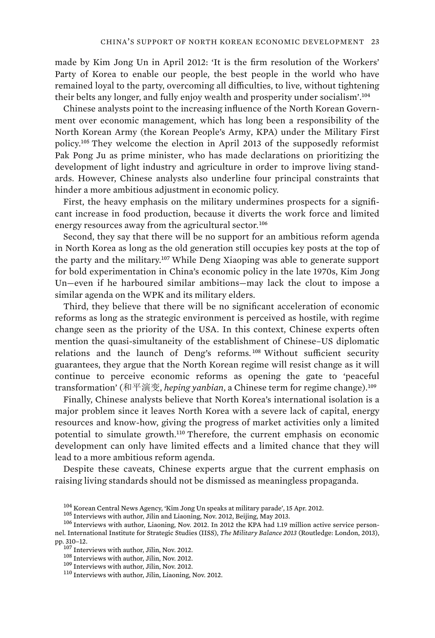made by Kim Jong Un in April 2012: 'It is the firm resolution of the Workers' Party of Korea to enable our people, the best people in the world who have remained loyal to the party, overcoming all difficulties, to live, without tightening their belts any longer, and fully enjoy wealth and prosperity under socialism'.<sup>104</sup>

Chinese analysts point to the increasing influence of the North Korean Government over economic management, which has long been a responsibility of the North Korean Army (the Korean People's Army, KPA) under the Military First policy.<sup>105</sup> They welcome the election in April 2013 of the supposedly reformist Pak Pong Ju as prime minister, who has made declarations on prioritizing the development of light industry and agriculture in order to improve living standards. However, Chinese analysts also underline four principal constraints that hinder a more ambitious adjustment in economic policy.

First, the heavy emphasis on the military undermines prospects for a significant increase in food production, because it diverts the work force and limited energy resources away from the agricultural sector.<sup>106</sup>

Second, they say that there will be no support for an ambitious reform agenda in North Korea as long as the old generation still occupies key posts at the top of the party and the military.<sup>107</sup> While Deng Xiaoping was able to generate support for bold experimentation in China's economic policy in the late 1970s, Kim Jong Un—even if he harboured similar ambitions—may lack the clout to impose a similar agenda on the WPK and its military elders.

Third, they believe that there will be no significant acceleration of economic reforms as long as the strategic environment is perceived as hostile, with regime change seen as the priority of the USA. In this context, Chinese experts often mention the quasi-simultaneity of the establishment of Chinese–US diplomatic relations and the launch of Deng's reforms.<sup>108</sup> Without sufficient security guarantees, they argue that the North Korean regime will resist change as it will continue to perceive economic reforms as opening the gate to 'peaceful transformation' (和平演变, *heping yanbian*, a Chinese term for regime change).<sup>109</sup>

Finally, Chinese analysts believe that North Korea's international isolation is a major problem since it leaves North Korea with a severe lack of capital, energy resources and know-how, giving the progress of market activities only a limited potential to simulate growth.<sup>110</sup> Therefore, the current emphasis on economic development can only have limited effects and a limited chance that they will lead to a more ambitious reform agenda.

Despite these caveats, Chinese experts argue that the current emphasis on raising living standards should not be dismissed as meaningless propaganda.

 $^{104}$ Korean Central News Agency, 'Kim Jong Un speaks at military parade', 15 Apr. 2012.<br> $^{105}$  Interviews with author, Jilin and Liaoning, Nov. 2012, Beijing, May 2013.<br> $^{106}$  Interviews with author, Liaoning, Nov. 20 nel. International Institute for Strategic Studies (IISS), *The Military Balance 2013* (Routledge: London, 2013),

<sup>&</sup>lt;sup>107</sup> Interviews with author, Jilin, Nov. 2012.<br><sup>108</sup> Interviews with author, Jilin, Nov. 2012.<br><sup>109</sup> Interviews with author, Jilin, Liaoning, Nov. 2012.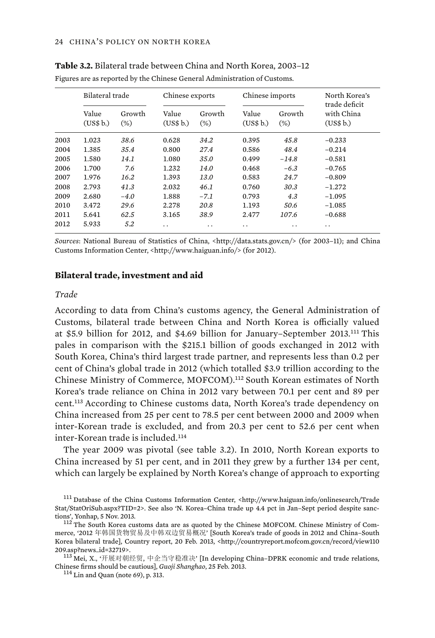|      | Bilateral trade    |                  | Chinese exports    |                  | Chinese imports    |                  | North Korea's<br>trade deficit |  |
|------|--------------------|------------------|--------------------|------------------|--------------------|------------------|--------------------------------|--|
|      | Value<br>(US\$ b.) | Growth<br>$(\%)$ | Value<br>(US\$ b.) | Growth<br>$(\%)$ | Value<br>(US\$ b.) | Growth<br>$(\%)$ | with China<br>(US\$ b.)        |  |
| 2003 | 1.023              | 38.6             | 0.628              | 34.2             | 0.395              | 45.8             | $-0.233$                       |  |
| 2004 | 1.385              | 35.4             | 0.800              | 27.4             | 0.586              | 48.4             | $-0.214$                       |  |
| 2005 | 1.580              | 14.1             | 1.080              | 35.0             | 0.499              | $-14.8$          | $-0.581$                       |  |
| 2006 | 1.700              | 7.6              | 1.232              | 14.0             | 0.468              | $-6.3$           | $-0.765$                       |  |
| 2007 | 1.976              | 16.2             | 1.393              | 13.0             | 0.583              | 24.7             | $-0.809$                       |  |
| 2008 | 2.793              | 41.3             | 2.032              | 46.1             | 0.760              | 30.3             | $-1.272$                       |  |
| 2009 | 2.680              | $-4.0$           | 1.888              | $-7.1$           | 0.793              | 4.3              | $-1.095$                       |  |
| 2010 | 3.472              | 29.6             | 2.278              | 20.8             | 1.193              | 50.6             | $-1.085$                       |  |
| 2011 | 5.641              | 62.5             | 3.165              | 38.9             | 2.477              | 107.6            | $-0.688$                       |  |
| 2012 | 5.933              | 5.2              | . .                | . .              | . .                | . .              | . .                            |  |

**Table 3.2.** Bilateral trade between China and North Korea, 2003–12 Figures are as reported by the Chinese General Administration of Customs.

*Sources*: National Bureau of Statistics of China, <http://data.stats.gov.cn/> (for 2003–11); and China Customs Information Center, <http://www.haiguan.info/> (for 2012).

#### **Bilateral trade, investment and aid**

#### *Trade*

According to data from China's customs agency, the General Administration of Customs, bilateral trade between China and North Korea is officially valued at \$5.9 billion for 2012, and \$4.69 billion for January–September 2013.<sup>111</sup> This pales in comparison with the \$215.1 billion of goods exchanged in 2012 with South Korea, China's third largest trade partner, and represents less than 0.2 per cent of China's global trade in 2012 (which totalled \$3.9 trillion according to the Chinese Ministry of Commerce, MOFCOM).<sup>112</sup> South Korean estimates of North Korea's trade reliance on China in 2012 vary between 70.1 per cent and 89 per cent.<sup>113</sup> According to Chinese customs data, North Korea's trade dependency on China increased from 25 per cent to 78.5 per cent between 2000 and 2009 when inter-Korean trade is excluded, and from 20.3 per cent to 52.6 per cent when inter-Korean trade is included.<sup>114</sup>

The year 2009 was pivotal (see table 3.2). In 2010, North Korean exports to China increased by 51 per cent, and in 2011 they grew by a further 134 per cent, which can largely be explained by North Korea's change of approach to exporting

<sup>&</sup>lt;sup>111</sup> Database of the China Customs Information Center, <http://www.haiguan.info/onlinesearch/Trade Stat/StatOriSub.aspx?TID=2>. See also 'N. Korea–China trade up 4.4 pct in Jan–Sept period despite sanctions', Yonhap, 5 Nov. 2013.<br><sup>112</sup> The South Korea customs data are as quoted by the Chinese MOFCOM. Chinese Ministry of Com-

merce, '2012 年韩国货物贸易及中韩双边贸易概况' [South Korea's trade of goods in 2012 and China–South Korea bilateral trade], Country report, 20 Feb. 2013, <http://countryreport.mofcom.gov.cn/record/view110<br>209.asp?news\_id=32719>.

<sup>209.</sup>asp?news\_id=32719>.<br>113 Mei, X., '开展对朝经贸, 中企当守稳准决' [In developing China–DPRK economic and trade relations, Chinese firms should be cautious], *Guoji Shanghao*, 25 Feb. 2013. 114 Lin and Quan (note 69), p. 313.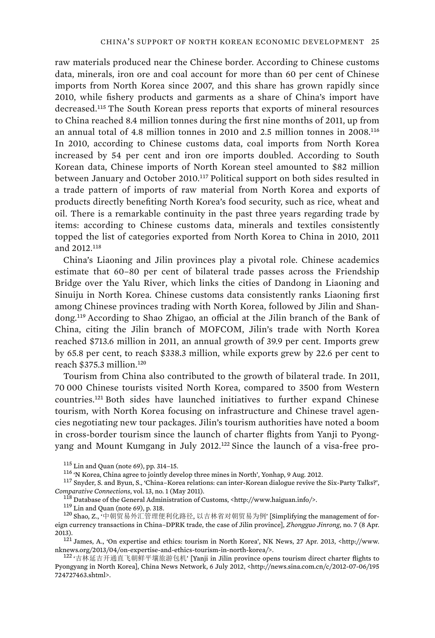raw materials produced near the Chinese border. According to Chinese customs data, minerals, iron ore and coal account for more than 60 per cent of Chinese imports from North Korea since 2007, and this share has grown rapidly since 2010, while fishery products and garments as a share of China's import have decreased.<sup>115</sup> The South Korean press reports that exports of mineral resources to China reached 8.4 million tonnes during the first nine months of 2011, up from an annual total of 4.8 million tonnes in 2010 and 2.5 million tonnes in 2008.<sup>116</sup> In 2010, according to Chinese customs data, coal imports from North Korea increased by 54 per cent and iron ore imports doubled. According to South Korean data, Chinese imports of North Korean steel amounted to \$82 million between January and October 2010.<sup>117</sup> Political support on both sides resulted in a trade pattern of imports of raw material from North Korea and exports of products directly benefiting North Korea's food security, such as rice, wheat and oil. There is a remarkable continuity in the past three years regarding trade by items: according to Chinese customs data, minerals and textiles consistently topped the list of categories exported from North Korea to China in 2010, 2011 and 2012.<sup>118</sup>

China's Liaoning and Jilin provinces play a pivotal role. Chinese academics estimate that 60–80 per cent of bilateral trade passes across the Friendship Bridge over the Yalu River, which links the cities of Dandong in Liaoning and Sinuiju in North Korea. Chinese customs data consistently ranks Liaoning first among Chinese provinces trading with North Korea, followed by Jilin and Shandong.<sup>119</sup> According to Shao Zhigao, an official at the Jilin branch of the Bank of China, citing the Jilin branch of MOFCOM, Jilin's trade with North Korea reached \$713.6 million in 2011, an annual growth of 39.9 per cent. Imports grew by 65.8 per cent, to reach \$338.3 million, while exports grew by 22.6 per cent to reach \$375.3 million.<sup>120</sup>

Tourism from China also contributed to the growth of bilateral trade. In 2011, 70 000 Chinese tourists visited North Korea, compared to 3500 from Western countries.<sup>121</sup> Both sides have launched initiatives to further expand Chinese tourism, with North Korea focusing on infrastructure and Chinese travel agencies negotiating new tour packages. Jilin's tourism authorities have noted a boom in cross-border tourism since the launch of charter flights from Yanji to Pyongyang and Mount Kumgang in July 2012.<sup>122</sup> Since the launch of a visa-free pro-

<sup>&</sup>lt;sup>115</sup> Lin and Quan (note 69), pp. 314–15.<br><sup>116</sup> 'N Korea, China agree to jointly develop three mines in North', Yonhap, 9 Aug. 2012.<br><sup>117</sup> Snyder, S. and Byun, S., 'China–Korea relations: can inter-Korean dialogue revive

 $^{118}$  Database of the General Administration of Customs, <http://www.haiguan.info/>. <sup>119</sup> Lin and Quan (note 69), p. 318.

<sup>120</sup> Shao, Z., 中朝贸易外汇管理便利化路径, 以吉林省对朝贸易为例' [Simplifying the management of foreign currency transactions in China–DPRK trade, the case of Jilin province], *Zhongguo Jinrong*, no. 7 (8 Apr.

<sup>2013).&</sup>lt;br><sup>121</sup> James, A., 'On expertise and ethics: tourism in North Korea', NK News, 27 Apr. 2013, <http://www.<br>nknews.org/2013/04/on-expertise-and-ethics-tourism-in-north-korea/>. nknews.org/2013/04/on-expertise-and-ethics-tourism-in-north-korea/>.<br><sup>122</sup> '吉林延吉开通直飞朝鲜平壤旅游包机' [Yanji in Jilin province opens tourism direct charter flights to

Pyongyang in North Korea], China News Network, 6 July 2012, <http://news.sina.com.cn/c/2012-07-06/195 724727463.shtml>.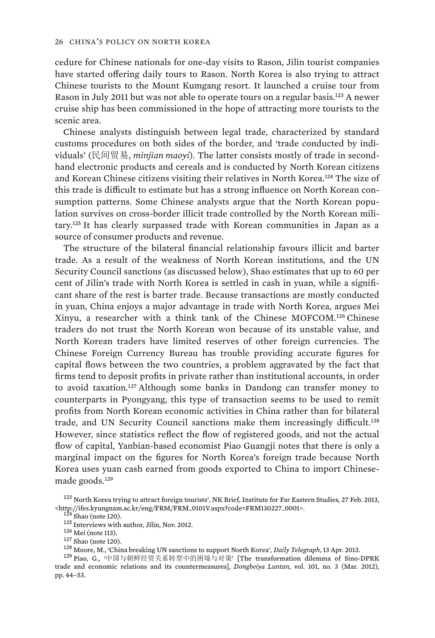cedure for Chinese nationals for one-day visits to Rason, Jilin tourist companies have started offering daily tours to Rason. North Korea is also trying to attract Chinese tourists to the Mount Kumgang resort. It launched a cruise tour from Rason in July 2011 but was not able to operate tours on a regular basis.<sup>123</sup> A newer cruise ship has been commissioned in the hope of attracting more tourists to the scenic area.

Chinese analysts distinguish between legal trade, characterized by standard customs procedures on both sides of the border, and 'trade conducted by individuals' (民间贸易, *minjian maoyi*). The latter consists mostly of trade in secondhand electronic products and cereals and is conducted by North Korean citizens and Korean Chinese citizens visiting their relatives in North Korea.<sup>124</sup> The size of this trade is difficult to estimate but has a strong influence on North Korean consumption patterns. Some Chinese analysts argue that the North Korean population survives on cross-border illicit trade controlled by the North Korean military.<sup>125</sup> It has clearly surpassed trade with Korean communities in Japan as a source of consumer products and revenue.

The structure of the bilateral financial relationship favours illicit and barter trade. As a result of the weakness of North Korean institutions, and the UN Security Council sanctions (as discussed below), Shao estimates that up to 60 per cent of Jilin's trade with North Korea is settled in cash in yuan, while a significant share of the rest is barter trade. Because transactions are mostly conducted in yuan, China enjoys a major advantage in trade with North Korea, argues Mei Xinyu, a researcher with a think tank of the Chinese MOFCOM.<sup>126</sup> Chinese traders do not trust the North Korean won because of its unstable value, and North Korean traders have limited reserves of other foreign currencies. The Chinese Foreign Currency Bureau has trouble providing accurate figures for capital flows between the two countries, a problem aggravated by the fact that firms tend to deposit profits in private rather than institutional accounts, in order to avoid taxation.<sup>127</sup> Although some banks in Dandong can transfer money to counterparts in Pyongyang, this type of transaction seems to be used to remit profits from North Korean economic activities in China rather than for bilateral trade, and UN Security Council sanctions make them increasingly difficult.<sup>128</sup> However, since statistics reflect the flow of registered goods, and not the actual flow of capital, Yanbian-based economist Piao Guangji notes that there is only a marginal impact on the figures for North Korea's foreign trade because North Korea uses yuan cash earned from goods exported to China to import Chinesemade goods.<sup>129</sup>

<sup>&</sup>lt;sup>123</sup> North Korea trying to attract foreign tourists', NK Brief, Institute for Far Eastern Studies, 27 Feb. 2013,

<sup>&</sup>lt;http://ifes.kyungnam.ac.kr/eng/FRM/FRM\_0101V.aspx?code=FRM130227\_0001>.<br><sup>124</sup> Shao (note 120).<br><sup>125</sup> Interviews with author, Jilin, Nov. 2012.<br><sup>126</sup> Mei (note 113).<br><sup>126</sup> Mei (note 113).<br><sup>126</sup> Moore, M., 'China breaking trade and economic relations and its countermeasures], *Dongbeiya Luntan*, vol. 101, no. 3 (Mar. 2012), pp. 44–53.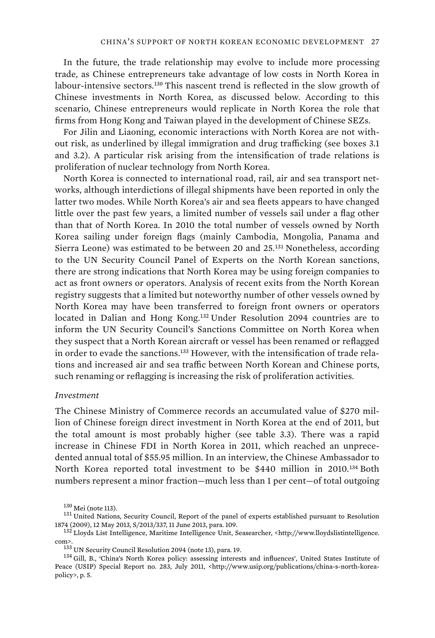In the future, the trade relationship may evolve to include more processing trade, as Chinese entrepreneurs take advantage of low costs in North Korea in labour-intensive sectors.<sup>130</sup> This nascent trend is reflected in the slow growth of Chinese investments in North Korea, as discussed below. According to this scenario, Chinese entrepreneurs would replicate in North Korea the role that firms from Hong Kong and Taiwan played in the development of Chinese SEZs.

For Jilin and Liaoning, economic interactions with North Korea are not without risk, as underlined by illegal immigration and drug trafficking (see boxes 3.1 and 3.2). A particular risk arising from the intensification of trade relations is proliferation of nuclear technology from North Korea.

North Korea is connected to international road, rail, air and sea transport networks, although interdictions of illegal shipments have been reported in only the latter two modes. While North Korea's air and sea fleets appears to have changed little over the past few years, a limited number of vessels sail under a flag other than that of North Korea. In 2010 the total number of vessels owned by North Korea sailing under foreign flags (mainly Cambodia, Mongolia, Panama and Sierra Leone) was estimated to be between 20 and 25.<sup>131</sup> Nonetheless, according to the UN Security Council Panel of Experts on the North Korean sanctions, there are strong indications that North Korea may be using foreign companies to act as front owners or operators. Analysis of recent exits from the North Korean registry suggests that a limited but noteworthy number of other vessels owned by North Korea may have been transferred to foreign front owners or operators located in Dalian and Hong Kong.<sup>132</sup> Under Resolution 2094 countries are to inform the UN Security Council's Sanctions Committee on North Korea when they suspect that a North Korean aircraft or vessel has been renamed or reflagged in order to evade the sanctions.<sup>133</sup> However, with the intensification of trade relations and increased air and sea traffic between North Korean and Chinese ports, such renaming or reflagging is increasing the risk of proliferation activities.

#### *Investment*

The Chinese Ministry of Commerce records an accumulated value of \$270 million of Chinese foreign direct investment in North Korea at the end of 2011, but the total amount is most probably higher (see table 3.3). There was a rapid increase in Chinese FDI in North Korea in 2011, which reached an unprecedented annual total of \$55.95 million. In an interview, the Chinese Ambassador to North Korea reported total investment to be \$440 million in 2010.<sup>134</sup> Both numbers represent a minor fraction—much less than 1 per cent—of total outgoing

 $130$  Mei (note 113).<br> $131$  United Nations, Security Council, Report of the panel of experts established pursuant to Resolution 1874 (2009), 12 May 2013, S/2013/337, 11 June 2013, para. 109. 109. 132 Lloyds List Intelligence, Maritime Intelligence Unit, Seasearcher, <http://www.lloydslistintelligence.

com>.<br><sup>133</sup> UN Security Council Resolution 2094 (note 13), para. 19.<br><sup>134</sup> Gill, B., 'China's North Korea policy: assessing interests and influences', United States Institute of

Peace (USIP) Special Report no. 283, July 2011, <http://www.usip.org/publications/china-s-north-koreapolicy>, p. 5.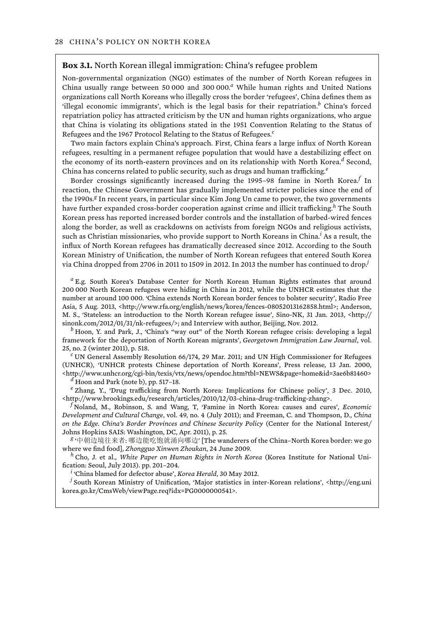#### **Box 3.1.** North Korean illegal immigration: China's refugee problem

Non-governmental organization (NGO) estimates of the number of North Korean refugees in China usually range between 50 000 and 300 000.*<sup>a</sup>* While human rights and United Nations organizations call North Koreans who illegally cross the border 'refugees', China defines them as 'illegal economic immigrants', which is the legal basis for their repatriation.*<sup>b</sup>* China's forced repatriation policy has attracted criticism by the UN and human rights organizations, who argue that China is violating its obligations stated in the 1951 Convention Relating to the Status of Refugees and the 1967 Protocol Relating to the Status of Refugees.*<sup>c</sup>*

Two main factors explain China's approach. First, China fears a large influx of North Korean refugees, resulting in a permanent refugee population that would have a destabilizing effect on the economy of its north-eastern provinces and on its relationship with North Korea.<sup>d</sup> Second, China has concerns related to public security, such as drugs and human trafficking.*<sup>e</sup>*

Border crossings significantly increased during the 1995–98 famine in North Korea.*<sup>f</sup>* In reaction, the Chinese Government has gradually implemented stricter policies since the end of the 1990s.<sup>*g*</sup> In recent years, in particular since Kim Jong Un came to power, the two governments have further expanded cross-border cooperation against crime and illicit trafficking.*h* The South Korean press has reported increased border controls and the installation of barbed-wired fences along the border, as well as crackdowns on activists from foreign NGOs and religious activists, such as Christian missionaries, who provide support to North Koreans in China.<sup>i</sup> As a result, the influx of North Korean refugees has dramatically decreased since 2012. According to the South Korean Ministry of Unification, the number of North Korean refugees that entered South Korea via China dropped from 2706 in 2011 to 1509 in 2012. In 2013 the number has continued to drop.*<sup>j</sup>*

*a* E.g. South Korea's Database Center for North Korean Human Rights estimates that around 200 000 North Korean refugees were hiding in China in 2012, while the UNHCR estimates that the number at around 100 000. 'China extends North Korean border fences to bolster security', Radio Free Asia, 5 Aug. 2013, <http://www.rfa.org/english/news/korea/fences-08052013162858.html>; Anderson, M. S., 'Stateless: an introduction to the North Korean refugee issue', Sino-NK, 31 Jan. 2013, <http:// sinonk.com/2012/01/31/nk-refugees/>; and Interview with author, Beijing, Nov. 2012.

 $<sup>b</sup>$  Hoon, Y. and Park, J., 'China's "way out" of the North Korean refugee crisis: developing a legal</sup> framework for the deportation of North Korean migrants', *Georgetown Immigration Law Journal*, vol. 25, no. 2 (winter 2011), p. 518. *<sup>c</sup>*

 UN General Assembly Resolution 66/174, 29 Mar. 2011; and UN High Commissioner for Refugees (UNHCR), 'UNHCR protests Chinese deportation of North Koreans', Press release, 13 Jan. 2000, <http://www.unhcr.org/cgi-bin/texis/vtx/news/opendoc.htm?tbl=NEWS&page=home&id=3ae6b81460> *<sup>d</sup>*  $d$  Hoon and Park (note b), pp. 517-18.

*e* Zhang, Y., 'Drug trafficking from North Korea: Implications for Chinese policy', 3 Dec. 2010, <http://www.brookings.edu/research/articles/2010/12/03-china-drug-trafficking-zhang>. *<sup>f</sup>*

 Noland, M., Robinson, S. and Wang, T, 'Famine in North Korea: causes and cures', *Economic Development and Cultural Change*, vol. 49, no. 4 (July 2011); and Freeman, C. and Thompson, D., *China on the Edge. China's Border Provinces and Chinese Security Policy* (Center for the National Interest/ Johns Hopkins SAIS: Washington, DC, Apr. 2011), p. 25.

'中朝边境往来者: 哪边能吃饱就涌向哪边' [The wanderers of the China–North Korea border: we go where we find food], *Zhongguo Xinwen Zhoukan*, 24 June 2009. *h* Cho, J. et al., *White Paper on Human Rights in North Korea* (Korea Institute for National Uni-

fication: Seoul, July 2013). pp. 201–204. *<sup>i</sup>*

'China blamed for defector abuse', *Korea Herald*, 30 May 2012. *<sup>j</sup>*

 $\lambda$  South Korean Ministry of Unification, 'Major statistics in inter-Korean relations', <http://eng.uni korea.go.kr/CmsWeb/viewPage.req?idx=PG0000000541>.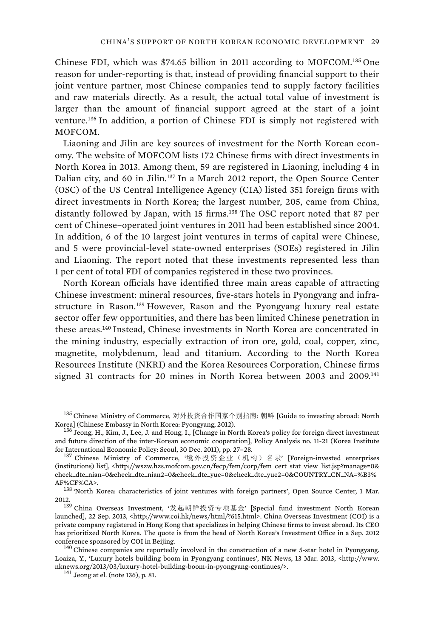Chinese FDI, which was \$74.65 billion in 2011 according to MOFCOM.<sup>135</sup> One reason for under-reporting is that, instead of providing financial support to their joint venture partner, most Chinese companies tend to supply factory facilities and raw materials directly. As a result, the actual total value of investment is larger than the amount of financial support agreed at the start of a joint venture.<sup>136</sup> In addition, a portion of Chinese FDI is simply not registered with MOFCOM.

Liaoning and Jilin are key sources of investment for the North Korean economy. The website of MOFCOM lists 172 Chinese firms with direct investments in North Korea in 2013. Among them, 59 are registered in Liaoning, including 4 in Dalian city, and 60 in Jilin.<sup>137</sup> In a March 2012 report, the Open Source Center (OSC) of the US Central Intelligence Agency (CIA) listed 351 foreign firms with direct investments in North Korea; the largest number, 205, came from China, distantly followed by Japan, with 15 firms.<sup>138</sup> The OSC report noted that 87 per cent of Chinese–operated joint ventures in 2011 had been established since 2004. In addition, 6 of the 10 largest joint ventures in terms of capital were Chinese, and 5 were provincial-level state-owned enterprises (SOEs) registered in Jilin and Liaoning. The report noted that these investments represented less than 1 per cent of total FDI of companies registered in these two provinces.

North Korean officials have identified three main areas capable of attracting Chinese investment: mineral resources, five-stars hotels in Pyongyang and infrastructure in Rason.<sup>139</sup> However, Rason and the Pyongyang luxury real estate sector offer few opportunities, and there has been limited Chinese penetration in these areas.<sup>140</sup> Instead, Chinese investments in North Korea are concentrated in the mining industry, especially extraction of iron ore, gold, coal, copper, zinc, magnetite, molybdenum, lead and titanium. According to the North Korea Resources Institute (NKRI) and the Korea Resources Corporation, Chinese firms signed 31 contracts for 20 mines in North Korea between 2003 and 2009.<sup>141</sup>

AF%CF%CA>.<br><sup>138</sup> 'North Korea: characteristics of joint ventures with foreign partners', Open Source Center, 1 Mar. 2012.<br>1<sup>39</sup> China Overseas Investment, '发起朝鲜投资专项基金' [Special fund investment North Korean

 $^{135}$  Chinese Ministry of Commerce, 对外投资合作国家个别指南: 朝鲜 [Guide to investing abroad: North<br>Korea] (Chinese Embassy in North Korea: Pyongyang, 2012).

 $^{136}$  Jeong, H., Kim, J., Lee, J. and Hong, I., [Change in North Korea's policy for foreign direct investment and future direction of the inter-Korean economic cooperation], Policy Analysis no. 11-21 (Korea Institute for International Economic Policy: Seoul, 30 Dec. 2011), pp. 27-28.

for International Economic Policy: Seoul, 30 Dec. 2011), pp. 27–28.<br><sup>137</sup> Chinese Ministry of Commerce, '境外投资企业(机构)名录' [Foreign-invested enterprises (institutions) list], <http://wszw.hzs.mofcom.gov.cn/fecp/fem/corp/fem\_cert\_stat\_view\_list.jsp?manage=0& check\_dte\_nian=0&check\_dte\_nian2=0&check\_dte\_yue=0&check\_dte\_yue2=0&COUNTRY\_CN\_NA=%B3%

launched], 22 Sep. 2013, <http://www.coi.hk/news/html/?615.html>. China Overseas Investment (COI) is a private company registered in Hong Kong that specializes in helping Chinese firms to invest abroad. Its CEO has prioritized North Korea. The quote is from the head of North Korea's Investment Office in a Sep. 2012 conference sponsored by COI in Beijing.<br><sup>140</sup> Chinese companies are reportedly involved in the construction of a new 5-star hotel in Pyongyang.

Loaiza, Y., 'Luxury hotels building boom in Pyongyang continues', NK News, 13 Mar. 2013, <http://www. nknews.org/2013/03/luxury-hotel-building-boom-in-pyongyang-continues/>. <sup>141</sup> Jeong at el. (note 136), p. 81.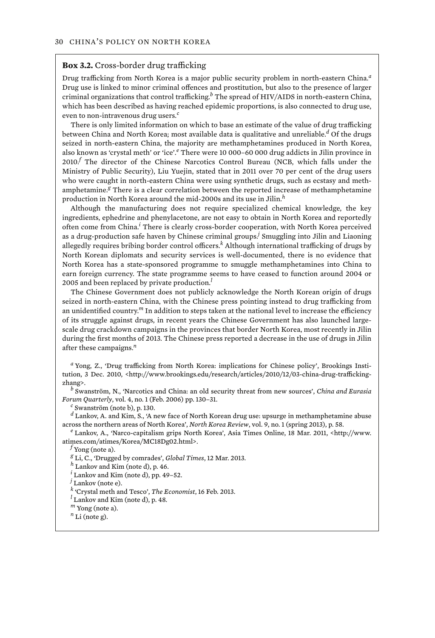#### **Box 3.2.** Cross-border drug trafficking

Drug trafficking from North Korea is a major public security problem in north-eastern China.*<sup>a</sup>* Drug use is linked to minor criminal offences and prostitution, but also to the presence of larger criminal organizations that control trafficking.*<sup>b</sup>* The spread of HIV/AIDS in north-eastern China, which has been described as having reached epidemic proportions, is also connected to drug use, even to non-intravenous drug users.*<sup>c</sup>*

There is only limited information on which to base an estimate of the value of drug trafficking between China and North Korea; most available data is qualitative and unreliable.*<sup>d</sup>* Of the drugs seized in north-eastern China, the majority are methamphetamines produced in North Korea, also known as 'crystal meth' or 'ice'.*<sup>e</sup>* There were 10 000–60 000 drug addicts in Jilin province in 2010.*<sup>f</sup>* The director of the Chinese Narcotics Control Bureau (NCB, which falls under the Ministry of Public Security), Liu Yuejin, stated that in 2011 over 70 per cent of the drug users who were caught in north-eastern China were using synthetic drugs, such as ecstasy and methamphetamine.<sup>*g*</sup> There is a clear correlation between the reported increase of methamphetamine production in North Korea around the mid-2000s and its use in Jilin.*<sup>h</sup>*

Although the manufacturing does not require specialized chemical knowledge, the key ingredients, ephedrine and phenylacetone, are not easy to obtain in North Korea and reportedly often come from China.*<sup>i</sup>* There is clearly cross-border cooperation, with North Korea perceived as a drug-production safe haven by Chinese criminal groups.*<sup>j</sup>* Smuggling into Jilin and Liaoning allegedly requires bribing border control officers.*<sup>k</sup>* Although international trafficking of drugs by North Korean diplomats and security services is well-documented, there is no evidence that North Korea has a state-sponsored programme to smuggle methamphetamines into China to earn foreign currency. The state programme seems to have ceased to function around 2004 or 2005 and been replaced by private production.*<sup>l</sup>*

The Chinese Government does not publicly acknowledge the North Korean origin of drugs seized in north-eastern China, with the Chinese press pointing instead to drug trafficking from an unidentified country.<sup>*m*</sup> In addition to steps taken at the national level to increase the efficiency of its struggle against drugs, in recent years the Chinese Government has also launched largescale drug crackdown campaigns in the provinces that border North Korea, most recently in Jilin during the first months of 2013. The Chinese press reported a decrease in the use of drugs in Jilin after these campaigns.*<sup>n</sup>*

*a* Yong, Z., 'Drug trafficking from North Korea: implications for Chinese policy', Brookings Institution, 3 Dec. 2010, <http://www.brookings.edu/research/articles/2010/12/03-china-drug-traffickingzhang>. *<sup>b</sup>*

 Swanström, N., 'Narcotics and China: an old security threat from new sources', *China and Eurasia Forum Quarterly*, vol. 4, no. 1 (Feb. 2006) pp. 130–31. *<sup>c</sup>*

 $c$  Swanström (note b), p. 130.

*d* Lankov, A. and Kim, S., 'A new face of North Korean drug use: upsurge in methamphetamine abuse across the northern areas of North Korea', *North Korea Review*, vol. 9, no. 1 (spring 2013), p. 58. *<sup>e</sup>*

 Lankov, A., 'Narco-capitalism grips North Korea', Asia Times Online, 18 Mar. 2011, <http://www. atimes.com/atimes/Korea/MC18Dg02.html>. *<sup>f</sup>*

 $f$ Yong (note a).

*g* Li, C., 'Drugged by comrades', *Global Times*, 12 Mar. 2013. *h* Lankov and Kim (note d), p. 46.

 $i$  Lankov and Kim (note d), pp. 49–52.

*j* Lankov (note e).

 $h^k$  'Crystal meth and Tesco', *The Economist*, 16 Feb. 2013.

 $l$  Lankov and Kim (note d), p. 48.

*<sup>m</sup>* Yong (note a).

 $n$  Li (note g).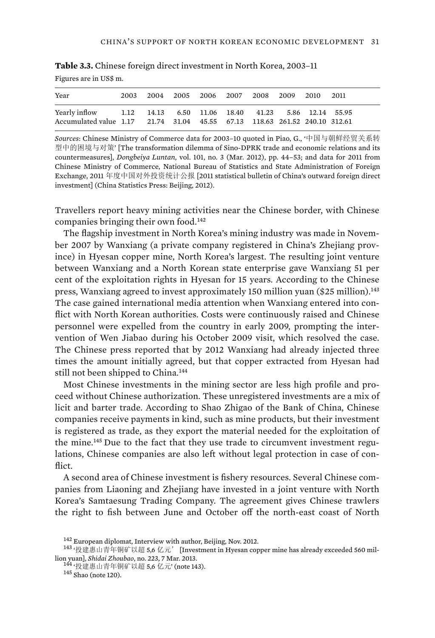| Year                                                                       |  |  | 2003 2004 2005 2006 2007 2008 2009 2010 2011 |  |  |
|----------------------------------------------------------------------------|--|--|----------------------------------------------|--|--|
| Yearly inflow 1.12 14.13 6.50 11.06 18.40 41.23 5.86 12.14 55.95           |  |  |                                              |  |  |
| Accumulated value 1.17 21.74 31.04 45.55 67.13 118.63 261.52 240.10 312.61 |  |  |                                              |  |  |

**Table 3.3.** Chinese foreign direct investment in North Korea, 2003–11

Figures are in US\$ m.

*Sources*: Chinese Ministry of Commerce data for 2003–10 quoted in Piao, G., '中国与朝鲜经贸关系转 型中的困境与对策' [The transformation dilemma of Sino-DPRK trade and economic relations and its countermeasures], *Dongbeiya Luntan*, vol. 101, no. 3 (Mar. 2012), pp. 44–53; and data for 2011 from Chinese Ministry of Commerce, National Bureau of Statistics and State Administration of Foreign Exchange, 2011 年度中国对外投资统计公报 [2011 statistical bulletin of China's outward foreign direct investment] (China Statistics Press: Beijing, 2012).

Travellers report heavy mining activities near the Chinese border, with Chinese companies bringing their own food.<sup>142</sup>

The flagship investment in North Korea's mining industry was made in November 2007 by Wanxiang (a private company registered in China's Zhejiang province) in Hyesan copper mine, North Korea's largest. The resulting joint venture between Wanxiang and a North Korean state enterprise gave Wanxiang 51 per cent of the exploitation rights in Hyesan for 15 years. According to the Chinese press, Wanxiang agreed to invest approximately 150 million yuan (\$25 million).<sup>143</sup> The case gained international media attention when Wanxiang entered into conflict with North Korean authorities. Costs were continuously raised and Chinese personnel were expelled from the country in early 2009, prompting the intervention of Wen Jiabao during his October 2009 visit, which resolved the case. The Chinese press reported that by 2012 Wanxiang had already injected three times the amount initially agreed, but that copper extracted from Hyesan had still not been shipped to China.<sup>144</sup>

Most Chinese investments in the mining sector are less high profile and proceed without Chinese authorization. These unregistered investments are a mix of licit and barter trade. According to Shao Zhigao of the Bank of China, Chinese companies receive payments in kind, such as mine products, but their investment is registered as trade, as they export the material needed for the exploitation of the mine.145 Due to the fact that they use trade to circumvent investment regulations, Chinese companies are also left without legal protection in case of conflict

A second area of Chinese investment is fishery resources. Several Chinese companies from Liaoning and Zhejiang have invested in a joint venture with North Korea's Samtaesung Trading Company. The agreement gives Chinese trawlers the right to fish between June and October off the north-east coast of North

<sup>&</sup>lt;sup>142</sup> European diplomat, Interview with author, Beijing, Nov. 2012.<br><sup>143</sup> '投建惠山青年铜矿以超 5,6 亿元' [Investment in Hyesan copper mine has already exceeded 560 mil-<br>lion yuan], *Shidai Zhoubao*, no. 223, 7 Mar. 2013.

<sup>144 ·</sup> 投建惠山青年铜矿以超 5,6 亿元<sup>,</sup> (note 143). 145 Shao (note 120).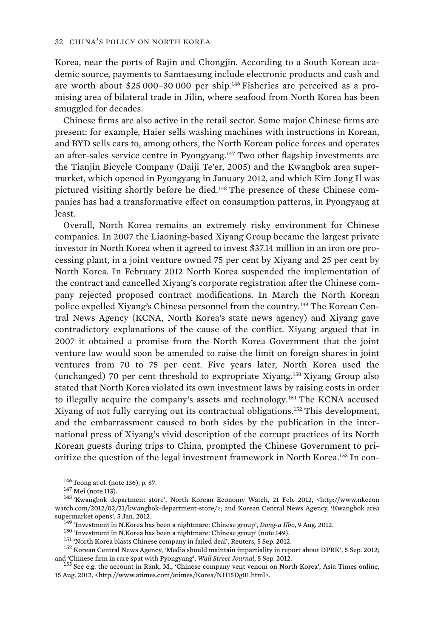Korea, near the ports of Rajin and Chongjin. According to a South Korean academic source, payments to Samtaesung include electronic products and cash and are worth about \$25 000–30 000 per ship.146 Fisheries are perceived as a promising area of bilateral trade in Jilin, where seafood from North Korea has been smuggled for decades.

Chinese firms are also active in the retail sector. Some major Chinese firms are present: for example, Haier sells washing machines with instructions in Korean, and BYD sells cars to, among others, the North Korean police forces and operates an after-sales service centre in Pyongyang.<sup>147</sup> Two other flagship investments are the Tianjin Bicycle Company (Daiji Te'er, 2005) and the Kwangbok area supermarket, which opened in Pyongyang in January 2012, and which Kim Jong Il was pictured visiting shortly before he died.<sup>148</sup> The presence of these Chinese companies has had a transformative effect on consumption patterns, in Pyongyang at least.

Overall, North Korea remains an extremely risky environment for Chinese companies. In 2007 the Liaoning-based Xiyang Group became the largest private investor in North Korea when it agreed to invest \$37.14 million in an iron ore processing plant, in a joint venture owned 75 per cent by Xiyang and 25 per cent by North Korea. In February 2012 North Korea suspended the implementation of the contract and cancelled Xiyang's corporate registration after the Chinese company rejected proposed contract modifications. In March the North Korean police expelled Xiyang's Chinese personnel from the country.<sup>149</sup> The Korean Central News Agency (KCNA, North Korea's state news agency) and Xiyang gave contradictory explanations of the cause of the conflict. Xiyang argued that in 2007 it obtained a promise from the North Korea Government that the joint venture law would soon be amended to raise the limit on foreign shares in joint ventures from 70 to 75 per cent. Five years later, North Korea used the (unchanged) 70 per cent threshold to expropriate Xiyang.<sup>150</sup> Xiyang Group also stated that North Korea violated its own investment laws by raising costs in order to illegally acquire the company's assets and technology.<sup>151</sup> The KCNA accused Xiyang of not fully carrying out its contractual obligations.<sup>152</sup> This development, and the embarrassment caused to both sides by the publication in the international press of Xiyang's vivid description of the corrupt practices of its North Korean guests during trips to China, prompted the Chinese Government to prioritize the question of the legal investment framework in North Korea.153 In con-

<sup>153</sup> See e.g. the account in Rank, M., 'Chinese company vent venom on North Korea', Asia Times online, 15 Aug. 2012, <http://www.atimes.com/atimes/Korea/NH15Dg01.html>.

<sup>&</sup>lt;sup>146</sup> Jeong at el. (note 136), p. 87.<br><sup>147</sup> Mei (note 113).<br><sup>148</sup> 'Kwangbok department store', North Korean Economy Watch, 21 Feb. 2012, <http://www.nkecon watch.com/2012/02/21/kwangbok-department-store/>; and Korean Central News Agency, 'Kwangbok area

supermarket opens', 5 Jan. 2012.<br>
<sup>149</sup> 'Investment in N.Korea has been a nightmare: Chinese group', *Dong-a Ilbo*, 9 Aug. 2012.<br>
<sup>150</sup> 'Investment in N.Korea has been a nightmare: Chinese group' (note 149).<br>
<sup>151</sup> 'North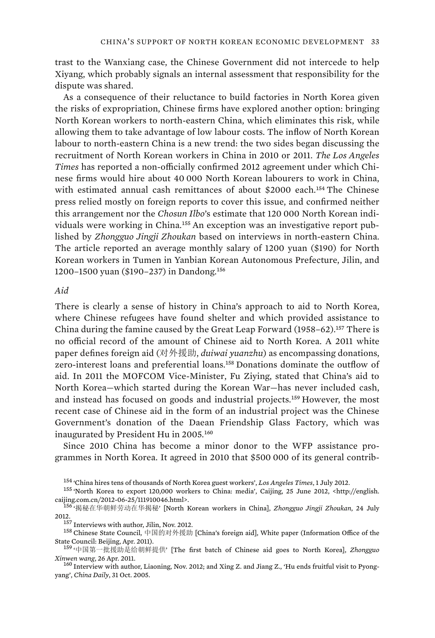trast to the Wanxiang case, the Chinese Government did not intercede to help Xiyang, which probably signals an internal assessment that responsibility for the dispute was shared.

As a consequence of their reluctance to build factories in North Korea given the risks of expropriation, Chinese firms have explored another option: bringing North Korean workers to north-eastern China, which eliminates this risk, while allowing them to take advantage of low labour costs. The inflow of North Korean labour to north-eastern China is a new trend: the two sides began discussing the recruitment of North Korean workers in China in 2010 or 2011. *The Los Angeles Times* has reported a non-officially confirmed 2012 agreement under which Chinese firms would hire about 40 000 North Korean labourers to work in China, with estimated annual cash remittances of about \$2000 each.<sup>154</sup> The Chinese press relied mostly on foreign reports to cover this issue, and confirmed neither this arrangement nor the *Chosun Ilbo*'s estimate that 120 000 North Korean individuals were working in China.<sup>155</sup> An exception was an investigative report published by *Zhongguo Jingji Zhoukan* based on interviews in north-eastern China. The article reported an average monthly salary of 1200 yuan (\$190) for North Korean workers in Tumen in Yanbian Korean Autonomous Prefecture, Jilin, and 1200–1500 yuan (\$190–237) in Dandong.<sup>156</sup>

# *Aid*

There is clearly a sense of history in China's approach to aid to North Korea, where Chinese refugees have found shelter and which provided assistance to China during the famine caused by the Great Leap Forward  $(1958-62).$ <sup>157</sup> There is no official record of the amount of Chinese aid to North Korea. A 2011 white paper defines foreign aid (对外援助, *duiwai yuanzhu*) as encompassing donations, zero-interest loans and preferential loans.<sup>158</sup> Donations dominate the outflow of aid. In 2011 the MOFCOM Vice-Minister, Fu Ziying, stated that China's aid to North Korea—which started during the Korean War—has never included cash, and instead has focused on goods and industrial projects.<sup>159</sup> However, the most recent case of Chinese aid in the form of an industrial project was the Chinese Government's donation of the Daean Friendship Glass Factory, which was inaugurated by President Hu in 2005.<sup>160</sup>

Since 2010 China has become a minor donor to the WFP assistance programmes in North Korea. It agreed in 2010 that \$500 000 of its general contrib-

<sup>&</sup>lt;sup>154</sup> 'China hires tens of thousands of North Korea guest workers', *Los Angeles Times*, 1 July 2012.<br><sup>155</sup> 'North Korea to export 120,000 workers to China: media', Caijing, 25 June 2012, <http://english.<br>caijing.com.cn/20

<sup>156 &#</sup>x27;揭秘在华朝鲜劳动在华揭秘' [North Korean workers in China], *Zhongguo Jingji Zhoukan*, 24 July 2012.  $^{157}$  Interviews with author, Jilin, Nov. 2012.

国的对外援助 [China's foreign aid], White paper (Information Office of the State Council: Beijing, Apr. 2011).<br>- <sup>159</sup> '中国第一批援助是给朝鲜提供' [The first batch of Chinese aid goes to North Korea], *Zhongguo* 

*Xinwen wang*, 26 Apr. 2011. 160 Interview with author, Liaoning, Nov. 2012; and Xing Z. and Jiang Z., 'Hu ends fruitful visit to Pyong-

yang', *China Daily*, 31 Oct. 2005.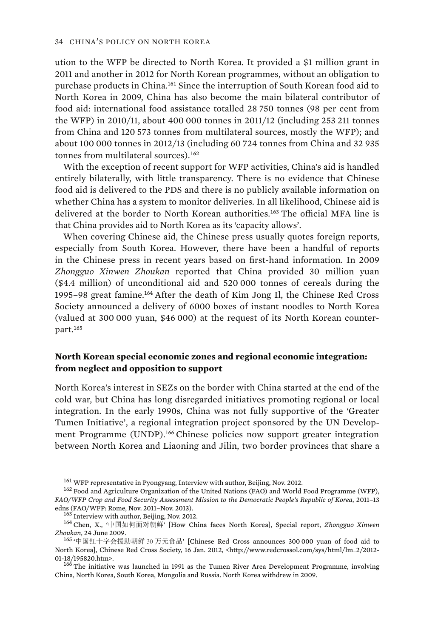ution to the WFP be directed to North Korea. It provided a \$1 million grant in 2011 and another in 2012 for North Korean programmes, without an obligation to purchase products in China.<sup>161</sup> Since the interruption of South Korean food aid to North Korea in 2009, China has also become the main bilateral contributor of food aid: international food assistance totalled 28 750 tonnes (98 per cent from the WFP) in 2010/11, about 400 000 tonnes in 2011/12 (including 253 211 tonnes from China and 120 573 tonnes from multilateral sources, mostly the WFP); and about 100 000 tonnes in 2012/13 (including 60 724 tonnes from China and 32 935 tonnes from multilateral sources).<sup>162</sup>

With the exception of recent support for WFP activities, China's aid is handled entirely bilaterally, with little transparency. There is no evidence that Chinese food aid is delivered to the PDS and there is no publicly available information on whether China has a system to monitor deliveries. In all likelihood, Chinese aid is delivered at the border to North Korean authorities.<sup>163</sup> The official MFA line is that China provides aid to North Korea as its 'capacity allows'.

When covering Chinese aid, the Chinese press usually quotes foreign reports, especially from South Korea. However, there have been a handful of reports in the Chinese press in recent years based on first-hand information. In 2009 *Zhongguo Xinwen Zhoukan* reported that China provided 30 million yuan (\$4.4 million) of unconditional aid and 520 000 tonnes of cereals during the 1995–98 great famine.<sup>164</sup> After the death of Kim Jong Il, the Chinese Red Cross Society announced a delivery of 6000 boxes of instant noodles to North Korea (valued at 300 000 yuan, \$46 000) at the request of its North Korean counterpart.<sup>165</sup>

# **North Korean special economic zones and regional economic integration: from neglect and opposition to support**

North Korea's interest in SEZs on the border with China started at the end of the cold war, but China has long disregarded initiatives promoting regional or local integration. In the early 1990s, China was not fully supportive of the 'Greater Tumen Initiative', a regional integration project sponsored by the UN Development Programme (UNDP).<sup>166</sup> Chinese policies now support greater integration between North Korea and Liaoning and Jilin, two border provinces that share a

 $161$  WFP representative in Pyongyang, Interview with author, Beijing, Nov. 2012.<br> $162$  Food and Agriculture Organization of the United Nations (FAO) and World Food Programme (WFP), *FAO/WFP Crop and Food Security Assessment Mission to the Democratic People's Republic of Korea*, 2011–13

edns (FAO/WFP: Rome, Nov. 2011–Nov. 2013).<br><sup>163</sup> Interview with author, Beijing, Nov. 2012.<br><sup>164</sup> Chen, X., '中国如何面对朝鲜' [How China faces North Korea], Special report, *Zhongguo Xinwen* Zhoukan, 24 June 2009.<br>1<sup>65</sup> '中国红十字会援助朝鲜 30 万元食品' [Chinese Red Cross announces 300 000 yuan of food aid to

North Korea], Chinese Red Cross Society, 16 Jan. 2012, <http://www.redcrossol.com/sys/html/lm\_2/2012-

<sup>&</sup>lt;sup>166</sup> The initiative was launched in 1991 as the Tumen River Area Development Programme, involving China, North Korea, South Korea, Mongolia and Russia. North Korea withdrew in 2009.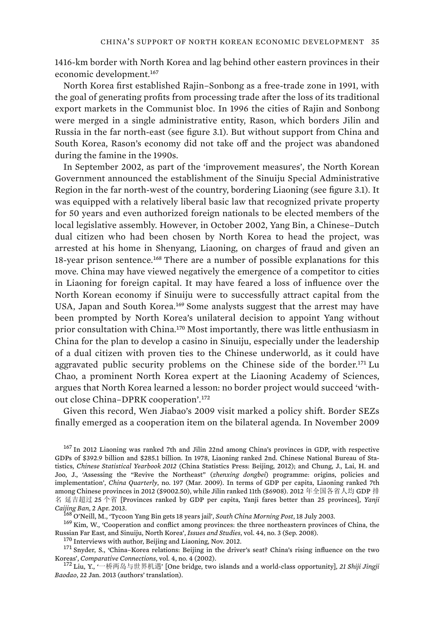1416-km border with North Korea and lag behind other eastern provinces in their economic development.<sup>167</sup>

North Korea first established Rajin–Sonbong as a free-trade zone in 1991, with the goal of generating profits from processing trade after the loss of its traditional export markets in the Communist bloc. In 1996 the cities of Rajin and Sonbong were merged in a single administrative entity, Rason, which borders Jilin and Russia in the far north-east (see figure 3.1). But without support from China and South Korea, Rason's economy did not take off and the project was abandoned during the famine in the 1990s.

In September 2002, as part of the 'improvement measures', the North Korean Government announced the establishment of the Sinuiju Special Administrative Region in the far north-west of the country, bordering Liaoning (see figure 3.1). It was equipped with a relatively liberal basic law that recognized private property for 50 years and even authorized foreign nationals to be elected members of the local legislative assembly. However, in October 2002, Yang Bin, a Chinese–Dutch dual citizen who had been chosen by North Korea to head the project, was arrested at his home in Shenyang, Liaoning, on charges of fraud and given an 18-year prison sentence.<sup>168</sup> There are a number of possible explanations for this move. China may have viewed negatively the emergence of a competitor to cities in Liaoning for foreign capital. It may have feared a loss of influence over the North Korean economy if Sinuiju were to successfully attract capital from the USA, Japan and South Korea.<sup>169</sup> Some analysts suggest that the arrest may have been prompted by North Korea's unilateral decision to appoint Yang without prior consultation with China.<sup>170</sup> Most importantly, there was little enthusiasm in China for the plan to develop a casino in Sinuiju, especially under the leadership of a dual citizen with proven ties to the Chinese underworld, as it could have aggravated public security problems on the Chinese side of the border.<sup>171</sup> Lu Chao, a prominent North Korea expert at the Liaoning Academy of Sciences, argues that North Korea learned a lesson: no border project would succeed 'without close China–DPRK cooperation'.<sup>172</sup>

Given this record, Wen Jiabao's 2009 visit marked a policy shift. Border SEZs finally emerged as a cooperation item on the bilateral agenda. In November 2009

<sup>167</sup> In 2012 Liaoning was ranked 7th and Jilin 22nd among China's provinces in GDP, with respective GDPs of \$392.9 billion and \$285.1 billion. In 1978, Liaoning ranked 2nd. Chinese National Bureau of Statistics, *Chinese Statistical Yearbook 2012* (China Statistics Press: Beijing, 2012); and Chung, J., Lai, H. and Joo, J., 'Assessing the "Revive the Northeast" (*zhenxing dongbei*) programme: origins, policies and implementation', *China Quarterly*, no. 197 (Mar. 2009). In terms of GDP per capita, Liaoning ranked 7th among Chinese provinces in 2012 (\$9002.50), while Jilin ranked 11th (\$6908). 2012 年全国各省人均 GDP 排 名 延吉超过 25 个省 [Provinces ranked by GDP per capita, Yanji fares better than 25 provinces], *Yanji* Caijing Ban, 2 Apr. 2013.<br><sup>168</sup> O'Neill, M., 'Tycoon Yang Bin gets 18 years jail', *South China Morning Post*, 18 July 2003.<br><sup>169</sup> Kim, W., 'Cooperation and conflict among provinces: the three northeastern provinces of Ch

Russian Far East, and Sinuiju, North Korea', *Issues and Studies*, vol. 44, no. 3 (Sep. 2008).<br><sup>170</sup> Interviews with author, Beijing and Liaoning, Nov. 2012.<br><sup>171</sup> Snyder, S., 'China-Korea relations: Beijing in the driver' Koreas', *Comparative Connections*, vol. 4, no. 4 (2002).<br><sup>172</sup> Liu, Y., '一桥两岛与世界机遇' [One bridge, two islands and a world-class opportunity], *21 Shiji Jingji* 

*Baodao*, 22 Jan. 2013 (authors' translation).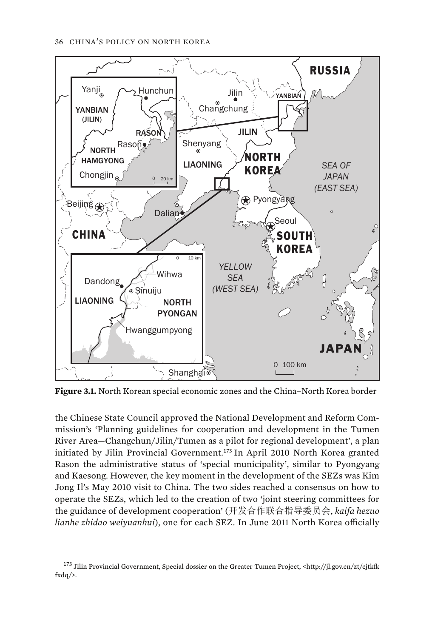

**Figure 3.1.** North Korean special economic zones and the China–North Korea border

the Chinese State Council approved the National Development and Reform Commission's 'Planning guidelines for cooperation and development in the Tumen River Area—Changchun/Jilin/Tumen as a pilot for regional development', a plan initiated by Jilin Provincial Government.<sup>173</sup> In April 2010 North Korea granted Rason the administrative status of 'special municipality', similar to Pyongyang and Kaesong. However, the key moment in the development of the SEZs was Kim Jong Il's May 2010 visit to China. The two sides reached a consensus on how to operate the SEZs, which led to the creation of two 'joint steering committees for the guidance of development cooperation' (开发合作联合指导委员会, *kaifa hezuo lianhe zhidao weiyuanhui*), one for each SEZ. In June 2011 North Korea officially

<sup>&</sup>lt;sup>173</sup> Jilin Provincial Government, Special dossier on the Greater Tumen Project, <http://jl.gov.cn/zt/cjtkfk fxdq/>.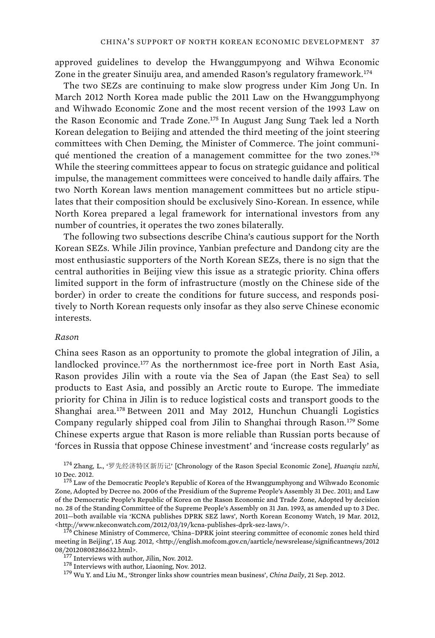approved guidelines to develop the Hwanggumpyong and Wihwa Economic Zone in the greater Sinuiju area, and amended Rason's regulatory framework.<sup>174</sup>

The two SEZs are continuing to make slow progress under Kim Jong Un. In March 2012 North Korea made public the 2011 Law on the Hwanggumphyong and Wihwado Economic Zone and the most recent version of the 1993 Law on the Rason Economic and Trade Zone.<sup>175</sup> In August Jang Sung Taek led a North Korean delegation to Beijing and attended the third meeting of the joint steering committees with Chen Deming, the Minister of Commerce. The joint communiqué mentioned the creation of a management committee for the two zones.<sup>176</sup> While the steering committees appear to focus on strategic guidance and political impulse, the management committees were conceived to handle daily affairs. The two North Korean laws mention management committees but no article stipulates that their composition should be exclusively Sino-Korean. In essence, while North Korea prepared a legal framework for international investors from any number of countries, it operates the two zones bilaterally.

The following two subsections describe China's cautious support for the North Korean SEZs. While Jilin province, Yanbian prefecture and Dandong city are the most enthusiastic supporters of the North Korean SEZs, there is no sign that the central authorities in Beijing view this issue as a strategic priority. China offers limited support in the form of infrastructure (mostly on the Chinese side of the border) in order to create the conditions for future success, and responds positively to North Korean requests only insofar as they also serve Chinese economic interests.

#### *Rason*

China sees Rason as an opportunity to promote the global integration of Jilin, a landlocked province.<sup>177</sup> As the northernmost ice-free port in North East Asia, Rason provides Jilin with a route via the Sea of Japan (the East Sea) to sell products to East Asia, and possibly an Arctic route to Europe. The immediate priority for China in Jilin is to reduce logistical costs and transport goods to the Shanghai area.<sup>178</sup> Between 2011 and May 2012, Hunchun Chuangli Logistics Company regularly shipped coal from Jilin to Shanghai through Rason.<sup>179</sup> Some Chinese experts argue that Rason is more reliable than Russian ports because of 'forces in Russia that oppose Chinese investment' and 'increase costs regularly' as

174 Zhang, L., '罗先经济特区新历记' [Chronology of the Rason Special Economic Zone], *Huanqiu zazhi*, 10 Dec. 2012. 108 Democratic People's Republic of Korea of the Hwanggumphyong and Wihwado Economic

meeting in Beijing', 15 Aug. 2012, <http://english.mofcom.gov.cn/aarticle/newsrelease/significantnews/2012<br>08/20120808286632.html>.

Zone, Adopted by Decree no. 2006 of the Presidium of the Supreme People's Assembly 31 Dec. 2011; and Law of the Democratic People's Republic of Korea on the Rason Economic and Trade Zone, Adopted by decision no. 28 of the Standing Committee of the Supreme People's Assembly on 31 Jan. 1993, as amended up to 3 Dec. 2011—both available via 'KCNA publishes DPRK SEZ laws', North Korean Economy Watch, 19 Mar. 2012, <http://www.nkeconwatch.com/2012/03/19/kcna-publishes-dprk-sez-laws/>. 176 Chinese Ministry of Commerce, 'China–DPRK joint steering committee of economic zones held third

<sup>&</sup>lt;sup>177</sup> Interviews with author, Jilin, Nov. 2012.<br><sup>178</sup> Interviews with author, Liaoning, Nov. 2012.<br><sup>179</sup> Wu Y. and Liu M., 'Stronger links show countries mean business', *China Daily*, 21 Sep. 2012.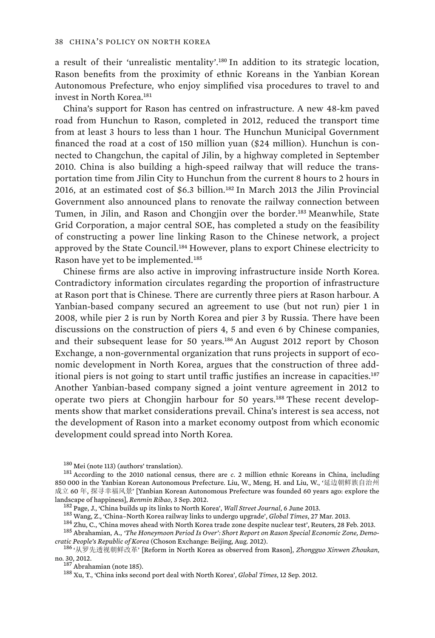a result of their 'unrealistic mentality'.<sup>180</sup> In addition to its strategic location, Rason benefits from the proximity of ethnic Koreans in the Yanbian Korean Autonomous Prefecture, who enjoy simplified visa procedures to travel to and invest in North Korea.<sup>181</sup>

China's support for Rason has centred on infrastructure. A new 48-km paved road from Hunchun to Rason, completed in 2012, reduced the transport time from at least 3 hours to less than 1 hour. The Hunchun Municipal Government financed the road at a cost of 150 million yuan (\$24 million). Hunchun is connected to Changchun, the capital of Jilin, by a highway completed in September 2010. China is also building a high-speed railway that will reduce the transportation time from Jilin City to Hunchun from the current 8 hours to 2 hours in 2016, at an estimated cost of \$6.3 billion.<sup>182</sup> In March 2013 the Jilin Provincial Government also announced plans to renovate the railway connection between Tumen, in Jilin, and Rason and Chongjin over the border.<sup>183</sup> Meanwhile, State Grid Corporation, a major central SOE, has completed a study on the feasibility of constructing a power line linking Rason to the Chinese network, a project approved by the State Council.<sup>184</sup> However, plans to export Chinese electricity to Rason have yet to be implemented.<sup>185</sup>

Chinese firms are also active in improving infrastructure inside North Korea. Contradictory information circulates regarding the proportion of infrastructure at Rason port that is Chinese. There are currently three piers at Rason harbour. A Yanbian-based company secured an agreement to use (but not run) pier 1 in 2008, while pier 2 is run by North Korea and pier 3 by Russia. There have been discussions on the construction of piers 4, 5 and even 6 by Chinese companies, and their subsequent lease for 50 years.<sup>186</sup> An August 2012 report by Choson Exchange, a non-governmental organization that runs projects in support of economic development in North Korea, argues that the construction of three additional piers is not going to start until traffic justifies an increase in capacities.<sup>187</sup> Another Yanbian-based company signed a joint venture agreement in 2012 to operate two piers at Chongjin harbour for 50 years.<sup>188</sup> These recent developments show that market considerations prevail. China's interest is sea access, not the development of Rason into a market economy outpost from which economic development could spread into North Korea.

<sup>&</sup>lt;sup>180</sup> Mei (note 113) (authors' translation).<br><sup>181</sup> According to the 2010 national census, there are *c*. 2 million ethnic Koreans in China, including 850 000 in the Yanbian Korean Autonomous Prefecture. Liu, W., Meng, H. and Liu, W., ' 成立 60 年, 探寻幸福风景' [Yanbian Korean Autonomous Prefecture was founded 60 years ago: explore the

landscape of happiness], *Renmin Ribao*, 3 Sep. 2012.<br><sup>182</sup> Page, J., 'China builds up its links to North Korea', *Wall Street Journal*, 6 June 2013.<br><sup>182</sup> Page, J., 'China-North Korea railway links to undergo upgrade',

*cratic People's Republic of Korea* (Choson Exchange: Beijing, Aug. 2012).<br><sup>186</sup> '从罗先透视朝鲜改革' [Reform in North Korea as observed from Rason], *Zhongguo Xinwen Zhoukan*, no. 30, 2012. 187 Abrahamian (note 185). 188 Xu, T., 'China inks second port deal with North Korea', *Global Times*, 12 Sep. 2012.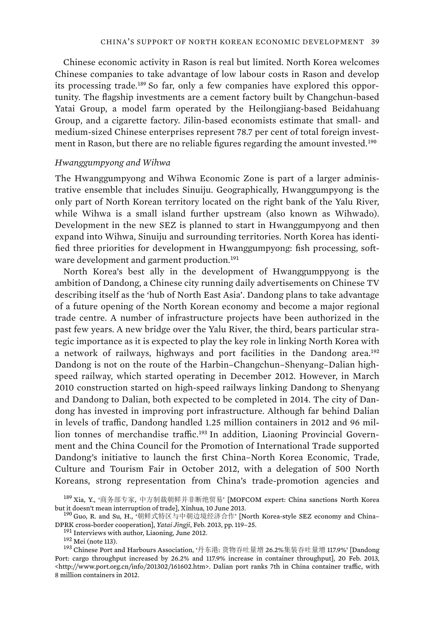Chinese economic activity in Rason is real but limited. North Korea welcomes Chinese companies to take advantage of low labour costs in Rason and develop its processing trade.189 So far, only a few companies have explored this opportunity. The flagship investments are a cement factory built by Changchun-based Yatai Group, a model farm operated by the Heilongjiang-based Beidahuang Group, and a cigarette factory. Jilin-based economists estimate that small- and medium-sized Chinese enterprises represent 78.7 per cent of total foreign investment in Rason, but there are no reliable figures regarding the amount invested.<sup>190</sup>

### *Hwanggumpyong and Wihwa*

The Hwanggumpyong and Wihwa Economic Zone is part of a larger administrative ensemble that includes Sinuiju. Geographically, Hwanggumpyong is the only part of North Korean territory located on the right bank of the Yalu River, while Wihwa is a small island further upstream (also known as Wihwado). Development in the new SEZ is planned to start in Hwanggumpyong and then expand into Wihwa, Sinuiju and surrounding territories. North Korea has identified three priorities for development in Hwanggumpyong: fish processing, software development and garment production.<sup>191</sup>

North Korea's best ally in the development of Hwanggumppyong is the ambition of Dandong, a Chinese city running daily advertisements on Chinese TV describing itself as the 'hub of North East Asia'. Dandong plans to take advantage of a future opening of the North Korean economy and become a major regional trade centre. A number of infrastructure projects have been authorized in the past few years. A new bridge over the Yalu River, the third, bears particular strategic importance as it is expected to play the key role in linking North Korea with a network of railways, highways and port facilities in the Dandong area.<sup>192</sup> Dandong is not on the route of the Harbin–Changchun–Shenyang–Dalian highspeed railway, which started operating in December 2012. However, in March 2010 construction started on high-speed railways linking Dandong to Shenyang and Dandong to Dalian, both expected to be completed in 2014. The city of Dandong has invested in improving port infrastructure. Although far behind Dalian in levels of traffic, Dandong handled 1.25 million containers in 2012 and 96 million tonnes of merchandise traffic.<sup>193</sup> In addition, Liaoning Provincial Government and the China Council for the Promotion of International Trade supported Dandong's initiative to launch the first China–North Korea Economic, Trade, Culture and Tourism Fair in October 2012, with a delegation of 500 North Koreans, strong representation from China's trade-promotion agencies and

<sup>&</sup>lt;sup>189</sup> Xia, Y., '商务部专家, 中方制裁朝鲜并非断绝贸易' [MOFCOM expert: China sanctions North Korea

but it doesn't mean interruption of trade], Xinhua, 10 June 2013.<br><sup>190</sup> Guo, R. and Su, H., '朝鲜式特区与中朝边境经济合作' [North Korea-style SEZ economy and China– DPRK cross-border cooperation], *Yatai Jingji*, Feb. 2013, pp. 119–25.<br><sup>191</sup> Interviews with author, Liaoning, June 2012.<br><sup>192</sup> Mei (note 113).<br><sup>193</sup> Chinese Port and Harbours Association, '丹东港: 货物吞吐量增 26.2%集装吞吐量增 117.9%'

Port: cargo throughput increased by 26.2% and 117.9% increase in container throughput], 20 Feb. 2013, <http://www.port.org.cn/info/201302/161602.htm>. Dalian port ranks 7th in China container traffic, with 8 million containers in 2012.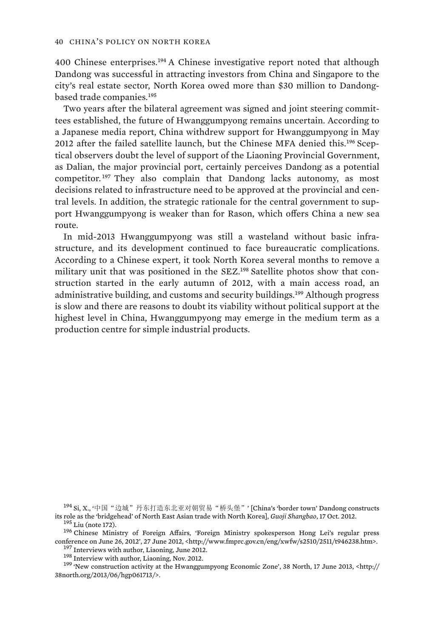400 Chinese enterprises.<sup>194</sup> A Chinese investigative report noted that although Dandong was successful in attracting investors from China and Singapore to the city's real estate sector, North Korea owed more than \$30 million to Dandongbased trade companies.<sup>195</sup>

Two years after the bilateral agreement was signed and joint steering committees established, the future of Hwanggumpyong remains uncertain. According to a Japanese media report, China withdrew support for Hwanggumpyong in May 2012 after the failed satellite launch, but the Chinese MFA denied this.196 Sceptical observers doubt the level of support of the Liaoning Provincial Government, as Dalian, the major provincial port, certainly perceives Dandong as a potential competitor. <sup>197</sup> They also complain that Dandong lacks autonomy, as most decisions related to infrastructure need to be approved at the provincial and central levels. In addition, the strategic rationale for the central government to support Hwanggumpyong is weaker than for Rason, which offers China a new sea route.

In mid-2013 Hwanggumpyong was still a wasteland without basic infrastructure, and its development continued to face bureaucratic complications. According to a Chinese expert, it took North Korea several months to remove a military unit that was positioned in the SEZ.198 Satellite photos show that construction started in the early autumn of 2012, with a main access road, an administrative building, and customs and security buildings.<sup>199</sup> Although progress is slow and there are reasons to doubt its viability without political support at the highest level in China, Hwanggumpyong may emerge in the medium term as a production centre for simple industrial products.

<sup>194</sup> Si, X., '中国"边城"丹东打造东北亚对朝贸易"桥头堡", [China's 'border town' Dandong constructs

its role as the 'bridge<br>head' of North East Asian trade with North Korea], Guoji Shangbao, 17 Oct. 2012.<br><sup>195</sup> Liu (note 172).<br><sup>196</sup> Chinese Ministry of Foreign Affairs, 'Foreign Ministry spokesperson Hong Lei's regular p

 $^{197}$  Interviews with author, Liaoning, June 2012.<br>  $^{198}$  Interview with author, Liaoning, Nov. 2012.<br>  $^{198}$  Therview with author, Liaoning, Nov. 2012.<br>  $^{199}$  'New construction activity at the Hwanggumpyong Econom 38north.org/2013/06/hgp061713/>.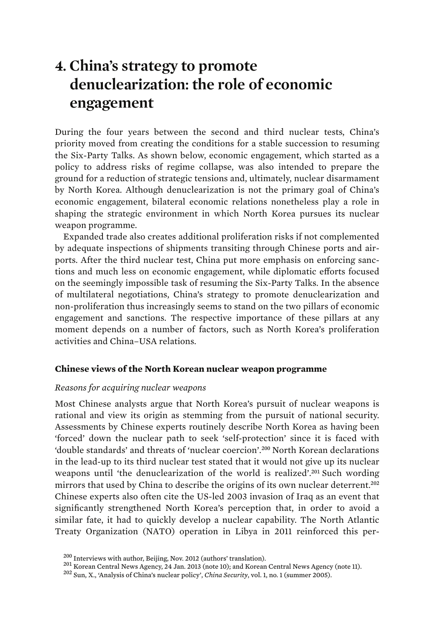# **4. China's strategy to promote denuclearization: the role of economic engagement**

During the four years between the second and third nuclear tests, China's priority moved from creating the conditions for a stable succession to resuming the Six-Party Talks. As shown below, economic engagement, which started as a policy to address risks of regime collapse, was also intended to prepare the ground for a reduction of strategic tensions and, ultimately, nuclear disarmament by North Korea. Although denuclearization is not the primary goal of China's economic engagement, bilateral economic relations nonetheless play a role in shaping the strategic environment in which North Korea pursues its nuclear weapon programme.

Expanded trade also creates additional proliferation risks if not complemented by adequate inspections of shipments transiting through Chinese ports and airports. After the third nuclear test, China put more emphasis on enforcing sanctions and much less on economic engagement, while diplomatic efforts focused on the seemingly impossible task of resuming the Six-Party Talks. In the absence of multilateral negotiations, China's strategy to promote denuclearization and non-proliferation thus increasingly seems to stand on the two pillars of economic engagement and sanctions. The respective importance of these pillars at any moment depends on a number of factors, such as North Korea's proliferation activities and China–USA relations.

## **Chinese views of the North Korean nuclear weapon programme**

### *Reasons for acquiring nuclear weapons*

Most Chinese analysts argue that North Korea's pursuit of nuclear weapons is rational and view its origin as stemming from the pursuit of national security. Assessments by Chinese experts routinely describe North Korea as having been 'forced' down the nuclear path to seek 'self-protection' since it is faced with 'double standards' and threats of 'nuclear coercion'.<sup>200</sup> North Korean declarations in the lead-up to its third nuclear test stated that it would not give up its nuclear weapons until 'the denuclearization of the world is realized'.<sup>201</sup> Such wording mirrors that used by China to describe the origins of its own nuclear deterrent.<sup>202</sup> Chinese experts also often cite the US-led 2003 invasion of Iraq as an event that significantly strengthened North Korea's perception that, in order to avoid a similar fate, it had to quickly develop a nuclear capability. The North Atlantic Treaty Organization (NATO) operation in Libya in 2011 reinforced this per-

<sup>&</sup>lt;sup>200</sup> Interviews with author, Beijing, Nov. 2012 (authors' translation).<br><sup>201</sup> Korean Central News Agency, 24 Jan. 2013 (note 10); and Korean Central News Agency (note 11).<br><sup>202</sup> Sun, X., 'Analysis of China's nuclear poli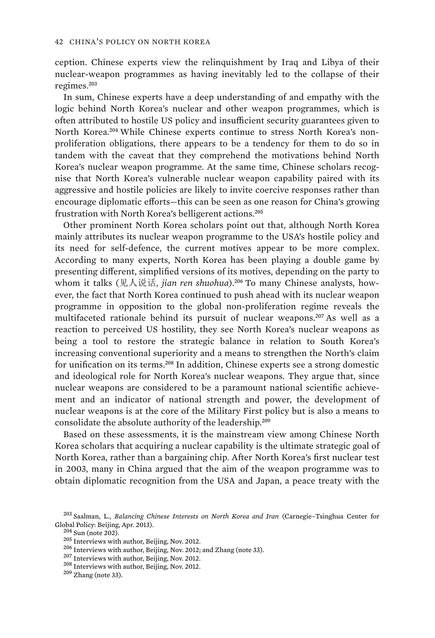ception. Chinese experts view the relinquishment by Iraq and Libya of their nuclear-weapon programmes as having inevitably led to the collapse of their regimes.<sup>203</sup>

In sum, Chinese experts have a deep understanding of and empathy with the logic behind North Korea's nuclear and other weapon programmes, which is often attributed to hostile US policy and insufficient security guarantees given to North Korea.204 While Chinese experts continue to stress North Korea's nonproliferation obligations, there appears to be a tendency for them to do so in tandem with the caveat that they comprehend the motivations behind North Korea's nuclear weapon programme. At the same time, Chinese scholars recognise that North Korea's vulnerable nuclear weapon capability paired with its aggressive and hostile policies are likely to invite coercive responses rather than encourage diplomatic efforts—this can be seen as one reason for China's growing frustration with North Korea's belligerent actions.<sup>205</sup>

Other prominent North Korea scholars point out that, although North Korea mainly attributes its nuclear weapon programme to the USA's hostile policy and its need for self-defence, the current motives appear to be more complex. According to many experts, North Korea has been playing a double game by presenting different, simplified versions of its motives, depending on the party to whom it talks (见人说话*, jian ren shuohua*).<sup>206</sup> To many Chinese analysts, however, the fact that North Korea continued to push ahead with its nuclear weapon programme in opposition to the global non-proliferation regime reveals the multifaceted rationale behind its pursuit of nuclear weapons.<sup>207</sup> As well as a reaction to perceived US hostility, they see North Korea's nuclear weapons as being a tool to restore the strategic balance in relation to South Korea's increasing conventional superiority and a means to strengthen the North's claim for unification on its terms.<sup>208</sup> In addition, Chinese experts see a strong domestic and ideological role for North Korea's nuclear weapons. They argue that, since nuclear weapons are considered to be a paramount national scientific achievement and an indicator of national strength and power, the development of nuclear weapons is at the core of the Military First policy but is also a means to consolidate the absolute authority of the leadership.<sup>209</sup>

Based on these assessments, it is the mainstream view among Chinese North Korea scholars that acquiring a nuclear capability is the ultimate strategic goal of North Korea, rather than a bargaining chip. After North Korea's first nuclear test in 2003, many in China argued that the aim of the weapon programme was to obtain diplomatic recognition from the USA and Japan, a peace treaty with the

- 
- 

<sup>203</sup> Saalman, L., *Balancing Chinese Interests on North Korea and Iran* (Carnegie–Tsinghua Center for Global Policy: Beijing, Apr. 2013).<br>
<sup>204</sup> Sun (note 202).<br>
<sup>205</sup> Interviews with author, Beijing, Nov. 2012.<br>
<sup>206</sup> Interviews with author, Beijing, Nov. 2012; and Zhang (note 33).<br>
<sup>207</sup> Interviews with author, Beijing,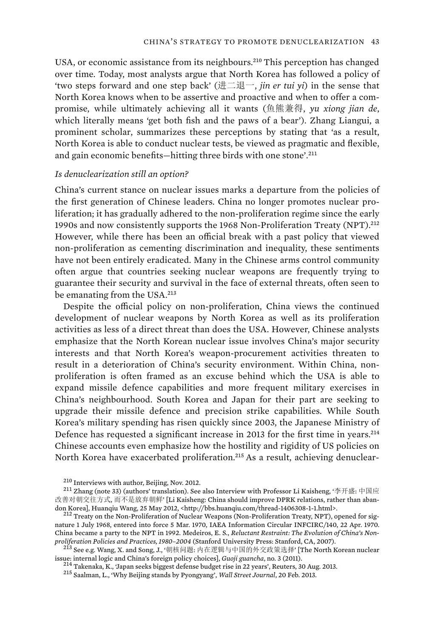USA, or economic assistance from its neighbours.<sup>210</sup> This perception has changed over time. Today, most analysts argue that North Korea has followed a policy of 'two steps forward and one step back' ( $\sharp \pm \sharp \pm \sharp \pm \sharp$ , *jin er tui yi*) in the sense that North Korea knows when to be assertive and proactive and when to offer a compromise, while ultimately achieving all it wants (), *yu xiong jian de*, which literally means 'get both fish and the paws of a bear'). Zhang Liangui, a prominent scholar, summarizes these perceptions by stating that 'as a result, North Korea is able to conduct nuclear tests, be viewed as pragmatic and flexible, and gain economic benefits—hitting three birds with one stone'.<sup>211</sup>

#### *Is denuclearization still an option?*

China's current stance on nuclear issues marks a departure from the policies of the first generation of Chinese leaders. China no longer promotes nuclear proliferation; it has gradually adhered to the non-proliferation regime since the early 1990s and now consistently supports the 1968 Non-Proliferation Treaty (NPT).<sup>212</sup> However, while there has been an official break with a past policy that viewed non-proliferation as cementing discrimination and inequality, these sentiments have not been entirely eradicated. Many in the Chinese arms control community often argue that countries seeking nuclear weapons are frequently trying to guarantee their security and survival in the face of external threats, often seen to be emanating from the USA.<sup>213</sup>

Despite the official policy on non-proliferation, China views the continued development of nuclear weapons by North Korea as well as its proliferation activities as less of a direct threat than does the USA. However, Chinese analysts emphasize that the North Korean nuclear issue involves China's major security interests and that North Korea's weapon-procurement activities threaten to result in a deterioration of China's security environment. Within China, nonproliferation is often framed as an excuse behind which the USA is able to expand missile defence capabilities and more frequent military exercises in China's neighbourhood. South Korea and Japan for their part are seeking to upgrade their missile defence and precision strike capabilities. While South Korea's military spending has risen quickly since 2003, the Japanese Ministry of Defence has requested a significant increase in 2013 for the first time in years.<sup>214</sup> Chinese accounts even emphasize how the hostility and rigidity of US policies on North Korea have exacerbated proliferation.215 As a result, achieving denuclear-

<sup>&</sup>lt;sup>210</sup> Interviews with author, Beijing, Nov. 2012.<br><sup>211</sup> Zhang (note 33) (authors' translation). See also Interview with Professor Li Kaisheng, '李开盛: 中国应 改善对朝交往方式, 而不是放弃朝鲜' [Li Kaisheng: China should improve DPRK relations, rather than abandon Korea], Huanqiu Wang, 25 May 2012, <http://bbs.huanqiu.com/thread-1406308-1-1.html>. <sup>212</sup> Treaty on the Non-Proliferation of Nuclear Weapons (Non-Proliferation Treaty, NPT), opened for sig-

nature 1 July 1968, entered into force 5 Mar. 1970, IAEA Information Circular INFCIRC/140, 22 Apr. 1970. China became a party to the NPT in 1992. Medeiros, E. S., *Reluctant Restraint: The Evolution of China's Non-*

proliferation Policies and Practices, 1980–2004 (Stanford University Press: Stanford, CA, 2007).<br><sup>213</sup> See e.g. Wang, X. and Song, J., '朝核问题: 内在逻辑与中国的外交政策选择' [The North Korean nuclear issue: internal logic and China's foreign policy choices], *Guoji guancha*, no. 3 (2011).<br><sup>214</sup> Takenaka, K., 'Japan seeks biggest defense budget rise in 22 years', Reuters, 30 Aug. 2013.<br><sup>215</sup> Saalman, L., 'Why Beijing st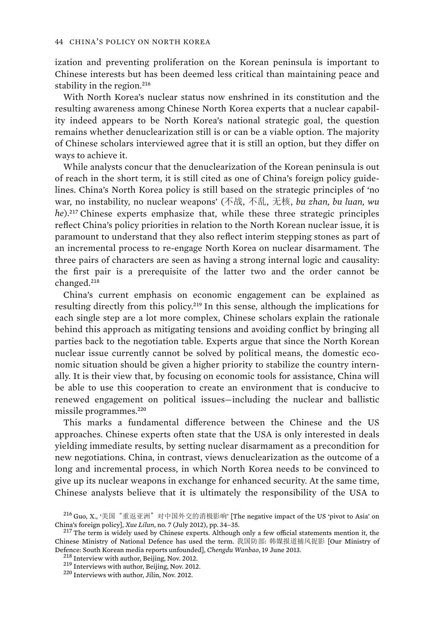ization and preventing proliferation on the Korean peninsula is important to Chinese interests but has been deemed less critical than maintaining peace and stability in the region.<sup>216</sup>

With North Korea's nuclear status now enshrined in its constitution and the resulting awareness among Chinese North Korea experts that a nuclear capability indeed appears to be North Korea's national strategic goal, the question remains whether denuclearization still is or can be a viable option. The majority of Chinese scholars interviewed agree that it is still an option, but they differ on ways to achieve it.

While analysts concur that the denuclearization of the Korean peninsula is out of reach in the short term, it is still cited as one of China's foreign policy guidelines. China's North Korea policy is still based on the strategic principles of 'no war, no instability, no nuclear weapons' (不战, 不乱, 无核, bu zhan, bu luan, wu *he*).<sup>217</sup> Chinese experts emphasize that, while these three strategic principles reflect China's policy priorities in relation to the North Korean nuclear issue, it is paramount to understand that they also reflect interim stepping stones as part of an incremental process to re-engage North Korea on nuclear disarmament. The three pairs of characters are seen as having a strong internal logic and causality: the first pair is a prerequisite of the latter two and the order cannot be changed.<sup>218</sup>

China's current emphasis on economic engagement can be explained as resulting directly from this policy.<sup>219</sup> In this sense, although the implications for each single step are a lot more complex, Chinese scholars explain the rationale behind this approach as mitigating tensions and avoiding conflict by bringing all parties back to the negotiation table. Experts argue that since the North Korean nuclear issue currently cannot be solved by political means, the domestic economic situation should be given a higher priority to stabilize the country internally. It is their view that, by focusing on economic tools for assistance, China will be able to use this cooperation to create an environment that is conducive to renewed engagement on political issues—including the nuclear and ballistic missile programmes.<sup>220</sup>

This marks a fundamental difference between the Chinese and the US approaches. Chinese experts often state that the USA is only interested in deals yielding immediate results, by setting nuclear disarmament as a precondition for new negotiations. China, in contrast, views denuclearization as the outcome of a long and incremental process, in which North Korea needs to be convinced to give up its nuclear weapons in exchange for enhanced security. At the same time, Chinese analysts believe that it is ultimately the responsibility of the USA to

<sup>&</sup>lt;sup>216</sup> Guo, X., '美国"重返亚洲"对中国外交的消极影响' [The negative impact of the US 'pivot to Asia' on China's foreign policy], *Xue Lilun*, no. 7 (July 2012), pp. 34–35. <sup>217</sup> The term is widely used by Chinese experts. Although only a few official statements mention it, the

Chinese Ministry of National Defence has used the term. 我国防部: 韩媒报道捕风捉影 [Our Ministry of Defence: South Korean media reports unfounded], *Chengdu Wanbao*, 19 June 2013.<br><sup>218</sup> Interview with author, Beijing, Nov. 2012.<br><sup>219</sup> Interviews with author, Beijing, Nov. 2012.<br><sup>220</sup> Interviews with author, Jilin, Nov. 2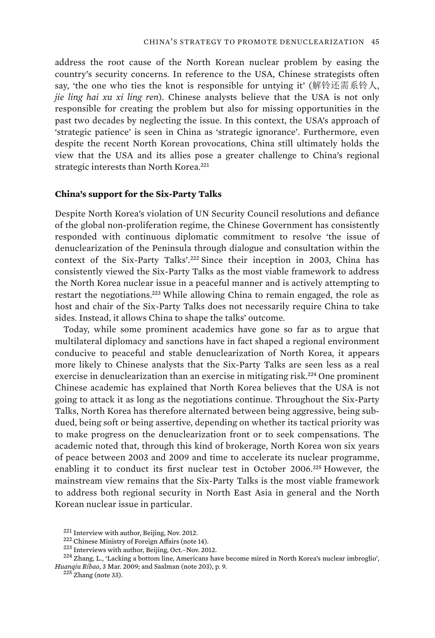address the root cause of the North Korean nuclear problem by easing the country's security concerns. In reference to the USA, Chinese strategists often say, 'the one who ties the knot is responsible for untying it' (解铃还需系铃人, *jie ling hai xu xi ling ren*). Chinese analysts believe that the USA is not only responsible for creating the problem but also for missing opportunities in the past two decades by neglecting the issue. In this context, the USA's approach of 'strategic patience' is seen in China as 'strategic ignorance'. Furthermore, even despite the recent North Korean provocations, China still ultimately holds the view that the USA and its allies pose a greater challenge to China's regional strategic interests than North Korea.<sup>221</sup>

#### **China's support for the Six-Party Talks**

Despite North Korea's violation of UN Security Council resolutions and defiance of the global non-proliferation regime, the Chinese Government has consistently responded with continuous diplomatic commitment to resolve 'the issue of denuclearization of the Peninsula through dialogue and consultation within the context of the Six-Party Talks'.<sup>222</sup> Since their inception in 2003, China has consistently viewed the Six-Party Talks as the most viable framework to address the North Korea nuclear issue in a peaceful manner and is actively attempting to restart the negotiations.<sup>223</sup> While allowing China to remain engaged, the role as host and chair of the Six-Party Talks does not necessarily require China to take sides. Instead, it allows China to shape the talks' outcome.

Today, while some prominent academics have gone so far as to argue that multilateral diplomacy and sanctions have in fact shaped a regional environment conducive to peaceful and stable denuclearization of North Korea, it appears more likely to Chinese analysts that the Six-Party Talks are seen less as a real exercise in denuclearization than an exercise in mitigating risk.<sup>224</sup> One prominent Chinese academic has explained that North Korea believes that the USA is not going to attack it as long as the negotiations continue. Throughout the Six-Party Talks, North Korea has therefore alternated between being aggressive, being subdued, being soft or being assertive, depending on whether its tactical priority was to make progress on the denuclearization front or to seek compensations. The academic noted that, through this kind of brokerage, North Korea won six years of peace between 2003 and 2009 and time to accelerate its nuclear programme, enabling it to conduct its first nuclear test in October 2006.<sup>225</sup> However, the mainstream view remains that the Six-Party Talks is the most viable framework to address both regional security in North East Asia in general and the North Korean nuclear issue in particular.

<sup>&</sup>lt;sup>221</sup> Interview with author, Beijing, Nov. 2012.<br><sup>222</sup> Chinese Ministry of Foreign Affairs (note 14).<br><sup>223</sup> Interviews with author, Beijing, Oct.–Nov. 2012.<br><sup>224</sup> Zhang, L., 'Lacking a bottom line, Americans have become m *Huanqiu Ribao*, 3 Mar. 2009; and Saalman (note 203), p. 9. 225 Zhang (note 33).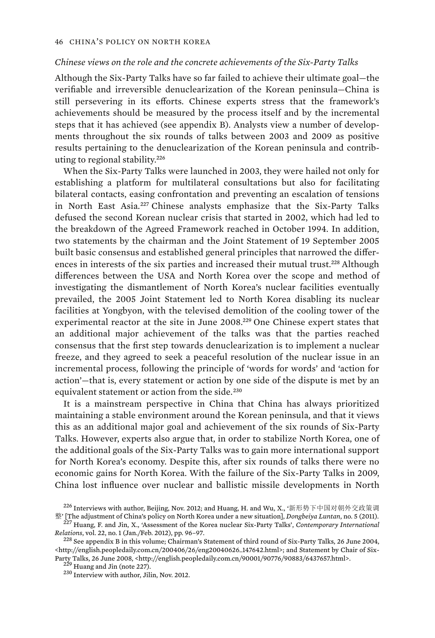#### *Chinese views on the role and the concrete achievements of the Six-Party Talks*

Although the Six-Party Talks have so far failed to achieve their ultimate goal—the verifiable and irreversible denuclearization of the Korean peninsula—China is still persevering in its efforts. Chinese experts stress that the framework's achievements should be measured by the process itself and by the incremental steps that it has achieved (see appendix B). Analysts view a number of developments throughout the six rounds of talks between 2003 and 2009 as positive results pertaining to the denuclearization of the Korean peninsula and contributing to regional stability.<sup>226</sup>

When the Six-Party Talks were launched in 2003, they were hailed not only for establishing a platform for multilateral consultations but also for facilitating bilateral contacts, easing confrontation and preventing an escalation of tensions in North East Asia.<sup>227</sup> Chinese analysts emphasize that the Six-Party Talks defused the second Korean nuclear crisis that started in 2002, which had led to the breakdown of the Agreed Framework reached in October 1994. In addition, two statements by the chairman and the Joint Statement of 19 September 2005 built basic consensus and established general principles that narrowed the differences in interests of the six parties and increased their mutual trust.<sup>228</sup> Although differences between the USA and North Korea over the scope and method of investigating the dismantlement of North Korea's nuclear facilities eventually prevailed, the 2005 Joint Statement led to North Korea disabling its nuclear facilities at Yongbyon, with the televised demolition of the cooling tower of the experimental reactor at the site in June 2008.<sup>229</sup> One Chinese expert states that an additional major achievement of the talks was that the parties reached consensus that the first step towards denuclearization is to implement a nuclear freeze, and they agreed to seek a peaceful resolution of the nuclear issue in an incremental process, following the principle of 'words for words' and 'action for action'—that is, every statement or action by one side of the dispute is met by an equivalent statement or action from the side.<sup>230</sup>

It is a mainstream perspective in China that China has always prioritized maintaining a stable environment around the Korean peninsula, and that it views this as an additional major goal and achievement of the six rounds of Six-Party Talks. However, experts also argue that, in order to stabilize North Korea, one of the additional goals of the Six-Party Talks was to gain more international support for North Korea's economy. Despite this, after six rounds of talks there were no economic gains for North Korea. With the failure of the Six-Party Talks in 2009, China lost influence over nuclear and ballistic missile developments in North

 $^{226}$  Interviews with author, Beijing, Nov. 2012; and Huang, H. and Wu, X., '新形势下中国对朝外交政策调

 $\frac{m}{2}$ <sup>27</sup> [The adjustment of China's policy on North Korea under a new situation], *Dongbeiya Luntan*, no. 5 (2011).<br><sup>227</sup> Huang, F. and Jin, X., 'Assessment of the Korea nuclear Six-Party Talks', *Contemporary Intern Relations*, vol. 22, no. 1 (Jan./Feb. 2012), pp. 96–97. 228 See appendix B in this volume; Chairman's Statement of third round of Six-Party Talks, 26 June 2004,

<sup>&</sup>lt;http://english.peopledaily.com.cn/200406/26/eng20040626\_147642.html>; and Statement by Chair of Six-Party Talks, 26 June 2008, <http://english.peopledaily.com.cn/90001/90776/90883/6437657.html>. <sup>229</sup> Huang and Jin (note 227).<br><sup>229</sup> Interview with author, Jilin, Nov. 2012.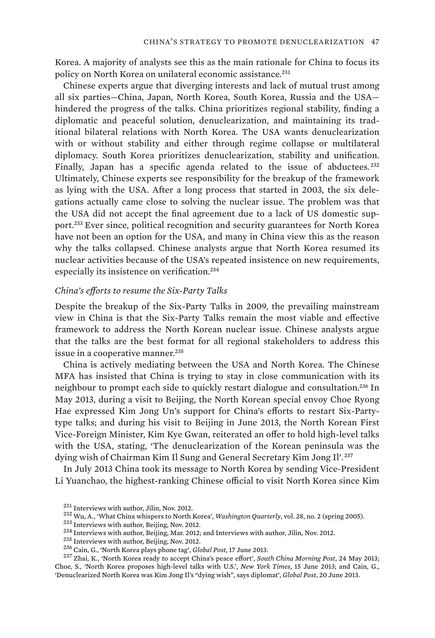Korea. A majority of analysts see this as the main rationale for China to focus its policy on North Korea on unilateral economic assistance.<sup>231</sup>

Chinese experts argue that diverging interests and lack of mutual trust among all six parties—China, Japan, North Korea, South Korea, Russia and the USA hindered the progress of the talks. China prioritizes regional stability, finding a diplomatic and peaceful solution, denuclearization, and maintaining its traditional bilateral relations with North Korea. The USA wants denuclearization with or without stability and either through regime collapse or multilateral diplomacy. South Korea prioritizes denuclearization, stability and unification. Finally, Japan has a specific agenda related to the issue of abductees.<sup>232</sup> Ultimately, Chinese experts see responsibility for the breakup of the framework as lying with the USA. After a long process that started in 2003, the six delegations actually came close to solving the nuclear issue. The problem was that the USA did not accept the final agreement due to a lack of US domestic support.<sup>233</sup> Ever since, political recognition and security guarantees for North Korea have not been an option for the USA, and many in China view this as the reason why the talks collapsed. Chinese analysts argue that North Korea resumed its nuclear activities because of the USA's repeated insistence on new requirements, especially its insistence on verification.<sup>234</sup>

#### *China's efforts to resume the Six-Party Talks*

Despite the breakup of the Six-Party Talks in 2009, the prevailing mainstream view in China is that the Six-Party Talks remain the most viable and effective framework to address the North Korean nuclear issue. Chinese analysts argue that the talks are the best format for all regional stakeholders to address this issue in a cooperative manner.<sup>235</sup>

China is actively mediating between the USA and North Korea. The Chinese MFA has insisted that China is trying to stay in close communication with its neighbour to prompt each side to quickly restart dialogue and consultation.<sup>236</sup> In May 2013, during a visit to Beijing, the North Korean special envoy Choe Ryong Hae expressed Kim Jong Un's support for China's efforts to restart Six-Partytype talks; and during his visit to Beijing in June 2013, the North Korean First Vice-Foreign Minister, Kim Kye Gwan, reiterated an offer to hold high-level talks with the USA, stating, 'The denuclearization of the Korean peninsula was the dying wish of Chairman Kim Il Sung and General Secretary Kim Jong Il'. <sup>237</sup>

In July 2013 China took its message to North Korea by sending Vice-President Li Yuanchao, the highest-ranking Chinese official to visit North Korea since Kim

- 
- 
- 
- 

<sup>&</sup>lt;sup>231</sup> Interviews with author, Jilin, Nov. 2012.<br><sup>232</sup> Wu, A., 'What China whispers to North Korea', *Washington Quarterly*, vol. 28, no. 2 (spring 2005).<br><sup>233</sup> Interviews with author, Beijing, Nov. 2012.<br><sup>234</sup> Interviews Choe, S., 'North Korea proposes high-level talks with U.S.', *New York Times*, 15 June 2013; and Cain, G., 'Denuclearized North Korea was Kim Jong Il's "dying wish", says diplomat', *Global Post*, 20 June 2013.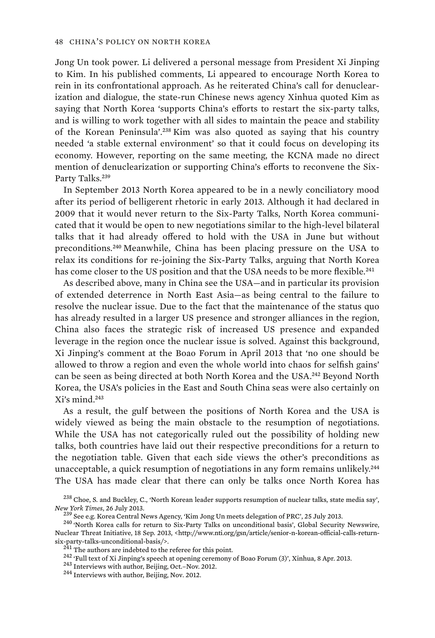Jong Un took power. Li delivered a personal message from President Xi Jinping to Kim. In his published comments, Li appeared to encourage North Korea to rein in its confrontational approach. As he reiterated China's call for denuclearization and dialogue, the state-run Chinese news agency Xinhua quoted Kim as saying that North Korea 'supports China's efforts to restart the six-party talks, and is willing to work together with all sides to maintain the peace and stability of the Korean Peninsula'.<sup>238</sup> Kim was also quoted as saying that his country needed 'a stable external environment' so that it could focus on developing its economy. However, reporting on the same meeting, the KCNA made no direct mention of denuclearization or supporting China's efforts to reconvene the Six-Party Talks.<sup>239</sup>

In September 2013 North Korea appeared to be in a newly conciliatory mood after its period of belligerent rhetoric in early 2013. Although it had declared in 2009 that it would never return to the Six-Party Talks, North Korea communicated that it would be open to new negotiations similar to the high-level bilateral talks that it had already offered to hold with the USA in June but without preconditions.<sup>240</sup> Meanwhile, China has been placing pressure on the USA to relax its conditions for re-joining the Six-Party Talks, arguing that North Korea has come closer to the US position and that the USA needs to be more flexible.<sup>241</sup>

As described above, many in China see the USA—and in particular its provision of extended deterrence in North East Asia—as being central to the failure to resolve the nuclear issue. Due to the fact that the maintenance of the status quo has already resulted in a larger US presence and stronger alliances in the region, China also faces the strategic risk of increased US presence and expanded leverage in the region once the nuclear issue is solved. Against this background, Xi Jinping's comment at the Boao Forum in April 2013 that 'no one should be allowed to throw a region and even the whole world into chaos for selfish gains' can be seen as being directed at both North Korea and the USA.<sup>242</sup> Beyond North Korea, the USA's policies in the East and South China seas were also certainly on Xi's mind.<sup>243</sup>

As a result, the gulf between the positions of North Korea and the USA is widely viewed as being the main obstacle to the resumption of negotiations. While the USA has not categorically ruled out the possibility of holding new talks, both countries have laid out their respective preconditions for a return to the negotiation table. Given that each side views the other's preconditions as unacceptable, a quick resumption of negotiations in any form remains unlikely.<sup>244</sup> The USA has made clear that there can only be talks once North Korea has

<sup>238</sup> Choe, S. and Buckley, C., 'North Korean leader supports resumption of nuclear talks, state media say', New York Times, 26 July 2013.<br><sup>239</sup> See e.g. Korea Central News Agency, 'Kim Jong Un meets delegation of PRC', 25 July 2013.<br><sup>240</sup> 'North Korea calls for return to Six-Party Talks on unconditional basis', Global Security

Nuclear Threat Initiative, 18 Sep. 2013, <http://www.nti.org/gsn/article/senior-n-korean-official-calls-return-<br>six-party-talks-unconditional-basis/>.

<sup>&</sup>lt;sup>241</sup> The authors are indebted to the referee for this point.<br><sup>242</sup> 'Full text of Xi Jinping's speech at opening ceremony of Boao Forum (3)', Xinhua, 8 Apr. 2013.<br><sup>243</sup> Interviews with author, Beijing, Oct.–Nov. 2012.<br><sup>24</sup>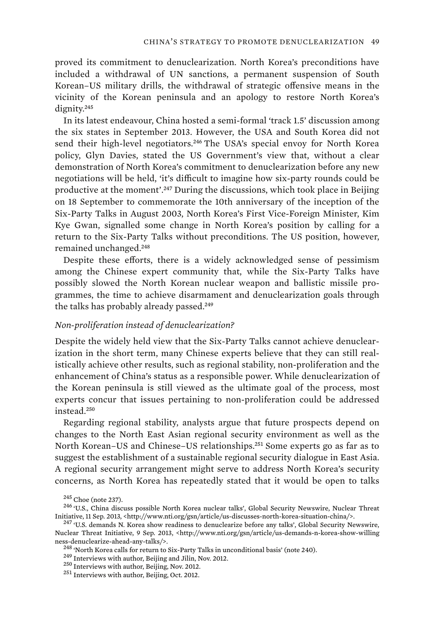proved its commitment to denuclearization. North Korea's preconditions have included a withdrawal of UN sanctions, a permanent suspension of South Korean–US military drills, the withdrawal of strategic offensive means in the vicinity of the Korean peninsula and an apology to restore North Korea's dignity.<sup>245</sup>

In its latest endeavour, China hosted a semi-formal 'track 1.5' discussion among the six states in September 2013. However, the USA and South Korea did not send their high-level negotiators.<sup>246</sup> The USA's special envoy for North Korea policy, Glyn Davies, stated the US Government's view that, without a clear demonstration of North Korea's commitment to denuclearization before any new negotiations will be held, 'it's difficult to imagine how six-party rounds could be productive at the moment'.<sup>247</sup> During the discussions, which took place in Beijing on 18 September to commemorate the 10th anniversary of the inception of the Six-Party Talks in August 2003, North Korea's First Vice-Foreign Minister, Kim Kye Gwan, signalled some change in North Korea's position by calling for a return to the Six-Party Talks without preconditions. The US position, however, remained unchanged.<sup>248</sup>

Despite these efforts, there is a widely acknowledged sense of pessimism among the Chinese expert community that, while the Six-Party Talks have possibly slowed the North Korean nuclear weapon and ballistic missile programmes, the time to achieve disarmament and denuclearization goals through the talks has probably already passed.<sup>249</sup>

#### *Non-proliferation instead of denuclearization?*

Despite the widely held view that the Six-Party Talks cannot achieve denuclearization in the short term, many Chinese experts believe that they can still realistically achieve other results, such as regional stability, non-proliferation and the enhancement of China's status as a responsible power. While denuclearization of the Korean peninsula is still viewed as the ultimate goal of the process, most experts concur that issues pertaining to non-proliferation could be addressed instead.<sup>250</sup>

Regarding regional stability, analysts argue that future prospects depend on changes to the North East Asian regional security environment as well as the North Korean–US and Chinese–US relationships.<sup>251</sup> Some experts go as far as to suggest the establishment of a sustainable regional security dialogue in East Asia. A regional security arrangement might serve to address North Korea's security concerns, as North Korea has repeatedly stated that it would be open to talks

<sup>&</sup>lt;sup>245</sup> Choe (note 237).<br><sup>246</sup> 'U.S., China discuss possible North Korea nuclear talks', Global Security Newswire, Nuclear Threat Initiative, 11 Sep. 2013, <http://www.nti.org/gsn/article/us-discusses-north-korea-situation-china/>. 247 'U.S. demands N. Korea show readiness to denuclearize before any talks', Global Security Newswire,

Nuclear Threat Initiative, 9 Sep. 2013, <http://www.nti.org/gsn/article/us-demands-n-korea-show-willing ness-denuclearize-ahead-any-talks/>.<br><sup>248</sup> 'North Korea calls for return to Six-Party Talks in unconditional basis' (note 240).<br><sup>249</sup> Interviews with author, Beijing and Jilin, Nov. 2012.<br><sup>250</sup> Interviews with author, Bei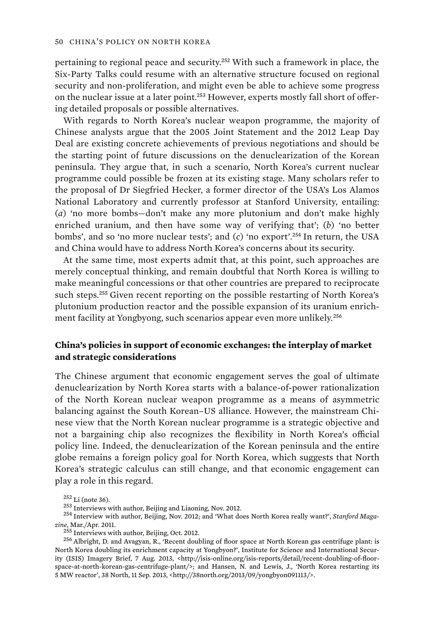pertaining to regional peace and security.<sup>252</sup> With such a framework in place, the Six-Party Talks could resume with an alternative structure focused on regional security and non-proliferation, and might even be able to achieve some progress on the nuclear issue at a later point.<sup>253</sup> However, experts mostly fall short of offering detailed proposals or possible alternatives.

With regards to North Korea's nuclear weapon programme, the majority of Chinese analysts argue that the 2005 Joint Statement and the 2012 Leap Day Deal are existing concrete achievements of previous negotiations and should be the starting point of future discussions on the denuclearization of the Korean peninsula. They argue that, in such a scenario, North Korea's current nuclear programme could possible be frozen at its existing stage. Many scholars refer to the proposal of Dr Siegfried Hecker, a former director of the USA's Los Alamos National Laboratory and currently professor at Stanford University, entailing: (*a*) 'no more bombs—don't make any more plutonium and don't make highly enriched uranium, and then have some way of verifying that'; (*b*) 'no better bombs', and so 'no more nuclear tests'; and (*c*) 'no export'.<sup>254</sup> In return, the USA and China would have to address North Korea's concerns about its security.

At the same time, most experts admit that, at this point, such approaches are merely conceptual thinking, and remain doubtful that North Korea is willing to make meaningful concessions or that other countries are prepared to reciprocate such steps.<sup>255</sup> Given recent reporting on the possible restarting of North Korea's plutonium production reactor and the possible expansion of its uranium enrichment facility at Yongbyong, such scenarios appear even more unlikely.<sup>256</sup>

# **China's policies in support of economic exchanges: the interplay of market and strategic considerations**

The Chinese argument that economic engagement serves the goal of ultimate denuclearization by North Korea starts with a balance-of-power rationalization of the North Korean nuclear weapon programme as a means of asymmetric balancing against the South Korean–US alliance. However, the mainstream Chinese view that the North Korean nuclear programme is a strategic objective and not a bargaining chip also recognizes the flexibility in North Korea's official policy line. Indeed, the denuclearization of the Korean peninsula and the entire globe remains a foreign policy goal for North Korea, which suggests that North Korea's strategic calculus can still change, and that economic engagement can play a role in this regard.

<sup>252</sup> Li (note 36). 253 Interviews with author, Beijing and Liaoning, Nov. 2012. 254 Interview with author, Beijing, Nov. 2012; and 'What does North Korea really want?', *Stanford Magazine*, Mar./Apr. 2011.

<sup>&</sup>lt;sup>256</sup> Albright, D. and Avagyan, R., 'Recent doubling of floor space at North Korean gas centrifuge plant: is North Korea doubling its enrichment capacity at Yongbyon?', Institute for Science and International Security (ISIS) Imagery Brief, 7 Aug. 2013, <http://isis-online.org/isis-reports/detail/recent-doubling-of-floorspace-at-north-korean-gas-centrifuge-plant/>; and Hansen, N. and Lewis, J., 'North Korea restarting its 5 MW reactor', 38 North, 11 Sep. 2013, <http://38north.org/2013/09/yongbyon091113/>.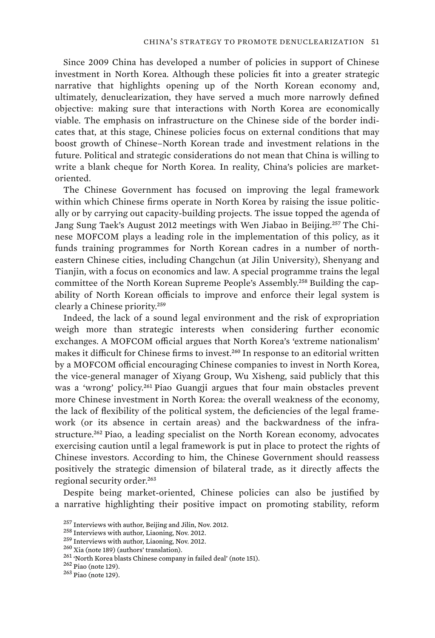Since 2009 China has developed a number of policies in support of Chinese investment in North Korea. Although these policies fit into a greater strategic narrative that highlights opening up of the North Korean economy and, ultimately, denuclearization, they have served a much more narrowly defined objective: making sure that interactions with North Korea are economically viable. The emphasis on infrastructure on the Chinese side of the border indicates that, at this stage, Chinese policies focus on external conditions that may boost growth of Chinese–North Korean trade and investment relations in the future. Political and strategic considerations do not mean that China is willing to write a blank cheque for North Korea. In reality, China's policies are marketoriented.

The Chinese Government has focused on improving the legal framework within which Chinese firms operate in North Korea by raising the issue politically or by carrying out capacity-building projects. The issue topped the agenda of Jang Sung Taek's August 2012 meetings with Wen Jiabao in Beijing.257 The Chinese MOFCOM plays a leading role in the implementation of this policy, as it funds training programmes for North Korean cadres in a number of northeastern Chinese cities, including Changchun (at Jilin University), Shenyang and Tianjin, with a focus on economics and law. A special programme trains the legal committee of the North Korean Supreme People's Assembly.258 Building the capability of North Korean officials to improve and enforce their legal system is clearly a Chinese priority.<sup>259</sup>

Indeed, the lack of a sound legal environment and the risk of expropriation weigh more than strategic interests when considering further economic exchanges. A MOFCOM official argues that North Korea's 'extreme nationalism' makes it difficult for Chinese firms to invest.<sup>260</sup> In response to an editorial written by a MOFCOM official encouraging Chinese companies to invest in North Korea, the vice-general manager of Xiyang Group, Wu Xisheng, said publicly that this was a 'wrong' policy.<sup>261</sup> Piao Guangji argues that four main obstacles prevent more Chinese investment in North Korea: the overall weakness of the economy, the lack of flexibility of the political system, the deficiencies of the legal framework (or its absence in certain areas) and the backwardness of the infrastructure.<sup>262</sup> Piao, a leading specialist on the North Korean economy, advocates exercising caution until a legal framework is put in place to protect the rights of Chinese investors. According to him, the Chinese Government should reassess positively the strategic dimension of bilateral trade, as it directly affects the regional security order.<sup>263</sup>

Despite being market-oriented, Chinese policies can also be justified by a narrative highlighting their positive impact on promoting stability, reform

<sup>&</sup>lt;sup>257</sup> Interviews with author, Beijing and Jilin, Nov. 2012.<br><sup>258</sup> Interviews with author, Liaoning, Nov. 2012.<br><sup>259</sup> Interviews with author, Liaoning, Nov. 2012.<br><sup>260</sup> Xia (note 189) (authors' translation).<br><sup>261</sup> North Ko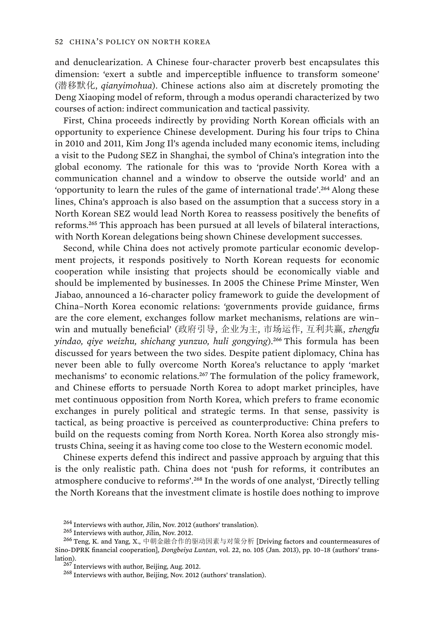and denuclearization. A Chinese four-character proverb best encapsulates this dimension: 'exert a subtle and imperceptible influence to transform someone' (潜移默化, *qianyimohua*). Chinese actions also aim at discretely promoting the Deng Xiaoping model of reform, through a modus operandi characterized by two courses of action: indirect communication and tactical passivity.

First, China proceeds indirectly by providing North Korean officials with an opportunity to experience Chinese development. During his four trips to China in 2010 and 2011, Kim Jong Il's agenda included many economic items, including a visit to the Pudong SEZ in Shanghai, the symbol of China's integration into the global economy. The rationale for this was to 'provide North Korea with a communication channel and a window to observe the outside world' and an 'opportunity to learn the rules of the game of international trade'.<sup>264</sup> Along these lines, China's approach is also based on the assumption that a success story in a North Korean SEZ would lead North Korea to reassess positively the benefits of reforms.<sup>265</sup> This approach has been pursued at all levels of bilateral interactions, with North Korean delegations being shown Chinese development successes.

Second, while China does not actively promote particular economic development projects, it responds positively to North Korean requests for economic cooperation while insisting that projects should be economically viable and should be implemented by businesses. In 2005 the Chinese Prime Minster, Wen Jiabao, announced a 16-character policy framework to guide the development of China–North Korea economic relations: 'governments provide guidance, firms are the core element, exchanges follow market mechanisms, relations are win– win and mutually beneficial' (政府引导, 企业为主, 市场运作, 互利共赢, *zhengfu yindao, qiye weizhu, shichang yunzuo, huli gongying*).<sup>266</sup> This formula has been discussed for years between the two sides. Despite patient diplomacy, China has never been able to fully overcome North Korea's reluctance to apply 'market mechanisms' to economic relations.<sup>267</sup> The formulation of the policy framework, and Chinese efforts to persuade North Korea to adopt market principles, have met continuous opposition from North Korea, which prefers to frame economic exchanges in purely political and strategic terms. In that sense, passivity is tactical, as being proactive is perceived as counterproductive: China prefers to build on the requests coming from North Korea. North Korea also strongly mistrusts China, seeing it as having come too close to the Western economic model.

Chinese experts defend this indirect and passive approach by arguing that this is the only realistic path. China does not 'push for reforms, it contributes an atmosphere conducive to reforms'.<sup>268</sup> In the words of one analyst, 'Directly telling the North Koreans that the investment climate is hostile does nothing to improve

<sup>&</sup>lt;sup>264</sup> Interviews with author, Jilin, Nov. 2012 (authors' translation).<br><sup>265</sup> Interviews with author, Jilin, Nov. 2012.<br><sup>266</sup> Teng, K. and Yang, X., 中朝金融合作的驱动因素与对策分析 [Driving factors and countermeasures of Sino-DPRK financial cooperation], *Dongbeiya Luntan*, vol. 22, no. 105 (Jan. 2013), pp. 10–18 (authors' trans-

 $^{267}$  Interviews with author, Beijing, Aug. 2012.<br> $^{268}$  Interviews with author, Beijing, Nov. 2012 (authors' translation).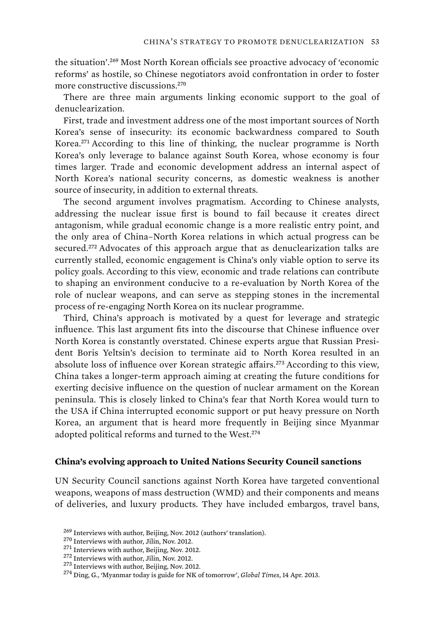the situation'.<sup>269</sup> Most North Korean officials see proactive advocacy of 'economic reforms' as hostile, so Chinese negotiators avoid confrontation in order to foster more constructive discussions.<sup>270</sup>

There are three main arguments linking economic support to the goal of denuclearization.

First, trade and investment address one of the most important sources of North Korea's sense of insecurity: its economic backwardness compared to South Korea.<sup>271</sup> According to this line of thinking, the nuclear programme is North Korea's only leverage to balance against South Korea, whose economy is four times larger. Trade and economic development address an internal aspect of North Korea's national security concerns, as domestic weakness is another source of insecurity, in addition to external threats.

The second argument involves pragmatism. According to Chinese analysts, addressing the nuclear issue first is bound to fail because it creates direct antagonism, while gradual economic change is a more realistic entry point, and the only area of China–North Korea relations in which actual progress can be secured.<sup>272</sup> Advocates of this approach argue that as denuclearization talks are currently stalled, economic engagement is China's only viable option to serve its policy goals. According to this view, economic and trade relations can contribute to shaping an environment conducive to a re-evaluation by North Korea of the role of nuclear weapons, and can serve as stepping stones in the incremental process of re-engaging North Korea on its nuclear programme.

Third, China's approach is motivated by a quest for leverage and strategic influence. This last argument fits into the discourse that Chinese influence over North Korea is constantly overstated. Chinese experts argue that Russian President Boris Yeltsin's decision to terminate aid to North Korea resulted in an absolute loss of influence over Korean strategic affairs.<sup>273</sup> According to this view, China takes a longer-term approach aiming at creating the future conditions for exerting decisive influence on the question of nuclear armament on the Korean peninsula. This is closely linked to China's fear that North Korea would turn to the USA if China interrupted economic support or put heavy pressure on North Korea, an argument that is heard more frequently in Beijing since Myanmar adopted political reforms and turned to the West.<sup>274</sup>

### **China's evolving approach to United Nations Security Council sanctions**

UN Security Council sanctions against North Korea have targeted conventional weapons, weapons of mass destruction (WMD) and their components and means of deliveries, and luxury products. They have included embargos, travel bans,

<sup>&</sup>lt;sup>269</sup> Interviews with author, Beijing, Nov. 2012 (authors' translation).<br><sup>270</sup> Interviews with author, Jilin, Nov. 2012.<br><sup>271</sup> Interviews with author, Beijing, Nov. 2012.<br><sup>272</sup> Interviews with author, Jilin, Nov. 2012.<br><sup>2</sup>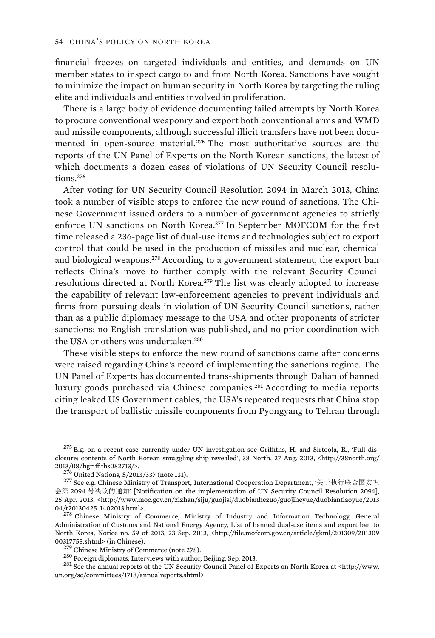financial freezes on targeted individuals and entities, and demands on UN member states to inspect cargo to and from North Korea. Sanctions have sought to minimize the impact on human security in North Korea by targeting the ruling elite and individuals and entities involved in proliferation.

There is a large body of evidence documenting failed attempts by North Korea to procure conventional weaponry and export both conventional arms and WMD and missile components, although successful illicit transfers have not been documented in open-source material.<sup>275</sup> The most authoritative sources are the reports of the UN Panel of Experts on the North Korean sanctions, the latest of which documents a dozen cases of violations of UN Security Council resolutions.<sup>276</sup>

After voting for UN Security Council Resolution 2094 in March 2013, China took a number of visible steps to enforce the new round of sanctions. The Chinese Government issued orders to a number of government agencies to strictly enforce UN sanctions on North Korea.<sup>277</sup> In September MOFCOM for the first time released a 236-page list of dual-use items and technologies subject to export control that could be used in the production of missiles and nuclear, chemical and biological weapons.<sup>278</sup> According to a government statement, the export ban reflects China's move to further comply with the relevant Security Council resolutions directed at North Korea.<sup>279</sup> The list was clearly adopted to increase the capability of relevant law-enforcement agencies to prevent individuals and firms from pursuing deals in violation of UN Security Council sanctions, rather than as a public diplomacy message to the USA and other proponents of stricter sanctions: no English translation was published, and no prior coordination with the USA or others was undertaken.<sup>280</sup>

These visible steps to enforce the new round of sanctions came after concerns were raised regarding China's record of implementing the sanctions regime. The UN Panel of Experts has documented trans-shipments through Dalian of banned luxury goods purchased via Chinese companies.<sup>281</sup> According to media reports citing leaked US Government cables, the USA's repeated requests that China stop the transport of ballistic missile components from Pyongyang to Tehran through

Administration of Customs and National Energy Agency, List of banned dual-use items and export ban to North Korea, Notice no. 59 of 2013, 23 Sep. 2013, <http://file.mofcom.gov.cn/article/gkml/201309/201309 00317758.shtml> (in Chinese).<br><sup>279</sup> Chinese Ministry of Commerce (note 278).<br><sup>280</sup> Foreign diplomats, Interviews with author, Beijing, Sep. 2013.<br><sup>281</sup> See the annual reports of the UN Security Council Panel of Experts on

un.org/sc/committees/1718/annualreports.shtml>.

 $^{275}$  E.g. on a recent case currently under UN investigation see Griffiths, H. and Sirtoola, R., 'Full disclosure: contents of North Korean smuggling ship revealed', 38 North, 27 Aug. 2013, <http://38north.org/

<sup>2013/08/</sup>hgriffiths082713/>.<br><sup>276</sup> United Nations, S/2013/337 (note 131).<br><sup>277</sup> See e.g. Chinese Ministry of Transport, International Cooperation Department, '关于执行联合国安理 会第 2094 号决议的通知' [Notification on the implementation of UN Security Council Resolution 2094], 25 Apr. 2013, <http://www.moc.gov.cn/zizhan/siju/guojisi/duobianhezuo/guojiheyue/duobiantiaoyue/2013 04/t20130425\_1402013.html>. 278 Chinese Ministry of Commerce, Ministry of Industry and Information Technology, General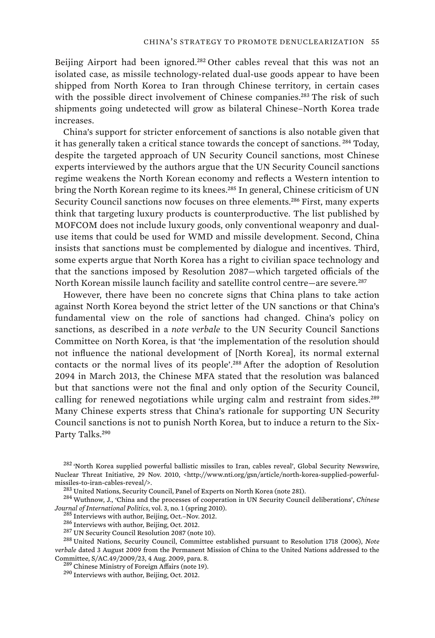Beijing Airport had been ignored.<sup>282</sup> Other cables reveal that this was not an isolated case, as missile technology-related dual-use goods appear to have been shipped from North Korea to Iran through Chinese territory, in certain cases with the possible direct involvement of Chinese companies.<sup>283</sup> The risk of such shipments going undetected will grow as bilateral Chinese–North Korea trade increases.

China's support for stricter enforcement of sanctions is also notable given that it has generally taken a critical stance towards the concept of sanctions.<sup>284</sup> Today, despite the targeted approach of UN Security Council sanctions, most Chinese experts interviewed by the authors argue that the UN Security Council sanctions regime weakens the North Korean economy and reflects a Western intention to bring the North Korean regime to its knees.<sup>285</sup> In general, Chinese criticism of UN Security Council sanctions now focuses on three elements.<sup>286</sup> First, many experts think that targeting luxury products is counterproductive. The list published by MOFCOM does not include luxury goods, only conventional weaponry and dualuse items that could be used for WMD and missile development. Second, China insists that sanctions must be complemented by dialogue and incentives. Third, some experts argue that North Korea has a right to civilian space technology and that the sanctions imposed by Resolution 2087—which targeted officials of the North Korean missile launch facility and satellite control centre—are severe.<sup>287</sup>

However, there have been no concrete signs that China plans to take action against North Korea beyond the strict letter of the UN sanctions or that China's fundamental view on the role of sanctions had changed. China's policy on sanctions, as described in a *note verbale* to the UN Security Council Sanctions Committee on North Korea, is that 'the implementation of the resolution should not influence the national development of [North Korea], its normal external contacts or the normal lives of its people'.<sup>288</sup> After the adoption of Resolution 2094 in March 2013, the Chinese MFA stated that the resolution was balanced but that sanctions were not the final and only option of the Security Council, calling for renewed negotiations while urging calm and restraint from sides.<sup>289</sup> Many Chinese experts stress that China's rationale for supporting UN Security Council sanctions is not to punish North Korea, but to induce a return to the Six-Party Talks.<sup>290</sup>

<sup>&</sup>lt;sup>282</sup> 'North Korea supplied powerful ballistic missiles to Iran, cables reveal', Global Security Newswire, Nuclear Threat Initiative, 29 Nov. 2010, <http://www.nti.org/gsn/article/north-korea-supplied-powerful-<br>missiles-to-iran-cables-reveal/>.

 $^{283}$  United Nations, Security Council, Panel of Experts on North Korea (note 281).<br> $^{284}$  Wuthnow, J., 'China and the processes of cooperation in UN Security Council deliberations', *Chinese*  $\begin{array}{l} \textit{Journal of International Politics, vol. 3, no. 1 (spring 2010).}\\ \textit{285}~\textit{Interviews with author, Beijing, Oct. -Nov. 2012.}\\ \textit{286}~\textit{Interviews with author, Beijing, Oct. 2012.}\\ \textit{287}~\textit{UN Security Council Resolution 2087 (note 10).}\\ \textit{288}~\textit{United Nations, Security Council, Committee established pursuit to Resolution 1718 (2006), Note} \end{array}$ 

*verbale* dated 3 August 2009 from the Permanent Mission of China to the United Nations addressed to the

 $^{289}$  Chinese Ministry of Foreign Affairs (note 19).  $^{290}$  Interviews with author, Beijing, Oct. 2012.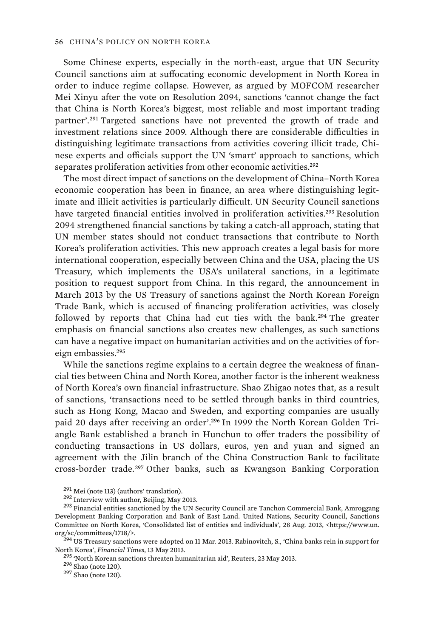Some Chinese experts, especially in the north-east, argue that UN Security Council sanctions aim at suffocating economic development in North Korea in order to induce regime collapse. However, as argued by MOFCOM researcher Mei Xinyu after the vote on Resolution 2094, sanctions 'cannot change the fact that China is North Korea's biggest, most reliable and most important trading partner'.<sup>291</sup> Targeted sanctions have not prevented the growth of trade and investment relations since 2009. Although there are considerable difficulties in distinguishing legitimate transactions from activities covering illicit trade, Chinese experts and officials support the UN 'smart' approach to sanctions, which separates proliferation activities from other economic activities.<sup>292</sup>

The most direct impact of sanctions on the development of China–North Korea economic cooperation has been in finance, an area where distinguishing legitimate and illicit activities is particularly difficult. UN Security Council sanctions have targeted financial entities involved in proliferation activities.<sup>293</sup> Resolution 2094 strengthened financial sanctions by taking a catch-all approach, stating that UN member states should not conduct transactions that contribute to North Korea's proliferation activities. This new approach creates a legal basis for more international cooperation, especially between China and the USA, placing the US Treasury, which implements the USA's unilateral sanctions, in a legitimate position to request support from China. In this regard, the announcement in March 2013 by the US Treasury of sanctions against the North Korean Foreign Trade Bank, which is accused of financing proliferation activities, was closely followed by reports that China had cut ties with the bank.<sup>294</sup> The greater emphasis on financial sanctions also creates new challenges, as such sanctions can have a negative impact on humanitarian activities and on the activities of foreign embassies.<sup>295</sup>

While the sanctions regime explains to a certain degree the weakness of financial ties between China and North Korea, another factor is the inherent weakness of North Korea's own financial infrastructure. Shao Zhigao notes that, as a result of sanctions, 'transactions need to be settled through banks in third countries, such as Hong Kong, Macao and Sweden, and exporting companies are usually paid 20 days after receiving an order'.296 In 1999 the North Korean Golden Triangle Bank established a branch in Hunchun to offer traders the possibility of conducting transactions in US dollars, euros, yen and yuan and signed an agreement with the Jilin branch of the China Construction Bank to facilitate cross-border trade.<sup>297</sup> Other banks, such as Kwangson Banking Corporation

<sup>&</sup>lt;sup>291</sup> Mei (note 113) (authors' translation).<br><sup>292</sup> Interview with author, Beijing, May 2013.<br><sup>293</sup> Financial entities sanctioned by the UN Security Council are Tanchon Commercial Bank, Amroggang Development Banking Corporation and Bank of East Land. United Nations, Security Council, Sanctions Committee on North Korea, 'Consolidated list of entities and individuals', 28 Aug. 2013, <https://www.un. org/sc/committees/1718/>.<br><sup>294</sup> US Treasury sanctions were adopted on 11 Mar. 2013. Rabinovitch, S., 'China banks rein in support for

North Korea', *Financial Times*, 13 May 2013.<br><sup>295</sup> 'North Korean sanctions threaten humanitarian aid', Reuters, 23 May 2013.<br><sup>296</sup> Shao (note 120).<br><sup>297</sup> Shao (note 120).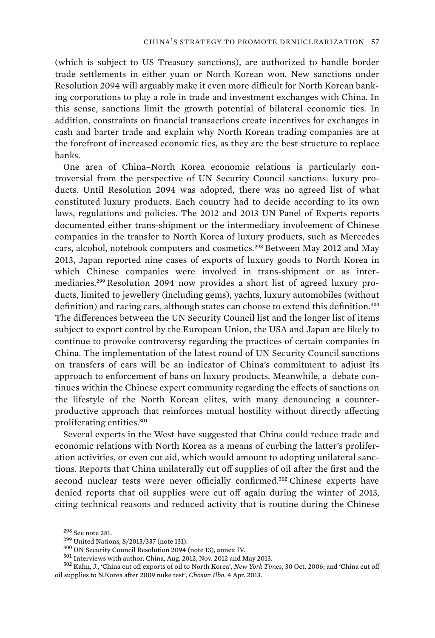(which is subject to US Treasury sanctions), are authorized to handle border trade settlements in either yuan or North Korean won. New sanctions under Resolution 2094 will arguably make it even more difficult for North Korean banking corporations to play a role in trade and investment exchanges with China. In this sense, sanctions limit the growth potential of bilateral economic ties. In addition, constraints on financial transactions create incentives for exchanges in cash and barter trade and explain why North Korean trading companies are at the forefront of increased economic ties, as they are the best structure to replace banks.

One area of China–North Korea economic relations is particularly controversial from the perspective of UN Security Council sanctions: luxury products. Until Resolution 2094 was adopted, there was no agreed list of what constituted luxury products. Each country had to decide according to its own laws, regulations and policies. The 2012 and 2013 UN Panel of Experts reports documented either trans-shipment or the intermediary involvement of Chinese companies in the transfer to North Korea of luxury products, such as Mercedes cars, alcohol, notebook computers and cosmetics.<sup>298</sup> Between May 2012 and May 2013, Japan reported nine cases of exports of luxury goods to North Korea in which Chinese companies were involved in trans-shipment or as intermediaries.299 Resolution 2094 now provides a short list of agreed luxury products, limited to jewellery (including gems), yachts, luxury automobiles (without definition) and racing cars, although states can choose to extend this definition.<sup>300</sup> The differences between the UN Security Council list and the longer list of items subject to export control by the European Union, the USA and Japan are likely to continue to provoke controversy regarding the practices of certain companies in China. The implementation of the latest round of UN Security Council sanctions on transfers of cars will be an indicator of China's commitment to adjust its approach to enforcement of bans on luxury products. Meanwhile, a debate continues within the Chinese expert community regarding the effects of sanctions on the lifestyle of the North Korean elites, with many denouncing a counterproductive approach that reinforces mutual hostility without directly affecting proliferating entities.<sup>301</sup>

Several experts in the West have suggested that China could reduce trade and economic relations with North Korea as a means of curbing the latter's proliferation activities, or even cut aid, which would amount to adopting unilateral sanctions. Reports that China unilaterally cut off supplies of oil after the first and the second nuclear tests were never officially confirmed.<sup>302</sup> Chinese experts have denied reports that oil supplies were cut off again during the winter of 2013, citing technical reasons and reduced activity that is routine during the Chinese

<sup>&</sup>lt;sup>298</sup> See note 281.<br><sup>299</sup> United Nations, S/2013/337 (note 131).<br><sup>300</sup> UN Security Council Resolution 2094 (note 13), annex IV.<br><sup>301</sup> Interviews with author, China, Aug. 2012, Nov. 2012 and May 2013.<br><sup>302</sup> Kahn, J., 'Chin oil supplies to N.Korea after 2009 nuke test', *Chosun Ilbo*, 4 Apr. 2013.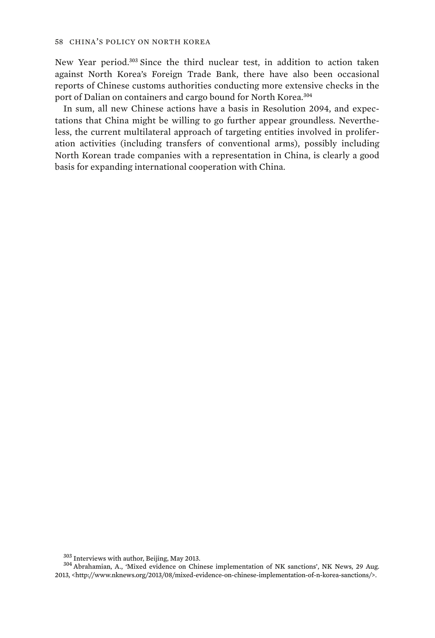New Year period.<sup>303</sup> Since the third nuclear test, in addition to action taken against North Korea's Foreign Trade Bank, there have also been occasional reports of Chinese customs authorities conducting more extensive checks in the port of Dalian on containers and cargo bound for North Korea.<sup>304</sup>

In sum, all new Chinese actions have a basis in Resolution 2094, and expectations that China might be willing to go further appear groundless. Nevertheless, the current multilateral approach of targeting entities involved in proliferation activities (including transfers of conventional arms), possibly including North Korean trade companies with a representation in China, is clearly a good basis for expanding international cooperation with China.

 $303$  Interviews with author, Beijing, May 2013.<br> $304$  Abrahamian, A., 'Mixed evidence on Chinese implementation of NK sanctions', NK News, 29 Aug. 2013, <http://www.nknews.org/2013/08/mixed-evidence-on-chinese-implementation-of-n-korea-sanctions/>.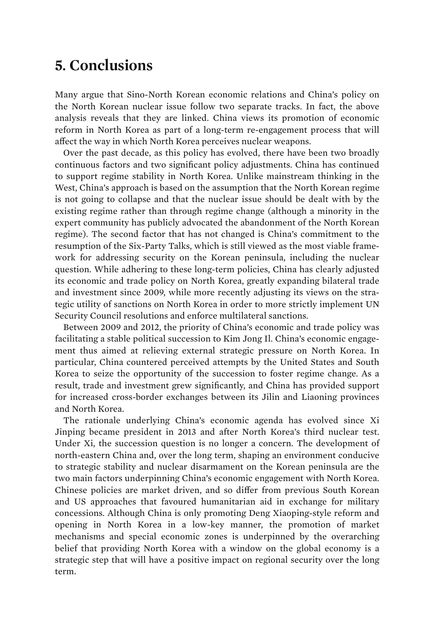# **5. Conclusions**

Many argue that Sino-North Korean economic relations and China's policy on the North Korean nuclear issue follow two separate tracks. In fact, the above analysis reveals that they are linked. China views its promotion of economic reform in North Korea as part of a long-term re-engagement process that will affect the way in which North Korea perceives nuclear weapons.

Over the past decade, as this policy has evolved, there have been two broadly continuous factors and two significant policy adjustments. China has continued to support regime stability in North Korea. Unlike mainstream thinking in the West, China's approach is based on the assumption that the North Korean regime is not going to collapse and that the nuclear issue should be dealt with by the existing regime rather than through regime change (although a minority in the expert community has publicly advocated the abandonment of the North Korean regime). The second factor that has not changed is China's commitment to the resumption of the Six-Party Talks, which is still viewed as the most viable framework for addressing security on the Korean peninsula, including the nuclear question. While adhering to these long-term policies, China has clearly adjusted its economic and trade policy on North Korea, greatly expanding bilateral trade and investment since 2009, while more recently adjusting its views on the strategic utility of sanctions on North Korea in order to more strictly implement UN Security Council resolutions and enforce multilateral sanctions.

Between 2009 and 2012, the priority of China's economic and trade policy was facilitating a stable political succession to Kim Jong Il. China's economic engagement thus aimed at relieving external strategic pressure on North Korea. In particular, China countered perceived attempts by the United States and South Korea to seize the opportunity of the succession to foster regime change. As a result, trade and investment grew significantly, and China has provided support for increased cross-border exchanges between its Jilin and Liaoning provinces and North Korea.

The rationale underlying China's economic agenda has evolved since Xi Jinping became president in 2013 and after North Korea's third nuclear test. Under Xi, the succession question is no longer a concern. The development of north-eastern China and, over the long term, shaping an environment conducive to strategic stability and nuclear disarmament on the Korean peninsula are the two main factors underpinning China's economic engagement with North Korea. Chinese policies are market driven, and so differ from previous South Korean and US approaches that favoured humanitarian aid in exchange for military concessions. Although China is only promoting Deng Xiaoping-style reform and opening in North Korea in a low-key manner, the promotion of market mechanisms and special economic zones is underpinned by the overarching belief that providing North Korea with a window on the global economy is a strategic step that will have a positive impact on regional security over the long term.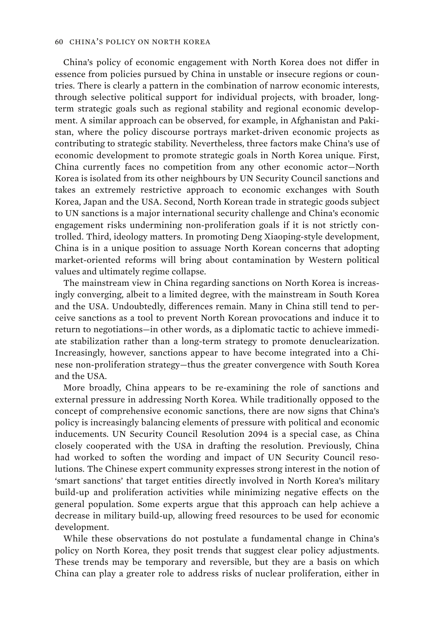China's policy of economic engagement with North Korea does not differ in essence from policies pursued by China in unstable or insecure regions or countries. There is clearly a pattern in the combination of narrow economic interests, through selective political support for individual projects, with broader, longterm strategic goals such as regional stability and regional economic development. A similar approach can be observed, for example, in Afghanistan and Pakistan, where the policy discourse portrays market-driven economic projects as contributing to strategic stability. Nevertheless, three factors make China's use of economic development to promote strategic goals in North Korea unique. First, China currently faces no competition from any other economic actor—North Korea is isolated from its other neighbours by UN Security Council sanctions and takes an extremely restrictive approach to economic exchanges with South Korea, Japan and the USA. Second, North Korean trade in strategic goods subject to UN sanctions is a major international security challenge and China's economic engagement risks undermining non-proliferation goals if it is not strictly controlled. Third, ideology matters. In promoting Deng Xiaoping-style development, China is in a unique position to assuage North Korean concerns that adopting market-oriented reforms will bring about contamination by Western political values and ultimately regime collapse.

The mainstream view in China regarding sanctions on North Korea is increasingly converging, albeit to a limited degree, with the mainstream in South Korea and the USA. Undoubtedly, differences remain. Many in China still tend to perceive sanctions as a tool to prevent North Korean provocations and induce it to return to negotiations—in other words, as a diplomatic tactic to achieve immediate stabilization rather than a long-term strategy to promote denuclearization. Increasingly, however, sanctions appear to have become integrated into a Chinese non-proliferation strategy—thus the greater convergence with South Korea and the USA.

More broadly, China appears to be re-examining the role of sanctions and external pressure in addressing North Korea. While traditionally opposed to the concept of comprehensive economic sanctions, there are now signs that China's policy is increasingly balancing elements of pressure with political and economic inducements. UN Security Council Resolution 2094 is a special case, as China closely cooperated with the USA in drafting the resolution. Previously, China had worked to soften the wording and impact of UN Security Council resolutions. The Chinese expert community expresses strong interest in the notion of 'smart sanctions' that target entities directly involved in North Korea's military build-up and proliferation activities while minimizing negative effects on the general population. Some experts argue that this approach can help achieve a decrease in military build-up, allowing freed resources to be used for economic development.

While these observations do not postulate a fundamental change in China's policy on North Korea, they posit trends that suggest clear policy adjustments. These trends may be temporary and reversible, but they are a basis on which China can play a greater role to address risks of nuclear proliferation, either in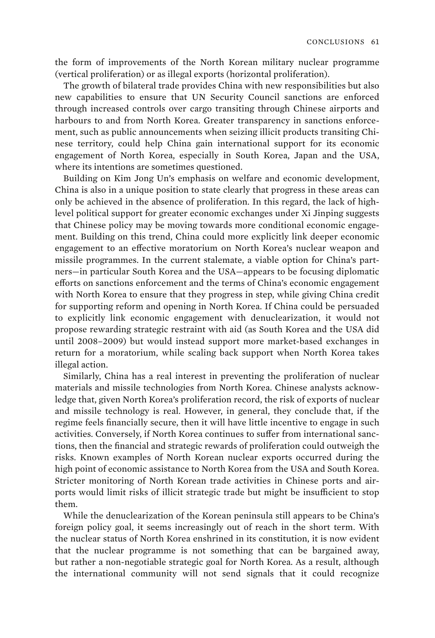the form of improvements of the North Korean military nuclear programme (vertical proliferation) or as illegal exports (horizontal proliferation).

The growth of bilateral trade provides China with new responsibilities but also new capabilities to ensure that UN Security Council sanctions are enforced through increased controls over cargo transiting through Chinese airports and harbours to and from North Korea. Greater transparency in sanctions enforcement, such as public announcements when seizing illicit products transiting Chinese territory, could help China gain international support for its economic engagement of North Korea, especially in South Korea, Japan and the USA, where its intentions are sometimes questioned.

Building on Kim Jong Un's emphasis on welfare and economic development, China is also in a unique position to state clearly that progress in these areas can only be achieved in the absence of proliferation. In this regard, the lack of highlevel political support for greater economic exchanges under Xi Jinping suggests that Chinese policy may be moving towards more conditional economic engagement. Building on this trend, China could more explicitly link deeper economic engagement to an effective moratorium on North Korea's nuclear weapon and missile programmes. In the current stalemate, a viable option for China's partners—in particular South Korea and the USA—appears to be focusing diplomatic efforts on sanctions enforcement and the terms of China's economic engagement with North Korea to ensure that they progress in step, while giving China credit for supporting reform and opening in North Korea. If China could be persuaded to explicitly link economic engagement with denuclearization, it would not propose rewarding strategic restraint with aid (as South Korea and the USA did until 2008–2009) but would instead support more market-based exchanges in return for a moratorium, while scaling back support when North Korea takes illegal action.

Similarly, China has a real interest in preventing the proliferation of nuclear materials and missile technologies from North Korea. Chinese analysts acknowledge that, given North Korea's proliferation record, the risk of exports of nuclear and missile technology is real. However, in general, they conclude that, if the regime feels financially secure, then it will have little incentive to engage in such activities. Conversely, if North Korea continues to suffer from international sanctions, then the financial and strategic rewards of proliferation could outweigh the risks. Known examples of North Korean nuclear exports occurred during the high point of economic assistance to North Korea from the USA and South Korea. Stricter monitoring of North Korean trade activities in Chinese ports and airports would limit risks of illicit strategic trade but might be insufficient to stop them.

While the denuclearization of the Korean peninsula still appears to be China's foreign policy goal, it seems increasingly out of reach in the short term. With the nuclear status of North Korea enshrined in its constitution, it is now evident that the nuclear programme is not something that can be bargained away, but rather a non-negotiable strategic goal for North Korea. As a result, although the international community will not send signals that it could recognize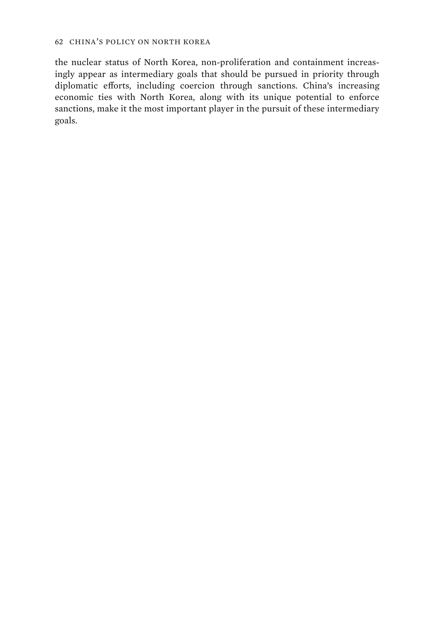the nuclear status of North Korea, non-proliferation and containment increasingly appear as intermediary goals that should be pursued in priority through diplomatic efforts, including coercion through sanctions. China's increasing economic ties with North Korea, along with its unique potential to enforce sanctions, make it the most important player in the pursuit of these intermediary goals.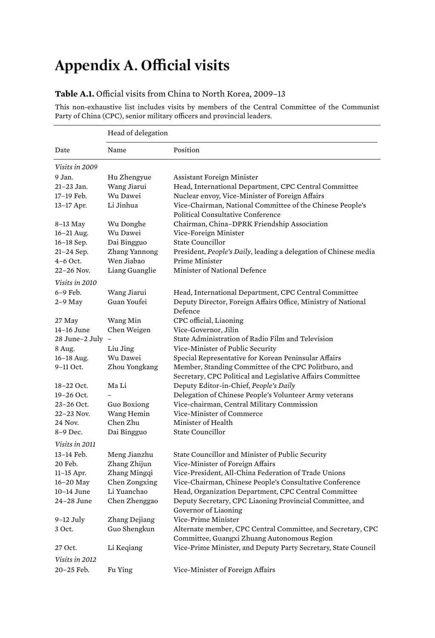# **Appendix A. Official visits**

#### **Table A.1.** Official visits from China to North Korea, 2009–13

This non-exhaustive list includes visits by members of the Central Committee of the Communist Party of China (CPC), senior military officers and provincial leaders.

|                  | Head of delegation |                                                                                                            |  |
|------------------|--------------------|------------------------------------------------------------------------------------------------------------|--|
| Date             | Name               | Position                                                                                                   |  |
| Visits in 2009   |                    |                                                                                                            |  |
| 9 Jan.           | Hu Zhengyue        | Assistant Foreign Minister                                                                                 |  |
| 21-23 Jan.       | Wang Jiarui        | Head, International Department, CPC Central Committee                                                      |  |
| 17-19 Feb.       | Wu Dawei           | Nuclear envoy, Vice-Minister of Foreign Affairs                                                            |  |
| 13-17 Apr.       | Li Jinhua          | Vice-Chairman, National Committee of the Chinese People's                                                  |  |
|                  |                    | Political Consultative Conference                                                                          |  |
| 8-13 May         | Wu Donghe          | Chairman, China-DPRK Friendship Association                                                                |  |
| $16 - 21$ Aug.   | Wu Dawei           | Vice-Foreign Minister                                                                                      |  |
| 16-18 Sep.       | Dai Bingguo        | <b>State Councillor</b>                                                                                    |  |
| $21 - 24$ Sep.   | Zhang Yannong      | President, People's Daily, leading a delegation of Chinese media                                           |  |
| $4-6$ Oct.       | Wen Jiabao         | Prime Minister                                                                                             |  |
| 22-26 Nov.       | Liang Guanglie     | Minister of National Defence                                                                               |  |
| Visits in 2010   |                    |                                                                                                            |  |
| 6-9 Feb.         | Wang Jiarui        | Head, International Department, CPC Central Committee                                                      |  |
| $2-9$ May        | Guan Youfei        | Deputy Director, Foreign Affairs Office, Ministry of National<br>Defence                                   |  |
| 27 May           | Wang Min           | CPC official, Liaoning                                                                                     |  |
| 14-16 June       | Chen Weigen        | Vice-Governor, Jilin                                                                                       |  |
| 28 June-2 July - |                    | State Administration of Radio Film and Television                                                          |  |
| 8 Aug.           | Liu Jing           | Vice-Minister of Public Security                                                                           |  |
| 16-18 Aug.       | Wu Dawei           | Special Representative for Korean Peninsular Affairs                                                       |  |
| 9-11 Oct.        | Zhou Yongkang      | Member, Standing Committee of the CPC Politburo, and                                                       |  |
|                  |                    | Secretary, CPC Political and Legislative Affairs Committee                                                 |  |
| 18-22 Oct.       | Ma Li              | Deputy Editor-in-Chief, People's Daily                                                                     |  |
| 19-26 Oct.       |                    | Delegation of Chinese People's Volunteer Army veterans                                                     |  |
| 23-26 Oct.       | Guo Boxiong        | Vice-chairman, Central Military Commission                                                                 |  |
| $22 - 23$ Nov.   | Wang Hemin         | Vice-Minister of Commerce                                                                                  |  |
| 24 Nov.          | Chen Zhu           | Minister of Health                                                                                         |  |
| 8-9 Dec.         | Dai Bingguo        | State Councillor                                                                                           |  |
| Visits in 2011   |                    |                                                                                                            |  |
| 13-14 Feb.       | Meng Jianzhu       | State Councillor and Minister of Public Security                                                           |  |
| 20 Feb.          | Zhang Zhijun       | Vice-Minister of Foreign Affairs                                                                           |  |
| $11-15$ Apr.     | Zhang Mingqi       | Vice-President, All-China Federation of Trade Unions                                                       |  |
| $16-20$ May      | Chen Zongxing      | Vice-Chairman, Chinese People's Consultative Conference                                                    |  |
| 10-14 June       | Li Yuanchao        | Head, Organization Department, CPC Central Committee                                                       |  |
| 24-28 June       | Chen Zhenggao      | Deputy Secretary, CPC Liaoning Provincial Committee, and<br>Governor of Liaoning                           |  |
| $9-12$ July      | Zhang Dejiang      | Vice-Prime Minister                                                                                        |  |
| 3 Oct.           | Guo Shengkun       | Alternate member, CPC Central Committee, and Secretary, CPC<br>Committee, Guangxi Zhuang Autonomous Region |  |
| 27 Oct.          | Li Keqiang         | Vice-Prime Minister, and Deputy Party Secretary, State Council                                             |  |
| Visits in 2012   |                    |                                                                                                            |  |
| 20-25 Feb.       | Fu Ying            | Vice-Minister of Foreign Affairs                                                                           |  |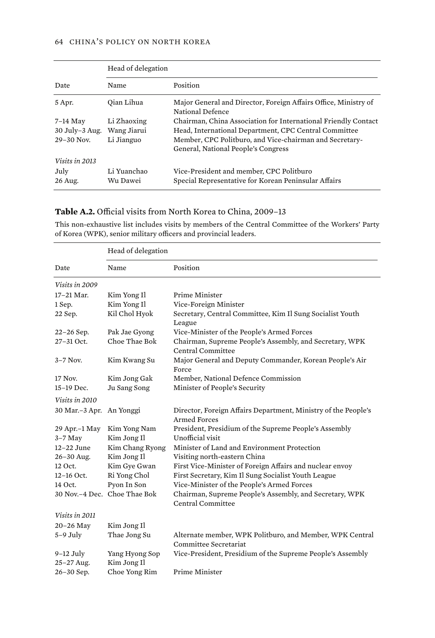#### 64 CHINA'S POLICY ON NORTH KOREA

|                     | Head of delegation |                                                                                     |
|---------------------|--------------------|-------------------------------------------------------------------------------------|
| Date                | Name               | Position                                                                            |
| 5 Apr.              | Oian Lihua         | Major General and Director, Foreign Affairs Office, Ministry of<br>National Defence |
| 7-14 May            | Li Zhaoxing        | Chairman, China Association for International Friendly Contact                      |
| $30$ July- $3$ Aug. | Wang Jiarui        | Head, International Department, CPC Central Committee                               |
| $29 - 30$ Nov.      | Li Jianguo         | Member, CPC Politburo, and Vice-chairman and Secretary-                             |
|                     |                    | General, National People's Congress                                                 |
| Visits in 2013      |                    |                                                                                     |
| July                | Li Yuanchao        | Vice-President and member, CPC Politburo                                            |
| 26 Aug.             | Wu Dawei           | Special Representative for Korean Peninsular Affairs                                |

### **Table A.2.** Official visits from North Korea to China, 2009–13

This non-exhaustive list includes visits by members of the Central Committee of the Workers' Party of Korea (WPK), senior military officers and provincial leaders.

|                           | Head of delegation            |                                                                                       |  |
|---------------------------|-------------------------------|---------------------------------------------------------------------------------------|--|
| Date                      | Name                          | Position                                                                              |  |
| Visits in 2009            |                               |                                                                                       |  |
| $17-21$ Mar.              | Kim Yong Il                   | Prime Minister                                                                        |  |
| 1 Sep.                    | Kim Yong Il                   | Vice-Foreign Minister                                                                 |  |
| 22 Sep.                   | Kil Chol Hyok                 | Secretary, Central Committee, Kim Il Sung Socialist Youth<br>League                   |  |
| 22-26 Sep.                | Pak Jae Gyong                 | Vice-Minister of the People's Armed Forces                                            |  |
| 27-31 Oct.                | Choe Thae Bok                 | Chairman, Supreme People's Assembly, and Secretary, WPK<br>Central Committee          |  |
| $3-7$ Nov.                | Kim Kwang Su                  | Major General and Deputy Commander, Korean People's Air<br>Force                      |  |
| 17 Nov.                   | Kim Jong Gak                  | Member, National Defence Commission                                                   |  |
| 15-19 Dec.                | Ju Sang Song                  | Minister of People's Security                                                         |  |
| Visits in 2010            |                               |                                                                                       |  |
| 30 Mar.-3 Apr. An Yonggi  |                               | Director, Foreign Affairs Department, Ministry of the People's<br><b>Armed Forces</b> |  |
| 29 Apr.-1 May             | Kim Yong Nam                  | President, Presidium of the Supreme People's Assembly                                 |  |
| $3-7$ May                 | Kim Jong Il                   | Unofficial visit                                                                      |  |
| $12-22$ June              | Kim Chang Ryong               | Minister of Land and Environment Protection                                           |  |
| 26-30 Aug.                | Kim Jong Il                   | Visiting north-eastern China                                                          |  |
| 12 Oct.                   | Kim Gve Gwan                  | First Vice-Minister of Foreign Affairs and nuclear envoy                              |  |
| $12-16$ Oct.              | Ri Yong Chol                  | First Secretary, Kim Il Sung Socialist Youth League                                   |  |
| 14 Oct.                   | Pyon In Son                   | Vice-Minister of the People's Armed Forces                                            |  |
|                           | 30 Nov.-4 Dec. Choe Thae Bok  | Chairman, Supreme People's Assembly, and Secretary, WPK<br>Central Committee          |  |
| Visits in 2011            |                               |                                                                                       |  |
| 20-26 May                 | Kim Jong Il                   |                                                                                       |  |
| $5-9$ July                | Thae Jong Su                  | Alternate member, WPK Politburo, and Member, WPK Central                              |  |
|                           |                               | Committee Secretariat                                                                 |  |
| $9-12$ July<br>25-27 Aug. | Yang Hyong Sop<br>Kim Jong Il | Vice-President, Presidium of the Supreme People's Assembly                            |  |
| 26-30 Sep.                | Choe Yong Rim                 | Prime Minister                                                                        |  |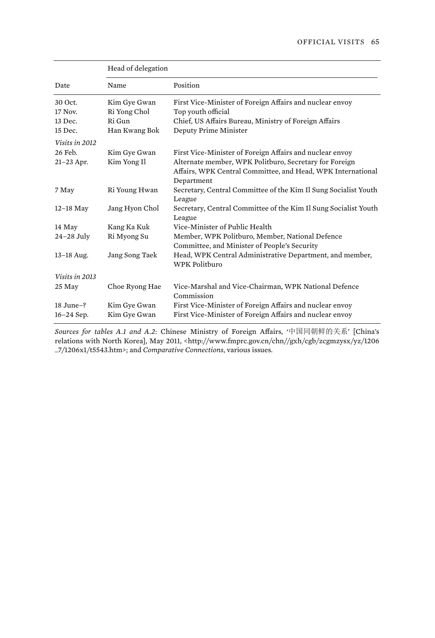|                | Head of delegation |                                                                                                 |  |
|----------------|--------------------|-------------------------------------------------------------------------------------------------|--|
| Date           | Name               | Position                                                                                        |  |
| 30 Oct.        | Kim Gye Gwan       | First Vice-Minister of Foreign Affairs and nuclear envoy                                        |  |
| 17 Nov.        | Ri Yong Chol       | Top youth official                                                                              |  |
| 13 Dec.        | Ri Gun             | Chief, US Affairs Bureau, Ministry of Foreign Affairs                                           |  |
| 15 Dec.        | Han Kwang Bok      | Deputy Prime Minister                                                                           |  |
| Visits in 2012 |                    |                                                                                                 |  |
| 26 Feb.        | Kim Gye Gwan       | First Vice-Minister of Foreign Affairs and nuclear envoy                                        |  |
| 21-23 Apr.     | Kim Yong Il        | Alternate member, WPK Politburo, Secretary for Foreign                                          |  |
|                |                    | Affairs, WPK Central Committee, and Head, WPK International<br>Department                       |  |
| 7 May          | Ri Young Hwan      | Secretary, Central Committee of the Kim Il Sung Socialist Youth                                 |  |
|                |                    | League                                                                                          |  |
| $12-18$ May    | Jang Hyon Chol     | Secretary, Central Committee of the Kim Il Sung Socialist Youth<br>League                       |  |
| 14 May         | Kang Ka Kuk        | Vice-Minister of Public Health                                                                  |  |
| $24-28$ July   | Ri Myong Su        | Member, WPK Politburo, Member, National Defence<br>Committee, and Minister of People's Security |  |
| $13 - 18$ Aug. | Jang Song Taek     | Head, WPK Central Administrative Department, and member,<br>WPK Politburo                       |  |
| Visits in 2013 |                    |                                                                                                 |  |
| 25 May         | Choe Ryong Hae     | Vice-Marshal and Vice-Chairman, WPK National Defence<br>Commission                              |  |
| 18 June-?      | Kim Gye Gwan       | First Vice-Minister of Foreign Affairs and nuclear envoy                                        |  |
| 16-24 Sep.     | Kim Gye Gwan       | First Vice-Minister of Foreign Affairs and nuclear envoy                                        |  |

*Sources for tables A.1 and A.2*: Chinese Ministry of Foreign Affairs, '中国同朝鲜的关系' [China's relations with North Korea], May 2011, <http://www.fmprc.gov.cn/chn//gxh/cgb/zcgmzysx/yz/1206 \_7/1206x1/t5543.htm>; and *Comparative Connections*, various issues.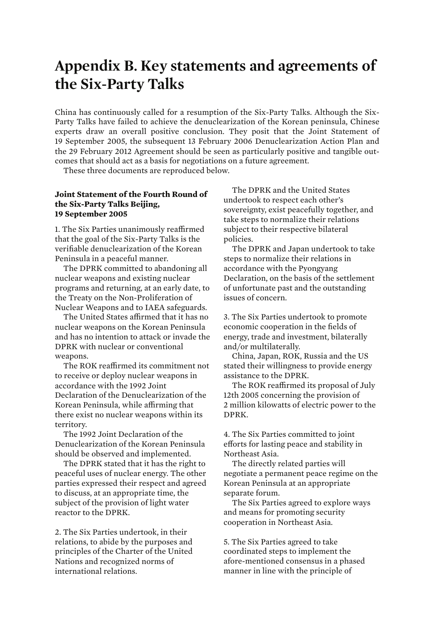## **Appendix B. Key statements and agreements of the Six-Party Talks**

China has continuously called for a resumption of the Six-Party Talks. Although the Six-Party Talks have failed to achieve the denuclearization of the Korean peninsula, Chinese experts draw an overall positive conclusion. They posit that the Joint Statement of 19 September 2005, the subsequent 13 February 2006 Denuclearization Action Plan and the 29 February 2012 Agreement should be seen as particularly positive and tangible outcomes that should act as a basis for negotiations on a future agreement.

These three documents are reproduced below.

#### **Joint Statement of the Fourth Round of the Six-Party Talks Beijing, 19 September 2005**

1. The Six Parties unanimously reaffirmed that the goal of the Six-Party Talks is the verifiable denuclearization of the Korean Peninsula in a peaceful manner.

The DPRK committed to abandoning all nuclear weapons and existing nuclear programs and returning, at an early date, to the Treaty on the Non-Proliferation of Nuclear Weapons and to IAEA safeguards.

The United States affirmed that it has no nuclear weapons on the Korean Peninsula and has no intention to attack or invade the DPRK with nuclear or conventional weapons.

The ROK reaffirmed its commitment not to receive or deploy nuclear weapons in accordance with the 1992 Joint Declaration of the Denuclearization of the Korean Peninsula, while affirming that there exist no nuclear weapons within its territory.

The 1992 Joint Declaration of the Denuclearization of the Korean Peninsula should be observed and implemented.

The DPRK stated that it has the right to peaceful uses of nuclear energy. The other parties expressed their respect and agreed to discuss, at an appropriate time, the subject of the provision of light water reactor to the DPRK.

2. The Six Parties undertook, in their relations, to abide by the purposes and principles of the Charter of the United Nations and recognized norms of international relations.

The DPRK and the United States undertook to respect each other's sovereignty, exist peacefully together, and take steps to normalize their relations subject to their respective bilateral policies.

The DPRK and Japan undertook to take steps to normalize their relations in accordance with the Pyongyang Declaration, on the basis of the settlement of unfortunate past and the outstanding issues of concern.

3. The Six Parties undertook to promote economic cooperation in the fields of energy, trade and investment, bilaterally and/or multilaterally.

China, Japan, ROK, Russia and the US stated their willingness to provide energy assistance to the DPRK.

The ROK reaffirmed its proposal of July 12th 2005 concerning the provision of 2 million kilowatts of electric power to the DPRK.

4. The Six Parties committed to joint efforts for lasting peace and stability in Northeast Asia.

The directly related parties will negotiate a permanent peace regime on the Korean Peninsula at an appropriate separate forum.

The Six Parties agreed to explore ways and means for promoting security cooperation in Northeast Asia.

5. The Six Parties agreed to take coordinated steps to implement the afore-mentioned consensus in a phased manner in line with the principle of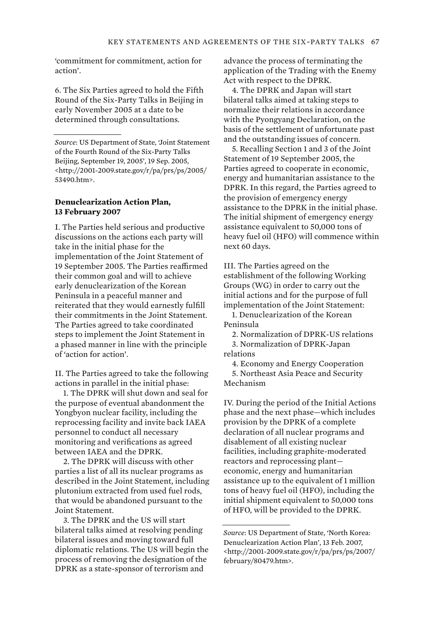'commitment for commitment, action for action'.

6. The Six Parties agreed to hold the Fifth Round of the Six-Party Talks in Beijing in early November 2005 at a date to be determined through consultations.

#### **Denuclearization Action Plan, 13 February 2007**

I. The Parties held serious and productive discussions on the actions each party will take in the initial phase for the implementation of the Joint Statement of 19 September 2005. The Parties reaffirmed their common goal and will to achieve early denuclearization of the Korean Peninsula in a peaceful manner and reiterated that they would earnestly fulfill their commitments in the Joint Statement. The Parties agreed to take coordinated steps to implement the Joint Statement in a phased manner in line with the principle of 'action for action'.

II. The Parties agreed to take the following actions in parallel in the initial phase:

1. The DPRK will shut down and seal for the purpose of eventual abandonment the Yongbyon nuclear facility, including the reprocessing facility and invite back IAEA personnel to conduct all necessary monitoring and verifications as agreed between IAEA and the DPRK.

2. The DPRK will discuss with other parties a list of all its nuclear programs as described in the Joint Statement, including plutonium extracted from used fuel rods, that would be abandoned pursuant to the Joint Statement.

3. The DPRK and the US will start bilateral talks aimed at resolving pending bilateral issues and moving toward full diplomatic relations. The US will begin the process of removing the designation of the DPRK as a state-sponsor of terrorism and

advance the process of terminating the application of the Trading with the Enemy Act with respect to the DPRK.

4. The DPRK and Japan will start bilateral talks aimed at taking steps to normalize their relations in accordance with the Pyongyang Declaration, on the basis of the settlement of unfortunate past and the outstanding issues of concern.

5. Recalling Section 1 and 3 of the Joint Statement of 19 September 2005, the Parties agreed to cooperate in economic, energy and humanitarian assistance to the DPRK. In this regard, the Parties agreed to the provision of emergency energy assistance to the DPRK in the initial phase. The initial shipment of emergency energy assistance equivalent to 50,000 tons of heavy fuel oil (HFO) will commence within next 60 days.

III. The Parties agreed on the establishment of the following Working Groups (WG) in order to carry out the initial actions and for the purpose of full implementation of the Joint Statement:

1. Denuclearization of the Korean Peninsula

2. Normalization of DPRK-US relations 3. Normalization of DPRK-Japan

relations

4. Economy and Energy Cooperation

5. Northeast Asia Peace and Security Mechanism

IV. During the period of the Initial Actions phase and the next phase—which includes provision by the DPRK of a complete declaration of all nuclear programs and disablement of all existing nuclear facilities, including graphite-moderated reactors and reprocessing plant economic, energy and humanitarian assistance up to the equivalent of 1 million tons of heavy fuel oil (HFO), including the initial shipment equivalent to 50,000 tons of HFO, will be provided to the DPRK.

*Source*: US Department of State, 'Joint Statement of the Fourth Round of the Six-Party Talks Beijing, September 19, 2005', 19 Sep. 2005, <http://2001-2009.state.gov/r/pa/prs/ps/2005/ 53490.htm>.

*Source*: US Department of State, 'North Korea: Denuclearization Action Plan', 13 Feb. 2007, <http://2001-2009.state.gov/r/pa/prs/ps/2007/ february/80479.htm>.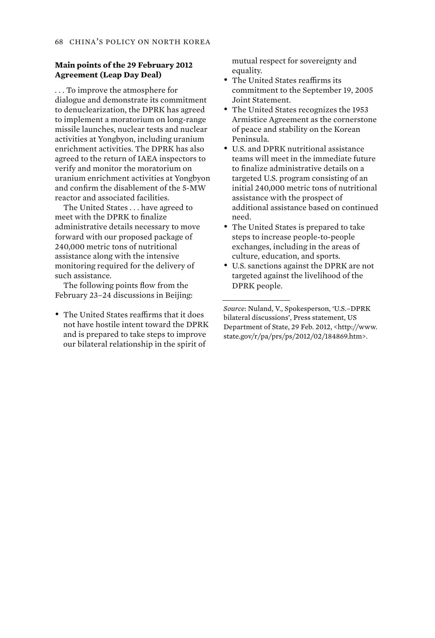#### **Main points of the 29 February 2012 Agreement (Leap Day Deal)**

. . . To improve the atmosphere for dialogue and demonstrate its commitment to denuclearization, the DPRK has agreed to implement a moratorium on long-range missile launches, nuclear tests and nuclear activities at Yongbyon, including uranium enrichment activities. The DPRK has also agreed to the return of IAEA inspectors to verify and monitor the moratorium on uranium enrichment activities at Yongbyon and confirm the disablement of the 5-MW reactor and associated facilities.

The United States . . . have agreed to meet with the DPRK to finalize administrative details necessary to move forward with our proposed package of 240,000 metric tons of nutritional assistance along with the intensive monitoring required for the delivery of such assistance.

The following points flow from the February 23–24 discussions in Beijing:

• The United States reaffirms that it does not have hostile intent toward the DPRK and is prepared to take steps to improve our bilateral relationship in the spirit of

mutual respect for sovereignty and equality.

- The United States reaffirms its commitment to the September 19, 2005 Joint Statement.
- The United States recognizes the 1953 Armistice Agreement as the cornerstone of peace and stability on the Korean Peninsula.
- U.S. and DPRK nutritional assistance teams will meet in the immediate future to finalize administrative details on a targeted U.S. program consisting of an initial 240,000 metric tons of nutritional assistance with the prospect of additional assistance based on continued need.
- The United States is prepared to take steps to increase people-to-people exchanges, including in the areas of culture, education, and sports.
- U.S. sanctions against the DPRK are not targeted against the livelihood of the DPRK people.

*Source*: Nuland, V., Spokesperson, 'U.S.–DPRK bilateral discussions', Press statement, US Department of State, 29 Feb. 2012, <http://www. state.gov/r/pa/prs/ps/2012/02/184869.htm>.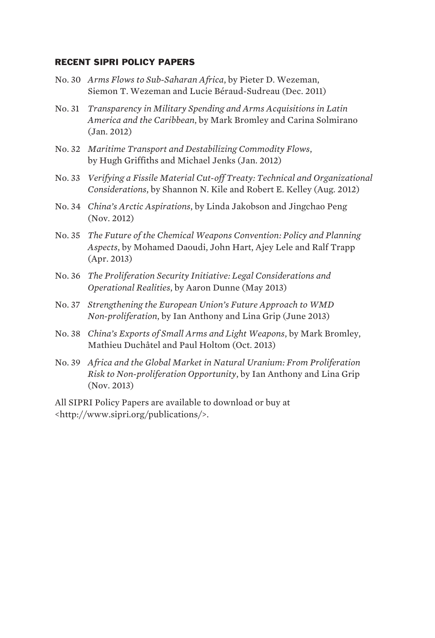### RECENT SIPRI POLICY PAPERS

- No. 30 *Arms Flows to Sub-Saharan Africa*, by Pieter D. Wezeman, Siemon T. Wezeman and Lucie Béraud-Sudreau (Dec. 2011)
- No. 31 *Transparency in Military Spending and Arms Acquisitions in Latin America and the Caribbean*, by Mark Bromley and Carina Solmirano (Jan. 2012)
- No. 32 *Maritime Transport and Destabilizing Commodity Flows*, by Hugh Griffiths and Michael Jenks (Jan. 2012)
- No. 33 *Verifying a Fissile Material Cut-off Treaty: Technical and Organizational Considerations*, by Shannon N. Kile and Robert E. Kelley (Aug. 2012)
- No. 34 *China's Arctic Aspirations*, by Linda Jakobson and Jingchao Peng (Nov. 2012)
- No. 35 *The Future of the Chemical Weapons Convention: Policy and Planning Aspects*, by Mohamed Daoudi, John Hart, Ajey Lele and Ralf Trapp (Apr. 2013)
- No. 36 *The Proliferation Security Initiative: Legal Considerations and Operational Realities*, by Aaron Dunne (May 2013)
- No. 37 *Strengthening the European Union's Future Approach to WMD Non-proliferation*, by Ian Anthony and Lina Grip (June 2013)
- No. 38 *China's Exports of Small Arms and Light Weapons*, by Mark Bromley, Mathieu Duchâtel and Paul Holtom (Oct. 2013)
- No. 39 *Africa and the Global Market in Natural Uranium: From Proliferation Risk to Non-proliferation Opportunity*, by Ian Anthony and Lina Grip (Nov. 2013)

All SIPRI Policy Papers are available to download or buy at <http://www.sipri.org/publications/>.